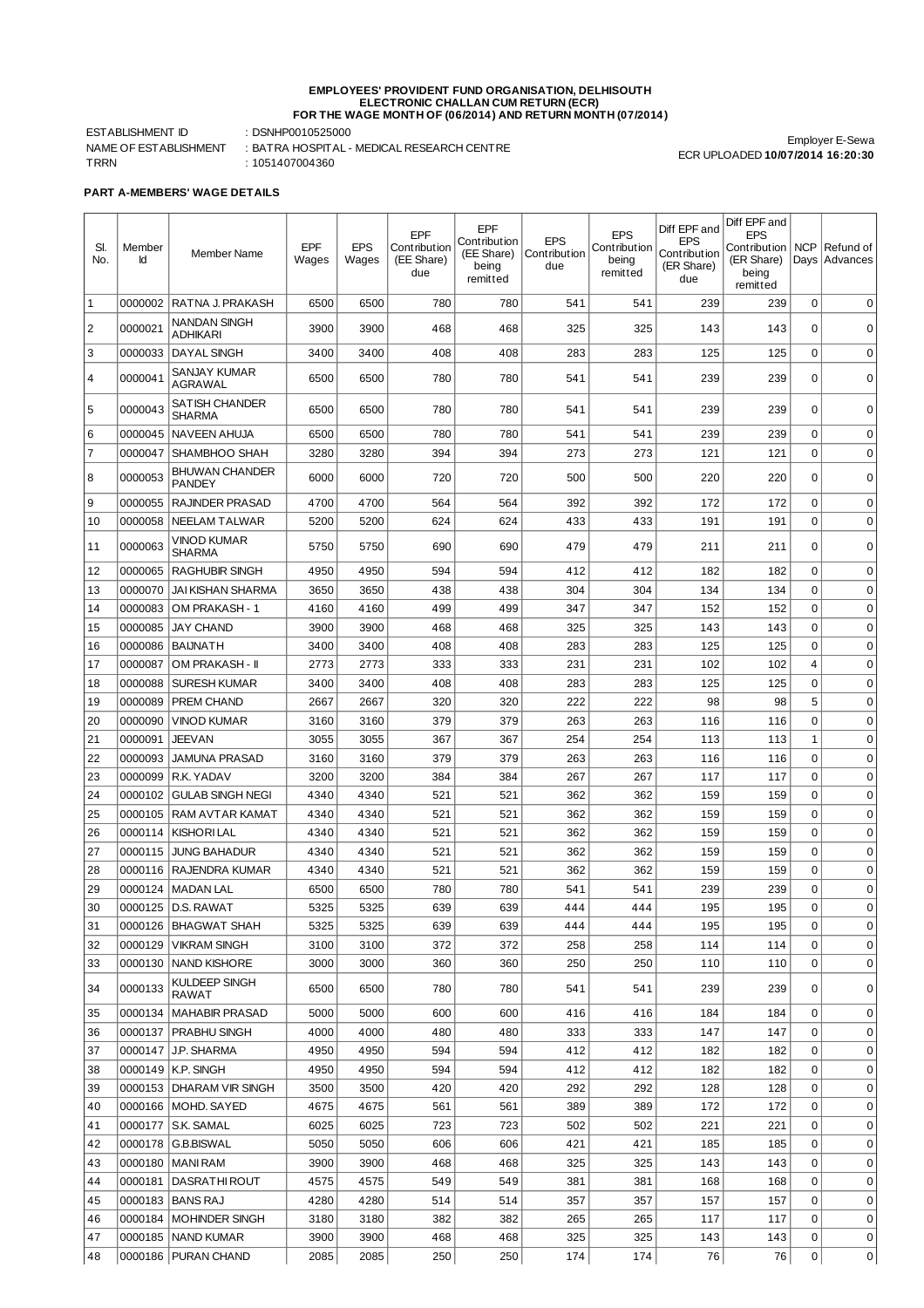## **EMPLOYEES' PROVIDENT FUND ORGANISATION, DELHISOUTH ELECTRONIC CHALLAN CUM RETURN (ECR) FOR THE WAGE MONTH OF (06/2014) AND RETURN MONTH (07/2014)**

ESTABLISHMENT ID : DSNHP0010525000 TRRN : 1051407004360

NAME OF ESTABLISHMENT : BATRA HOSPITAL - MEDICAL RESEARCH CENTRE

Employer E-Sewa ECR UPLOADED **10/07/2014 16:20:30**

**PART A-MEMBERS' WAGE DETAILS**

| SI.<br>No.     | Member<br>Id       | Member Name                                  | EPF<br>Wages | <b>EPS</b><br>Wages | EPF<br>Contribution<br>(EE Share)<br>due | EPF<br>Contribution<br>(EE Share)<br>being<br>remitted | <b>EPS</b><br>Contribution<br>due | <b>EPS</b><br>Cont ribut ion<br>being<br>remitted | Diff EPF and<br><b>EPS</b><br>Contribution<br>(ER Share)<br>due | Diff EPF and<br><b>EPS</b><br>Contribution<br>(ER Share)<br>being<br>remitted | <b>NCP</b><br>Days         | Refund of<br>Advances      |
|----------------|--------------------|----------------------------------------------|--------------|---------------------|------------------------------------------|--------------------------------------------------------|-----------------------------------|---------------------------------------------------|-----------------------------------------------------------------|-------------------------------------------------------------------------------|----------------------------|----------------------------|
| 1              | 0000002            | RATNA J. PRAKASH                             | 6500         | 6500                | 780                                      | 780                                                    | 541                               | 541                                               | 239                                                             | 239                                                                           | 0                          | $\mathbf 0$                |
| $\overline{c}$ | 0000021            | NANDAN SINGH<br>ADHIKARI                     | 3900         | 3900                | 468                                      | 468                                                    | 325                               | 325                                               | 143                                                             | 143                                                                           | $\Omega$                   | $\mathbf 0$                |
| 3              | 0000033            | <b>DAYAL SINGH</b>                           | 3400         | 3400                | 408                                      | 408                                                    | 283                               | 283                                               | 125                                                             | 125                                                                           | $\mathbf 0$                | $\mathbf 0$                |
| 4              | 0000041            | SANJAY KUMAR<br>AGRAWAL                      | 6500         | 6500                | 780                                      | 780                                                    | 541                               | 541                                               | 239                                                             | 239                                                                           | 0                          | 0                          |
| 5              | 0000043            | <b>SATISH CHANDER</b><br>SHARMA              | 6500         | 6500                | 780                                      | 780                                                    | 541                               | 541                                               | 239                                                             | 239                                                                           | $\mathbf 0$                | $\mathbf 0$                |
| 6              | 0000045            | <b>NAVEEN AHUJA</b>                          | 6500         | 6500                | 780                                      | 780                                                    | 541                               | 541                                               | 239                                                             | 239                                                                           | 0                          | $\mathbf 0$                |
| $\overline{7}$ | 0000047            | SHAMBHOO SHAH                                | 3280         | 3280                | 394                                      | 394                                                    | 273                               | 273                                               | 121                                                             | 121                                                                           | $\mathbf 0$                | $\mathbf 0$                |
| 8              | 0000053            | BHUWAN CHANDER<br>PANDEY                     | 6000         | 6000                | 720                                      | 720                                                    | 500                               | 500                                               | 220                                                             | 220                                                                           | $\Omega$                   | 0                          |
| 9              | 0000055            | RAJINDER PRASAD                              | 4700         | 4700                | 564                                      | 564                                                    | 392                               | 392                                               | 172                                                             | 172                                                                           | $\mathbf 0$                | $\mathbf 0$                |
| 10             | 0000058            | NEELAM TALWAR                                | 5200         | 5200                | 624                                      | 624                                                    | 433                               | 433                                               | 191                                                             | 191                                                                           | $\mathbf 0$                | $\mathbf 0$                |
| 11             | 0000063            | VINOD KUMAR<br><b>SHARMA</b>                 | 5750         | 5750                | 690                                      | 690                                                    | 479                               | 479                                               | 211                                                             | 211                                                                           | 0                          | $\mathbf 0$                |
| 12             | 0000065            | <b>RAGHUBIR SINGH</b>                        | 4950         | 4950                | 594                                      | 594                                                    | 412                               | 412                                               | 182                                                             | 182                                                                           | $\mathbf 0$                | $\mathbf 0$                |
| 13             | 0000070            | <b>JAI KISHAN SHARMA</b>                     | 3650         | 3650                | 438                                      | 438                                                    | 304                               | 304                                               | 134                                                             | 134                                                                           | $\Omega$                   | $\mathbf 0$                |
| 14             | 0000083            | OM PRAKASH - 1                               | 4160         | 4160                | 499                                      | 499                                                    | 347                               | 347                                               | 152                                                             | 152                                                                           | $\Omega$                   | $\mathbf 0$                |
| 15             | 0000085            | <b>JAY CHAND</b>                             | 3900         | 3900                | 468                                      | 468                                                    | 325                               | 325                                               | 143                                                             | 143                                                                           | $\Omega$                   | $\mathbf 0$                |
| 16             | 0000086            | <b>BAIJNATH</b>                              | 3400         | 3400                | 408                                      | 408                                                    | 283                               | 283                                               | 125                                                             | 125                                                                           | $\Omega$                   | $\mathbf 0$                |
| 17             | 0000087            | OM PRAKASH - II                              | 2773         | 2773                | 333                                      | 333                                                    | 231                               | 231                                               | 102                                                             | 102                                                                           | $\overline{4}$             | $\mathbf 0$                |
| 18             | 0000088            | <b>SURESH KUMAR</b>                          | 3400         | 3400                | 408                                      | 408                                                    | 283                               | 283                                               | 125                                                             | 125                                                                           | $\Omega$                   | $\mathbf 0$                |
| 19             | 0000089            | PREM CHAND                                   | 2667         | 2667                | 320                                      | 320                                                    | 222                               | 222                                               | 98                                                              | 98                                                                            | 5                          | $\mathbf 0$                |
| 20             | 0000090            | <b>VINOD KUMAR</b>                           | 3160         | 3160                | 379                                      | 379                                                    | 263                               | 263                                               | 116                                                             | 116                                                                           | $\mathbf 0$                | $\mathbf 0$                |
| 21             | 0000091            | JEEVAN                                       | 3055         | 3055                | 367                                      | 367                                                    | 254                               | 254                                               | 113                                                             | 113                                                                           | $\mathbf{1}$               | $\mathbf 0$                |
| 22             | 0000093            | <b>JAMUNA PRASAD</b>                         | 3160         | 3160                | 379                                      | 379                                                    | 263                               | 263                                               | 116                                                             | 116                                                                           | $\mathbf 0$                | $\mathbf 0$                |
| 23             | 0000099            | R.K. YADAV                                   | 3200         | 3200                | 384                                      | 384                                                    | 267                               | 267                                               | 117                                                             | 117                                                                           | $\mathbf 0$                | $\mathbf 0$                |
| 24             | 0000102            | <b>GULAB SINGH NEGI</b>                      | 4340         | 4340                | 521                                      | 521                                                    | 362                               | 362                                               | 159                                                             | 159                                                                           | $\mathbf 0$                | $\mathbf 0$                |
| 25             | 0000105            | <b>RAM AVTAR KAMAT</b>                       | 4340         | 4340                | 521                                      | 521                                                    | 362                               | 362                                               | 159                                                             | 159                                                                           | $\mathbf 0$                | $\mathbf 0$                |
| 26             | 0000114            | <b>KISHORI LAL</b>                           | 4340         | 4340                | 521                                      | 521                                                    | 362                               | 362                                               | 159                                                             | 159                                                                           | $\mathbf 0$<br>$\mathbf 0$ | $\mathbf 0$<br>$\mathbf 0$ |
| 27<br>28       | 0000115<br>0000116 | <b>JUNG BAHADUR</b><br><b>RAJENDRA KUMAR</b> | 4340<br>4340 | 4340<br>4340        | 521<br>521                               | 521<br>521                                             | 362<br>362                        | 362<br>362                                        | 159<br>159                                                      | 159<br>159                                                                    | $\mathbf 0$                | $\mathbf 0$                |
| 29             | 0000124            | <b>MADAN LAL</b>                             | 6500         | 6500                | 780                                      | 780                                                    | 541                               | 541                                               | 239                                                             | 239                                                                           | $\mathbf 0$                | $\mathbf 0$                |
| 30             |                    | 0000125 D.S. RAWAT                           | 5325         | 5325                | 639                                      | 639                                                    | 444                               | 444                                               | 195                                                             | 195                                                                           | U                          |                            |
| 31             |                    | 0000126   BHAGWAT SHAH                       | 5325         | 5325                | 639                                      | 639                                                    | 444                               | 444                                               | 195                                                             | 195                                                                           | $\mathbf 0$                | $\mathbf 0$                |
| 32             | 0000129            | <b>VIKRAM SINGH</b>                          | 3100         | 3100                | 372                                      | 372                                                    | 258                               | 258                                               | 114                                                             | 114                                                                           | 0                          | 0                          |
| 33             |                    | 0000130   NAND KISHORE                       | 3000         | 3000                | 360                                      | 360                                                    | 250                               | 250                                               | 110                                                             | 110                                                                           | 0                          | $\mathbf 0$                |
| 34             | 0000133            | KULDEEP SINGH<br>RAWAT                       | 6500         | 6500                | 780                                      | 780                                                    | 541                               | 541                                               | 239                                                             | 239                                                                           | 0                          | 0                          |
| 35             | 0000134            | <b>MAHABIR PRASAD</b>                        | 5000         | 5000                | 600                                      | 600                                                    | 416                               | 416                                               | 184                                                             | 184                                                                           | 0                          | 0                          |
| 36             | 0000137            | PRABHU SINGH                                 | 4000         | 4000                | 480                                      | 480                                                    | 333                               | 333                                               | 147                                                             | 147                                                                           | 0                          | 0                          |
| 37             | 0000147            | J.P. SHARMA                                  | 4950         | 4950                | 594                                      | 594                                                    | 412                               | 412                                               | 182                                                             | 182                                                                           | 0                          | 0                          |
| 38             |                    | 0000149   K.P. SINGH                         | 4950         | 4950                | 594                                      | 594                                                    | 412                               | 412                                               | 182                                                             | 182                                                                           | 0                          | 0                          |
| 39             |                    | 0000153   DHARAM VIR SINGH                   | 3500         | 3500                | 420                                      | 420                                                    | 292                               | 292                                               | 128                                                             | 128                                                                           | 0                          | 0                          |
| 40             |                    | 0000166   MOHD. SAYED                        | 4675         | 4675                | 561                                      | 561                                                    | 389                               | 389                                               | 172                                                             | 172                                                                           | 0                          | 0                          |
| 41             |                    | 0000177   S.K. SAMAL                         | 6025         | 6025                | 723                                      | 723                                                    | 502                               | 502                                               | 221                                                             | 221                                                                           | 0                          | 0                          |
| 42             |                    | 0000178   G.B.BISWAL                         | 5050         | 5050                | 606                                      | 606                                                    | 421                               | 421                                               | 185                                                             | 185                                                                           | 0                          | 0                          |
| 43             |                    | 0000180   MANI RAM                           | 3900         | 3900                | 468                                      | 468                                                    | 325                               | 325                                               | 143                                                             | 143                                                                           | 0                          | 0                          |
| 44             |                    | 0000181   DASRATHI ROUT                      | 4575         | 4575                | 549                                      | 549                                                    | 381                               | 381                                               | 168                                                             | 168                                                                           | 0                          | 0                          |
| 45             |                    | 0000183   BANS RAJ                           | 4280         | 4280                | 514                                      | 514                                                    | 357                               | 357                                               | 157                                                             | 157                                                                           | 0                          | 0                          |
| 46             |                    | 0000184   MOHINDER SINGH                     | 3180         | 3180                | 382                                      | 382                                                    | 265                               | 265                                               | 117                                                             | 117                                                                           | 0                          | 0                          |
| 47             |                    | 0000185   NAND KUMAR                         | 3900         | 3900                | 468                                      | 468                                                    | 325                               | 325                                               | 143                                                             | 143                                                                           | 0                          | 0                          |
| 48             |                    | 0000186   PURAN CHAND                        | 2085         | 2085                | 250                                      | 250                                                    | 174                               | 174                                               | 76                                                              | 76                                                                            | 0                          | 0                          |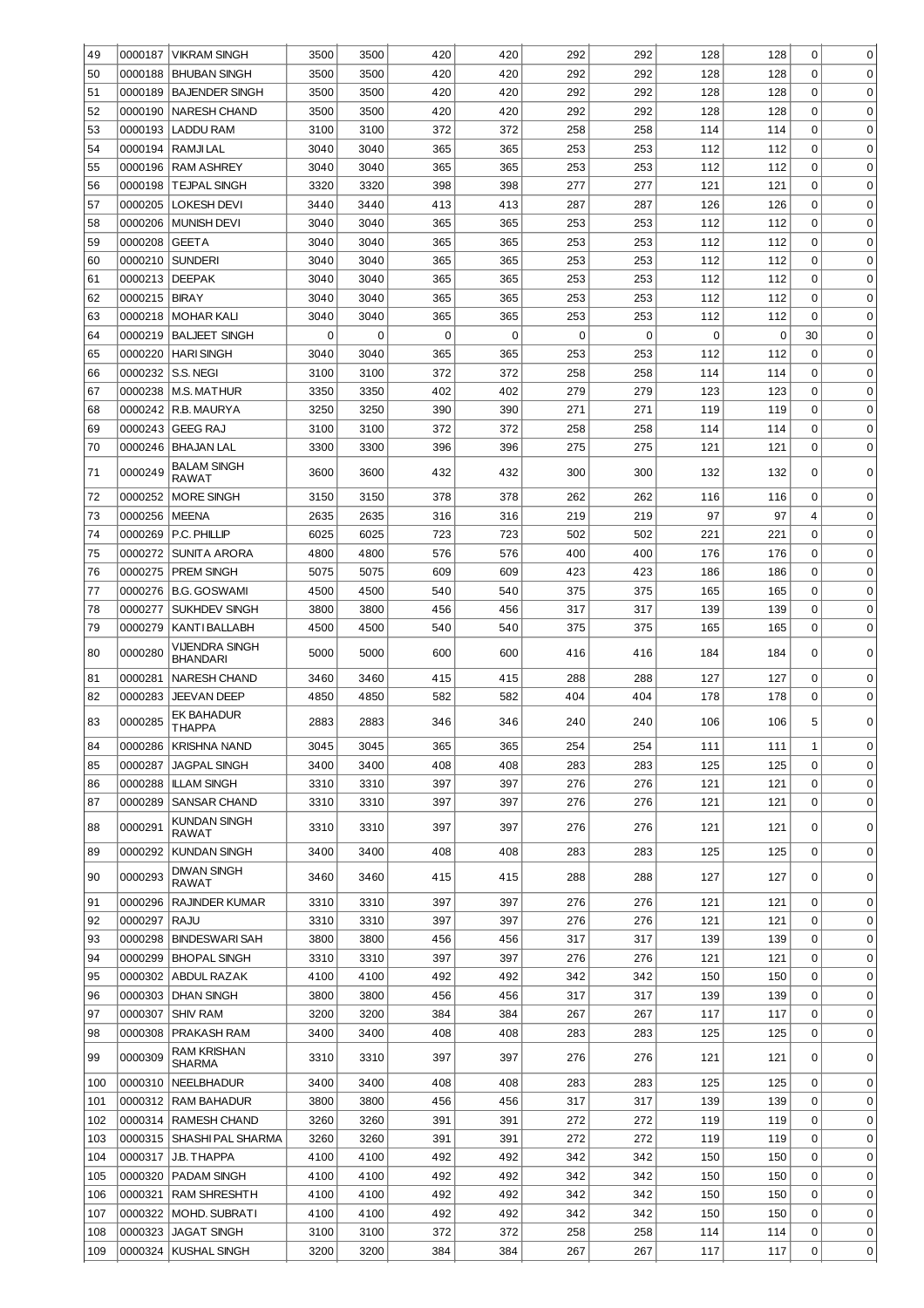| 49  | 0000187 | <b>VIKRAM SINGH</b>                      | 3500 | 3500     | 420         | 420         | 292 | 292 | 128         | 128 | $\mathbf 0$ | 0           |
|-----|---------|------------------------------------------|------|----------|-------------|-------------|-----|-----|-------------|-----|-------------|-------------|
| 50  | 0000188 | <b>BHUBAN SINGH</b>                      | 3500 | 3500     | 420         | 420         | 292 | 292 | 128         | 128 | $\Omega$    | $\mathbf 0$ |
| 51  | 0000189 | <b>BAJENDER SINGH</b>                    | 3500 | 3500     | 420         | 420         | 292 | 292 | 128         | 128 | $\Omega$    | $\mathbf 0$ |
| 52  | 0000190 | <b>NARESH CHAND</b>                      | 3500 | 3500     | 420         | 420         | 292 | 292 | 128         | 128 | $\mathbf 0$ | $\mathbf 0$ |
| 53  | 0000193 | <b>LADDU RAM</b>                         | 3100 | 3100     | 372         | 372         | 258 | 258 | 114         | 114 | $\mathbf 0$ | $\mathbf 0$ |
| 54  | 0000194 | RAMJI LAL                                | 3040 | 3040     | 365         | 365         | 253 | 253 | 112         | 112 | $\mathbf 0$ | $\mathbf 0$ |
| 55  | 0000196 | <b>RAM ASHREY</b>                        | 3040 | 3040     | 365         | 365         | 253 | 253 | 112         | 112 | $\mathbf 0$ | $\mathbf 0$ |
| 56  | 0000198 | <b>TEJPAL SINGH</b>                      | 3320 | 3320     | 398         | 398         | 277 | 277 | 121         | 121 | $\mathbf 0$ | $\mathbf 0$ |
| 57  | 0000205 | <b>LOKESH DEVI</b>                       | 3440 | 3440     | 413         | 413         | 287 | 287 | 126         | 126 | $\mathbf 0$ | $\mathbf 0$ |
| 58  | 0000206 | <b>MUNISH DEVI</b>                       | 3040 | 3040     | 365         | 365         | 253 | 253 | 112         | 112 | $\mathbf 0$ | $\mathbf 0$ |
| 59  | 0000208 | <b>GEETA</b>                             | 3040 | 3040     | 365         | 365         | 253 | 253 | 112         | 112 | $\mathbf 0$ | $\mathbf 0$ |
| 60  | 0000210 | <b>SUNDERI</b>                           | 3040 | 3040     | 365         | 365         | 253 | 253 | 112         | 112 | $\mathbf 0$ | $\mathbf 0$ |
| 61  | 0000213 | <b>DEEPAK</b>                            | 3040 | 3040     | 365         | 365         | 253 | 253 | 112         | 112 | $\mathbf 0$ | 0           |
| 62  | 0000215 | <b>BIRAY</b>                             | 3040 | 3040     | 365         | 365         | 253 | 253 | 112         | 112 | 0           | 0           |
| 63  | 0000218 | <b>MOHAR KALI</b>                        | 3040 | 3040     | 365         | 365         | 253 | 253 | 112         | 112 | $\Omega$    | 0           |
| 64  | 0000219 | <b>BALJEET SINGH</b>                     | 0    | $\Omega$ | $\mathbf 0$ | $\mathbf 0$ | 0   | 0   | $\mathbf 0$ | 0   | 30          | 0           |
| 65  | 0000220 | <b>HARI SINGH</b>                        | 3040 | 3040     | 365         | 365         | 253 | 253 | 112         | 112 | 0           | 0           |
| 66  | 0000232 | S.S. NEGI                                | 3100 | 3100     | 372         | 372         | 258 | 258 | 114         | 114 | $\Omega$    | 0           |
| 67  | 0000238 | <b>M.S. MATHUR</b>                       | 3350 | 3350     | 402         | 402         | 279 | 279 | 123         | 123 | 0           | 0           |
| 68  | 0000242 | R.B. MAURYA                              | 3250 | 3250     | 390         | 390         | 271 | 271 | 119         | 119 | $\Omega$    | 0           |
| 69  | 0000243 | <b>GEEG RAJ</b>                          | 3100 | 3100     | 372         | 372         | 258 | 258 | 114         | 114 | 0           | 0           |
| 70  | 0000246 | <b>BHAJAN LAL</b>                        | 3300 | 3300     | 396         | 396         | 275 | 275 | 121         | 121 | 0           | 0           |
| 71  | 0000249 | <b>BALAM SINGH</b>                       | 3600 | 3600     | 432         | 432         | 300 | 300 | 132         | 132 | 0           | $\mathbf 0$ |
|     |         | <b>RAWAT</b>                             |      |          |             |             |     |     |             |     |             |             |
| 72  | 0000252 | <b>MORE SINGH</b>                        | 3150 | 3150     | 378         | 378         | 262 | 262 | 116         | 116 | $\mathbf 0$ | 0           |
| 73  | 0000256 | <b>MEENA</b>                             | 2635 | 2635     | 316         | 316         | 219 | 219 | 97          | 97  | 4           | 0           |
| 74  | 0000269 | P.C. PHILLIP                             | 6025 | 6025     | 723         | 723         | 502 | 502 | 221         | 221 | $\mathbf 0$ | 0           |
| 75  | 0000272 | SUNITA ARORA                             | 4800 | 4800     | 576         | 576         | 400 | 400 | 176         | 176 | $\mathbf 0$ | 0           |
| 76  | 0000275 | <b>PREM SINGH</b>                        | 5075 | 5075     | 609         | 609         | 423 | 423 | 186         | 186 | $\mathbf 0$ | 0           |
| 77  | 0000276 | <b>B.G. GOSWAMI</b>                      | 4500 | 4500     | 540         | 540         | 375 | 375 | 165         | 165 | $\mathbf 0$ | 0           |
| 78  | 0000277 | <b>SUKHDEV SINGH</b>                     | 3800 | 3800     | 456         | 456         | 317 | 317 | 139         | 139 | $\mathbf 0$ | 0           |
| 79  | 0000279 | KANTI BALLABH                            | 4500 | 4500     | 540         | 540         | 375 | 375 | 165         | 165 | $\mathbf 0$ | 0           |
| 80  | 0000280 | <b>VIJENDRA SINGH</b><br><b>BHANDARI</b> | 5000 | 5000     | 600         | 600         | 416 | 416 | 184         | 184 | 0           | $\Omega$    |
| 81  | 0000281 | <b>NARESH CHAND</b>                      | 3460 | 3460     | 415         | 415         | 288 | 288 | 127         | 127 | 0           | 0           |
| 82  | 0000283 | <b>JEEVAN DEEP</b>                       | 4850 | 4850     | 582         | 582         | 404 | 404 | 178         | 178 | 0           | 0           |
| 83  | 0000285 | <b>EK BAHADUR</b><br><b>THAPPA</b>       | 2883 | 2883     | 346         | 346         | 240 | 240 | 106         | 106 | 5           | $\mathbf 0$ |
| 84  |         | 0000286 KRISHNA NAND                     | 3045 | 3045     | 365         | 365         | 254 | 254 | 111         | 111 | 1           | 0           |
| 85  | 0000287 | <b>JAGPAL SINGH</b>                      | 3400 | 3400     | 408         | 408         | 283 | 283 | 125         | 125 | $\mathbf 0$ | 0           |
| 86  | 0000288 | <b>ILLAM SINGH</b>                       | 3310 | 3310     | 397         | 397         | 276 | 276 | 121         | 121 | 0           | 0           |
| 87  | 0000289 | <b>SANSAR CHAND</b>                      | 3310 | 3310     | 397         | 397         | 276 | 276 | 121         | 121 | 0           | 0           |
| 88  | 0000291 | KUNDAN SINGH<br>RAWAT                    | 3310 | 3310     | 397         | 397         | 276 | 276 | 121         | 121 | 0           | $\mathbf 0$ |
| 89  | 0000292 | <b>KUNDAN SINGH</b>                      | 3400 | 3400     | 408         | 408         | 283 | 283 | 125         | 125 | 0           | $\mathbf 0$ |
| 90  | 0000293 | <b>DIWAN SINGH</b><br><b>RAWAT</b>       | 3460 | 3460     | 415         | 415         | 288 | 288 | 127         | 127 | 0           | 0           |
| 91  | 0000296 | <b>RAJINDER KUMAR</b>                    | 3310 | 3310     | 397         | 397         | 276 | 276 | 121         | 121 | 0           | $\mathbf 0$ |
| 92  | 0000297 | RAJU                                     | 3310 | 3310     | 397         | 397         | 276 | 276 | 121         | 121 | $\Omega$    | $\mathbf 0$ |
| 93  | 0000298 | <b>BINDESWARI SAH</b>                    | 3800 | 3800     | 456         | 456         | 317 | 317 | 139         | 139 | $\mathbf 0$ | $\mathbf 0$ |
| 94  | 0000299 | <b>BHOPAL SINGH</b>                      | 3310 | 3310     | 397         | 397         | 276 | 276 | 121         | 121 | $\mathbf 0$ | $\mathbf 0$ |
| 95  | 0000302 | ABDUL RAZAK                              | 4100 | 4100     | 492         | 492         | 342 | 342 | 150         | 150 | $\mathbf 0$ | $\mathbf 0$ |
| 96  | 0000303 | <b>DHAN SINGH</b>                        | 3800 | 3800     | 456         | 456         | 317 | 317 | 139         | 139 | $\mathbf 0$ | $\mathbf 0$ |
| 97  | 0000307 | <b>SHIV RAM</b>                          | 3200 | 3200     | 384         | 384         | 267 | 267 | 117         | 117 | $\mathbf 0$ | $\mathbf 0$ |
| 98  | 0000308 | PRAKASH RAM                              | 3400 | 3400     | 408         | 408         | 283 | 283 | 125         | 125 | $\mathbf 0$ | $\mathbf 0$ |
| 99  | 0000309 | <b>RAM KRISHAN</b><br><b>SHARMA</b>      | 3310 | 3310     | 397         | 397         | 276 | 276 | 121         | 121 | 0           | 0           |
| 100 | 0000310 | <b>NEELBHADUR</b>                        | 3400 | 3400     | 408         | 408         | 283 | 283 | 125         | 125 | $\mathbf 0$ | $\mathbf 0$ |
| 101 | 0000312 | <b>RAM BAHADUR</b>                       | 3800 | 3800     | 456         | 456         | 317 | 317 | 139         | 139 | $\mathbf 0$ | 0           |
| 102 | 0000314 | <b>RAMESH CHAND</b>                      | 3260 | 3260     | 391         | 391         | 272 | 272 | 119         | 119 | $\mathbf 0$ | $\mathbf 0$ |
| 103 | 0000315 | SHASHI PAL SHARMA                        | 3260 | 3260     | 391         | 391         | 272 | 272 | 119         | 119 | 0           | $\mathbf 0$ |
| 104 | 0000317 | J.B. THAPPA                              | 4100 | 4100     | 492         | 492         | 342 | 342 | 150         | 150 | 0           | $\mathbf 0$ |
| 105 | 0000320 | PADAM SINGH                              | 4100 | 4100     | 492         | 492         | 342 | 342 | 150         | 150 | $\mathbf 0$ | $\mathbf 0$ |
| 106 | 0000321 | <b>RAM SHRESHTH</b>                      | 4100 | 4100     | 492         | 492         | 342 | 342 | 150         | 150 | $\mathbf 0$ | $\mathbf 0$ |
| 107 | 0000322 | MOHD. SUBRATI                            | 4100 | 4100     | 492         | 492         | 342 | 342 | 150         | 150 | $\Omega$    | 0           |
| 108 | 0000323 | <b>JAGAT SINGH</b>                       | 3100 | 3100     | 372         | 372         | 258 | 258 | 114         | 114 | 0           | 0           |
| 109 | 0000324 | <b>KUSHAL SINGH</b>                      | 3200 | 3200     | 384         | 384         | 267 | 267 | 117         | 117 | 0           | 0           |
|     |         |                                          |      |          |             |             |     |     |             |     |             |             |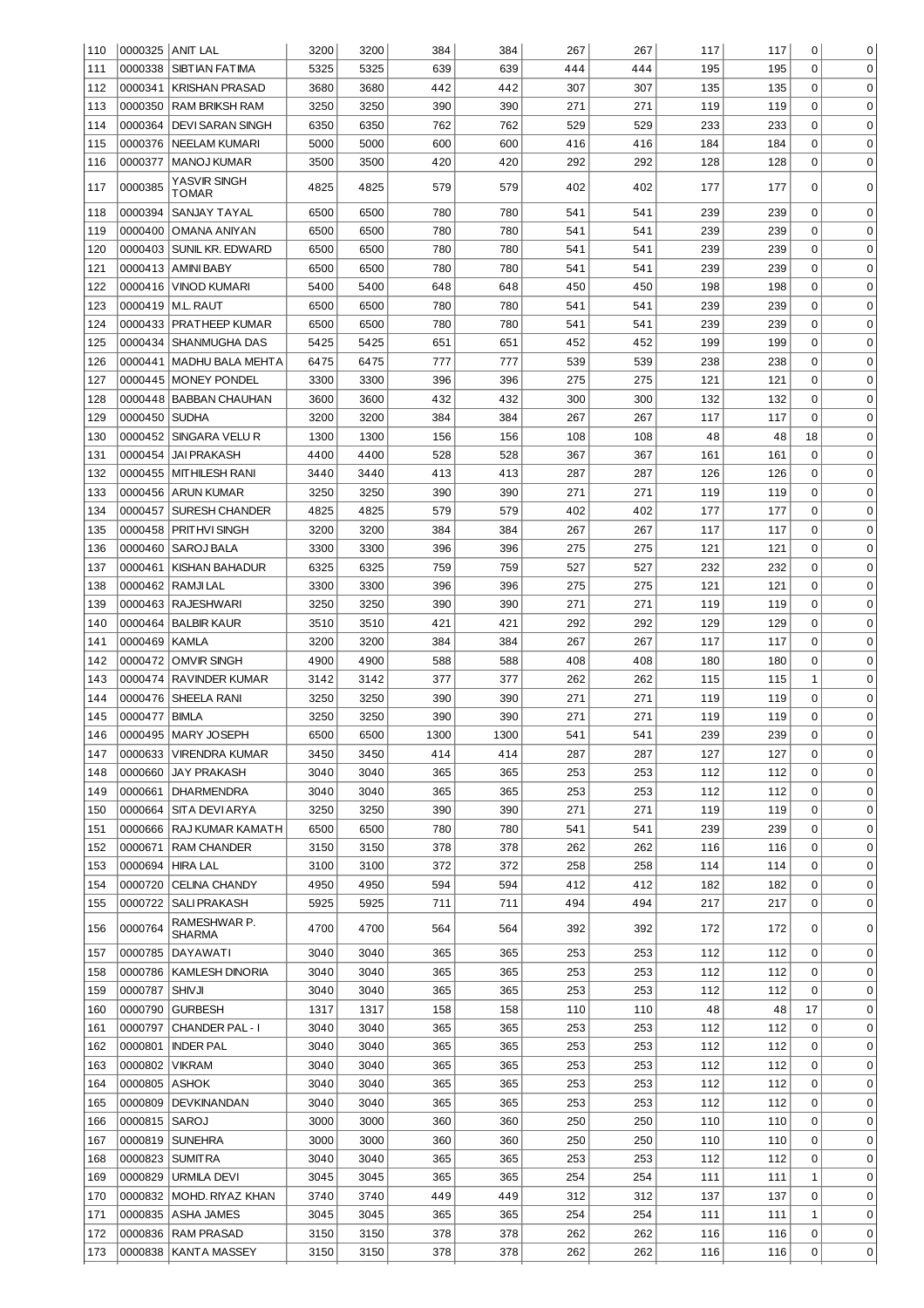| 110 |                 | 0000325  ANIT LAL             | 3200 | 3200 | 384  | 384  | 267 | 267 | 117 | 117 | 0              | 0           |
|-----|-----------------|-------------------------------|------|------|------|------|-----|-----|-----|-----|----------------|-------------|
| 111 |                 | 0000338 SIBTIAN FATIMA        | 5325 | 5325 | 639  | 639  | 444 | 444 | 195 | 195 | 0              | 0           |
| 112 |                 | 0000341 KRISHAN PRASAD        | 3680 | 3680 | 442  | 442  | 307 | 307 | 135 | 135 | 0              | 0           |
| 113 | 0000350         | <b>RAM BRIKSH RAM</b>         | 3250 | 3250 | 390  | 390  | 271 | 271 | 119 | 119 | 0              | 0           |
| 114 |                 | 0000364 DEVI SARAN SINGH      | 6350 | 6350 | 762  | 762  | 529 | 529 | 233 | 233 | 0              | 0           |
| 115 | 0000376         | <b>INEELAM KUMARI</b>         | 5000 | 5000 | 600  | 600  | 416 | 416 | 184 | 184 | 0              | 0           |
|     |                 |                               |      |      |      |      |     |     |     |     |                |             |
| 116 | 0000377         | MANOJ KUMAR                   | 3500 | 3500 | 420  | 420  | 292 | 292 | 128 | 128 | 0              | 0           |
| 117 | 0000385         | YASVIR SINGH<br>TOMAR         | 4825 | 4825 | 579  | 579  | 402 | 402 | 177 | 177 | $\mathbf 0$    | 0           |
| 118 | 0000394         | SANJAY TAYAL                  | 6500 | 6500 | 780  | 780  | 541 | 541 | 239 | 239 | 0              | 0           |
| 119 |                 | 0000400 OMANA ANIYAN          | 6500 | 6500 | 780  | 780  | 541 | 541 | 239 | 239 | 0              | $\mathbf 0$ |
| 120 |                 | 0000403 SUNIL KR. EDWARD      | 6500 | 6500 | 780  | 780  | 541 | 541 | 239 | 239 | 0              | 0           |
| 121 |                 | 0000413 AMINI BABY            | 6500 | 6500 | 780  | 780  | 541 | 541 | 239 | 239 | 0              | 0           |
| 122 |                 | 0000416   VINOD KUMARI        | 5400 | 5400 | 648  | 648  | 450 | 450 | 198 | 198 | 0              | 0           |
| 123 |                 | 0000419   M.L. RAUT           | 6500 | 6500 | 780  | 780  | 541 | 541 | 239 | 239 | 0              | 0           |
| 124 |                 | 0000433   PRATHEEP KUMAR      | 6500 | 6500 | 780  | 780  | 541 | 541 | 239 | 239 | 0              | 0           |
| 125 |                 | 0000434 SHANMUGHA DAS         | 5425 | 5425 | 651  | 651  | 452 | 452 | 199 | 199 | 0              | 0           |
|     |                 |                               | 6475 | 6475 | 777  | 777  | 539 | 539 | 238 | 238 | 0              | 0           |
| 126 |                 | 0000441   MADHU BALA MEHTA    |      |      |      |      |     |     |     |     |                |             |
| 127 |                 | 0000445   MONEY PONDEL        | 3300 | 3300 | 396  | 396  | 275 | 275 | 121 | 121 | 0              | 0           |
| 128 |                 | 0000448   BABBAN CHAUHAN      | 3600 | 3600 | 432  | 432  | 300 | 300 | 132 | 132 | 0              | 0           |
| 129 | 0000450 SUDHA   |                               | 3200 | 3200 | 384  | 384  | 267 | 267 | 117 | 117 | $\mathbf 0$    | 0           |
| 130 |                 | 0000452 SINGARA VELUR         | 1300 | 1300 | 156  | 156  | 108 | 108 | 48  | 48  | 18             | 0           |
| 131 |                 | 0000454 JAI PRAKASH           | 4400 | 4400 | 528  | 528  | 367 | 367 | 161 | 161 | $\mathbf 0$    | 0           |
| 132 |                 | 0000455   MITHILESH RANI      | 3440 | 3440 | 413  | 413  | 287 | 287 | 126 | 126 | 0              | 0           |
| 133 |                 | 0000456 ARUN KUMAR            | 3250 | 3250 | 390  | 390  | 271 | 271 | 119 | 119 | 0              | 0           |
| 134 |                 | 0000457   SURESH CHANDER      | 4825 | 4825 | 579  | 579  | 402 | 402 | 177 | 177 | $\mathbf 0$    | 0           |
| 135 |                 | 0000458 PRITHVI SINGH         | 3200 | 3200 | 384  | 384  | 267 | 267 | 117 | 117 | 0              | 0           |
|     |                 |                               |      |      |      |      |     |     |     |     | 0              | 0           |
| 136 |                 | 0000460   SAROJ BALA          | 3300 | 3300 | 396  | 396  | 275 | 275 | 121 | 121 |                |             |
| 137 |                 | 0000461 KISHAN BAHADUR        | 6325 | 6325 | 759  | 759  | 527 | 527 | 232 | 232 | 0              | 0           |
| 138 |                 | 0000462 RAMJILAL              | 3300 | 3300 | 396  | 396  | 275 | 275 | 121 | 121 | 0              | 0           |
| 139 |                 | 0000463 RAJESHWARI            | 3250 | 3250 | 390  | 390  | 271 | 271 | 119 | 119 | 0              | 0           |
| 140 |                 | 0000464   BALBIR KAUR         | 3510 | 3510 | 421  | 421  | 292 | 292 | 129 | 129 | 0              | 0           |
| 141 | 0000469 KAMLA   |                               | 3200 | 3200 | 384  | 384  | 267 | 267 | 117 | 117 | 0              | 0           |
| 142 |                 | 0000472 OMVIR SINGH           | 4900 | 4900 | 588  | 588  | 408 | 408 | 180 | 180 | 0              | 0           |
| 143 |                 | 0000474 RAVINDER KUMAR        | 3142 | 3142 | 377  | 377  | 262 | 262 | 115 | 115 | $\mathbf 1$    | 0           |
| 144 |                 | 0000476 SHEELA RANI           | 3250 | 3250 | 390  | 390  | 271 | 271 | 119 | 119 | 0              | 0           |
| 145 | 0000477   BIMLA |                               | 3250 | 3250 | 390  | 390  | 271 | 271 | 119 | 119 | 0              | 0           |
|     |                 |                               |      |      |      |      |     |     |     |     | $\overline{0}$ | $\Omega$    |
| 146 |                 | 0000495   MARY JOSEPH         | 6500 | 6500 | 1300 | 1300 | 541 | 541 | 239 | 239 |                |             |
| 147 | 0000633         | <b>VIRENDRA KUMAR</b>         | 3450 | 3450 | 414  | 414  | 287 | 287 | 127 | 127 | 0              | 0           |
| 148 | 0000660         | <b>JAY PRAKASH</b>            | 3040 | 3040 | 365  | 365  | 253 | 253 | 112 | 112 | 0              | 0           |
| 149 | 0000661         | <b>DHARMENDRA</b>             | 3040 | 3040 | 365  | 365  | 253 | 253 | 112 | 112 | 0              | 0           |
| 150 | 0000664         | SITA DEVI ARYA                | 3250 | 3250 | 390  | 390  | 271 | 271 | 119 | 119 | 0              | 0           |
| 151 | 0000666         | <b>RAJ KUMAR KAMATH</b>       | 6500 | 6500 | 780  | 780  | 541 | 541 | 239 | 239 | 0              | 0           |
| 152 | 0000671         | <b>RAM CHANDER</b>            | 3150 | 3150 | 378  | 378  | 262 | 262 | 116 | 116 | 0              | 0           |
| 153 | 0000694         | <b>HIRA LAL</b>               | 3100 | 3100 | 372  | 372  | 258 | 258 | 114 | 114 | 0              | 0           |
| 154 | 0000720         | CELINA CHANDY                 | 4950 | 4950 | 594  | 594  | 412 | 412 | 182 | 182 | 0              | 0           |
| 155 | 0000722         | <b>SALI PRAKASH</b>           | 5925 | 5925 | 711  | 711  | 494 | 494 | 217 | 217 | 0              | 0           |
|     |                 |                               |      |      |      |      |     |     |     |     |                |             |
| 156 | 0000764         | RAMESHWAR P.<br><b>SHARMA</b> | 4700 | 4700 | 564  | 564  | 392 | 392 | 172 | 172 | 0              | 0           |
| 157 |                 | 0000785   DAYAWATI            | 3040 | 3040 | 365  | 365  | 253 | 253 | 112 | 112 | 0              | 0           |
| 158 |                 | 0000786   KAMLESH DINORIA     | 3040 | 3040 | 365  | 365  | 253 | 253 | 112 | 112 | 0              | 0           |
|     |                 |                               |      |      |      |      | 253 |     |     |     | 0              |             |
| 159 | 0000787         | <b>SHIVJI</b>                 | 3040 | 3040 | 365  | 365  |     | 253 | 112 | 112 |                | 0           |
| 160 | 0000790         | <b>GURBESH</b>                | 1317 | 1317 | 158  | 158  | 110 | 110 | 48  | 48  | 17             | 0           |
| 161 |                 | 0000797 CHANDER PAL - I       | 3040 | 3040 | 365  | 365  | 253 | 253 | 112 | 112 | 0              | 0           |
| 162 |                 | 0000801   INDER PAL           | 3040 | 3040 | 365  | 365  | 253 | 253 | 112 | 112 | 0              | 0           |
| 163 | 0000802 VIKRAM  |                               | 3040 | 3040 | 365  | 365  | 253 | 253 | 112 | 112 | 0              | 0           |
| 164 | 0000805 ASHOK   |                               | 3040 | 3040 | 365  | 365  | 253 | 253 | 112 | 112 | 0              | 0           |
| 165 | 0000809         | DEVKINANDAN                   | 3040 | 3040 | 365  | 365  | 253 | 253 | 112 | 112 | 0              | 0           |
| 166 | 0000815   SAROJ |                               | 3000 | 3000 | 360  | 360  | 250 | 250 | 110 | 110 | 0              | 0           |
| 167 |                 | 0000819   SUNEHRA             | 3000 | 3000 | 360  | 360  | 250 | 250 | 110 | 110 | 0              | 0           |
| 168 |                 | 0000823   SUMIT RA            | 3040 | 3040 | 365  | 365  | 253 | 253 | 112 |     | 0              | 0           |
|     |                 |                               |      |      |      |      |     |     |     | 112 |                |             |
| 169 |                 | 0000829 URMILA DEVI           | 3045 | 3045 | 365  | 365  | 254 | 254 | 111 | 111 | $\mathbf 1$    | 0           |
| 170 |                 | 0000832   MOHD. RIYAZ KHAN    | 3740 | 3740 | 449  | 449  | 312 | 312 | 137 | 137 | 0              | 0           |
| 171 |                 | 0000835   ASHA JAMES          | 3045 | 3045 | 365  | 365  | 254 | 254 | 111 | 111 | $\mathbf 1$    | 0           |
|     |                 | 0000836   RAM PRASAD          | 3150 | 3150 | 378  | 378  | 262 | 262 | 116 | 116 | 0              | 0           |
| 172 |                 |                               |      |      |      |      |     |     |     |     |                |             |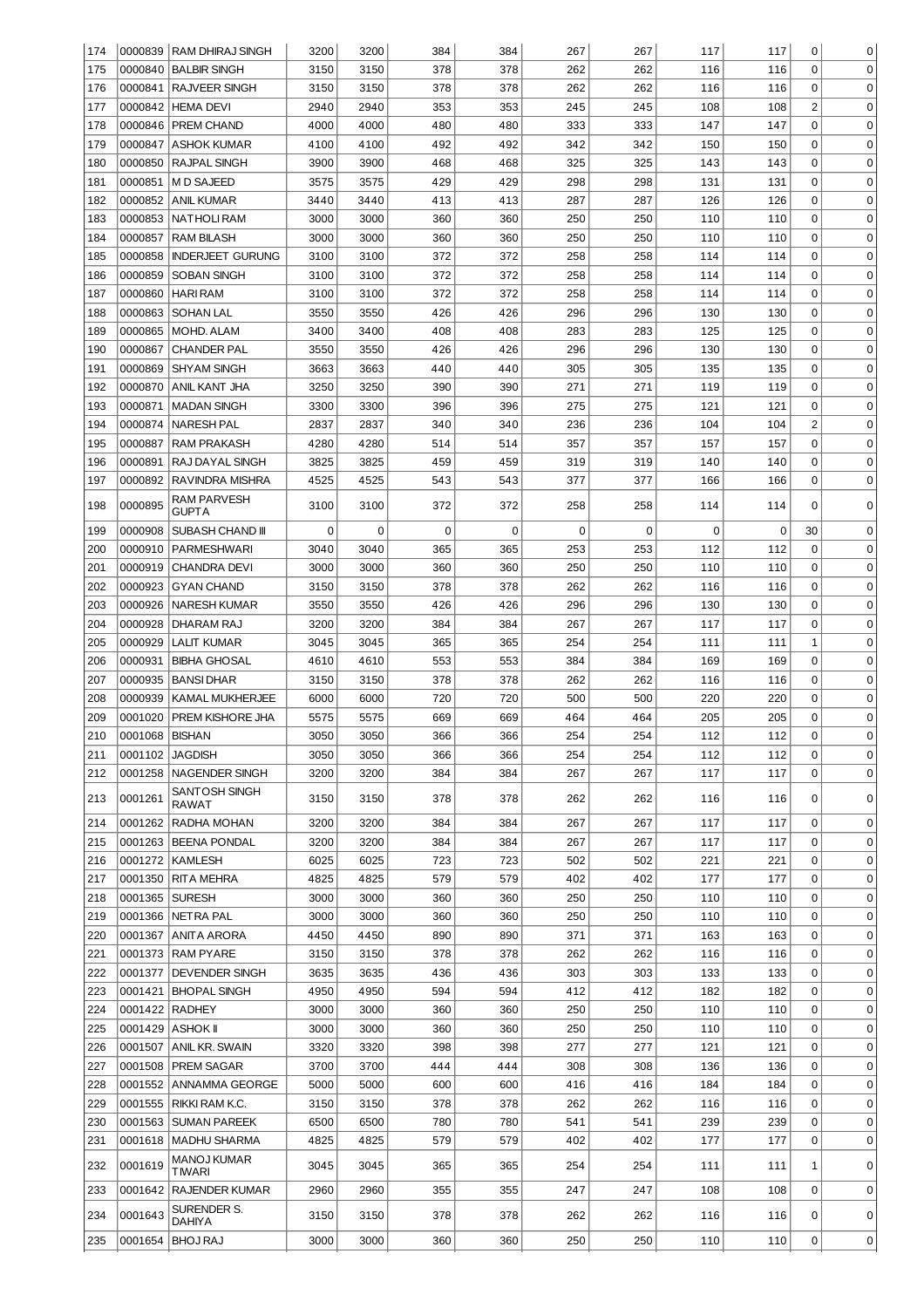| 174        |                  | 0000839 RAM DHIRAJ SINGH                     | 3200         | 3200         | 384        | 384        | 267         | 267        | 117        | 117        | 0              | 0           |
|------------|------------------|----------------------------------------------|--------------|--------------|------------|------------|-------------|------------|------------|------------|----------------|-------------|
| 175        |                  | 0000840 BALBIR SINGH                         | 3150         | 3150         | 378        | 378        | 262         | 262        | 116        | 116        | $\mathbf 0$    | 0           |
| 176        | 0000841          | RAJVEER SINGH                                | 3150         | 3150         | 378        | 378        | 262         | 262        | 116        | 116        | 0              | 0           |
| 177        |                  | 0000842 HEMA DEVI                            | 2940         | 2940         | 353        | 353        | 245         | 245        | 108        | 108        | $\overline{c}$ | 0           |
| 178        | 0000846          | <b>PREM CHAND</b>                            | 4000         | 4000         | 480        | 480        | 333         | 333        | 147        | 147        | 0              | 0           |
| 179        | 0000847          | <b>ASHOK KUMAR</b>                           | 4100         | 4100         | 492        | 492        | 342         | 342        | 150        | 150        | 0              | 0           |
| 180        | 0000850          | RAJPAL SINGH                                 | 3900         | 3900         | 468        | 468        | 325         | 325        | 143        | 143        | 0              | 0           |
| 181        | 0000851          | M D SAJEED                                   | 3575         | 3575         | 429        | 429        | 298         | 298        | 131        | 131        | 0              | 0           |
| 182        | 0000852          | ANIL KUMAR                                   | 3440         | 3440         | 413        | 413        | 287         | 287        | 126        | 126        | 0              | 0           |
| 183        | 0000853          | NATHOLI RAM                                  | 3000         | 3000         | 360        | 360        | 250         | 250        | 110        | 110        | 0              | 0           |
| 184        | 0000857          | <b>RAM BILASH</b>                            | 3000         | 3000         | 360        | 360        | 250         | 250        | 110        | 110        | 0              | 0           |
| 185        | 0000858          | <b>INDERJEET GURUNG</b>                      | 3100         | 3100         | 372        | 372        | 258         | 258        | 114        | 114        | 0              | 0           |
| 186        | 0000859          | <b>SOBAN SINGH</b>                           | 3100         | 3100         | 372        | 372        | 258         | 258        | 114        | 114        | 0              | 0           |
| 187        | 0000860          | <b>HARI RAM</b>                              | 3100         | 3100         | 372        | 372        | 258         | 258        | 114        | 114        | 0              | 0           |
| 188        | 0000863          | <b>SOHAN LAL</b>                             | 3550         | 3550         | 426        | 426        | 296         | 296        | 130        | 130        | $\mathbf 0$    | $\mathbf 0$ |
| 189        | 0000865          | <b>MOHD. ALAM</b>                            | 3400         | 3400         | 408        | 408        | 283         | 283        | 125        | 125        | $\mathbf 0$    | $\mathbf 0$ |
| 190        | 0000867          | <b>CHANDER PAL</b>                           | 3550         | 3550         | 426        | 426        | 296         | 296        | 130        | 130        | $\mathbf 0$    | 0           |
| 191        | 0000869          | <b>SHYAM SINGH</b>                           | 3663         | 3663         | 440        | 440        | 305         | 305        | 135        | 135        | $\mathbf 0$    | 0           |
| 192        | 0000870          | <b>ANIL KANT JHA</b>                         | 3250         | 3250         | 390        | 390        | 271         | 271        | 119        | 119        | $\mathbf 0$    | 0           |
| 193        | 0000871          | <b>MADAN SINGH</b>                           | 3300         | 3300         | 396        | 396        | 275         | 275        | 121        | 121        | $\mathbf 0$    | 0           |
| 194        | 0000874          | <b>NARESH PAL</b>                            | 2837         | 2837         | 340        | 340        | 236         | 236        | 104        | 104        | $\overline{2}$ | 0           |
|            |                  | <b>RAM PRAKASH</b>                           |              | 4280         | 514        |            | 357         | 357        | 157        | 157        | $\mathbf 0$    |             |
| 195        | 0000887          |                                              | 4280         |              |            | 514        |             |            |            |            |                | 0           |
| 196        | 0000891          | RAJ DAYAL SINGH                              | 3825         | 3825         | 459        | 459        | 319         | 319        | 140        | 140        | $\mathbf 0$    | 0           |
| 197        | 0000892          | RAVINDRA MISHRA                              | 4525         | 4525         | 543        | 543        | 377         | 377        | 166        | 166        | $\mathbf 0$    | 0           |
| 198        | 0000895          | RAM PARVESH<br>GUPTA                         | 3100         | 3100         | 372        | 372        | 258         | 258        | 114        | 114        | 0              | 0           |
| 199        | 0000908          | SUBASH CHAND III                             | 0            | 0            | $\pmb{0}$  | 0          | $\mathbf 0$ | 0          | 0          | 0          | 30             | 0           |
| 200        | 0000910          | PARMESHWARI                                  | 3040         | 3040         | 365        | 365        | 253         | 253        | 112        | 112        | 0              | 0           |
| 201        | 0000919          | <b>CHANDRA DEVI</b>                          | 3000         | 3000         | 360        | 360        | 250         | 250        | 110        | 110        | 0              | 0           |
| 202        | 0000923          | <b>GYAN CHAND</b>                            | 3150         | 3150         | 378        | 378        | 262         | 262        | 116        | 116        | 0              | 0           |
| 203        | 0000926          | <b>NARESH KUMAR</b>                          | 3550         | 3550         | 426        | 426        | 296         | 296        | 130        | 130        | 0              | 0           |
| 204        | 0000928          | DHARAM RAJ                                   | 3200         | 3200         | 384        | 384        | 267         | 267        | 117        | 117        | $\mathbf 0$    | 0           |
| 205        | 0000929          | LALIT KUMAR                                  | 3045         | 3045         | 365        | 365        | 254         | 254        | 111        | 111        | $\mathbf{1}$   | 0           |
| 206        | 0000931          | <b>BIBHA GHOSAL</b>                          | 4610         | 4610         | 553        | 553        | 384         | 384        | 169        | 169        | $\mathbf 0$    | 0           |
| 207        | 0000935          | <b>BANSIDHAR</b>                             | 3150         | 3150         | 378        | 378        | 262         | 262        | 116        | 116        | $\mathbf 0$    | 0           |
| 208        | 0000939          | <b>KAMAL MUKHERJEE</b>                       | 6000         | 6000         | 720        | 720        | 500         | 500        | 220        | 220        | 0              | 0           |
| 209        | 0001020          | <b>PREM KISHORE JHA</b>                      | 5575         | 5575         | 669        | 669        | 464         | 464        | 205        | 205        | 0              | 0           |
| 210        | 0001068   BISHAN |                                              | 3050         | 3050         | 366        | 366        | 254         | 254        | 112        | 112        | $\Omega$       | 0           |
| 211        | 0001102 JAGDISH  |                                              | 3050         | 3050         | 366        | 366        | 254         | 254        | 112        | 112        | 0              | 0           |
| 212        | 0001258          | <b>NAGENDER SINGH</b>                        | 3200         | 3200         | 384        | 384        | 267         | 267        | 117        | 117        | 0              | 0           |
| 213        | 0001261          | SANTOSH SINGH<br><b>RAWAT</b>                | 3150         | 3150         | 378        | 378        | 262         | 262        | 116        | 116        | 0              | $\mathbf 0$ |
| 214        | 0001262          | RADHA MOHAN                                  | 3200         | 3200         | 384        | 384        | 267         | 267        | 117        | 117        | 0              | 0           |
| 215        |                  | 0001263   BEENA PONDAL                       | 3200         | 3200         | 384        | 384        | 267         | 267        | 117        | 117        | 0              | $\mathbf 0$ |
| 216        |                  | 0001272 KAMLESH                              | 6025         | 6025         | 723        | 723        | 502         | 502        | 221        | 221        | 0              | $\mathbf 0$ |
| 217        |                  | 0001350 RITA MEHRA                           | 4825         | 4825         | 579        | 579        | 402         | 402        | 177        | 177        | 0              | $\mathbf 0$ |
| 218        | 0001365 SURESH   |                                              | 3000         | 3000         | 360        | 360        | 250         | 250        | 110        | 110        | 0              | $\mathbf 0$ |
| 219        |                  | 0001366 NETRA PAL                            | 3000         | 3000         | 360        | 360        | 250         | 250        | 110        | 110        | 0              | $\mathbf 0$ |
| 220        | 0001367          | ANITA ARORA                                  | 4450         | 4450         | 890        | 890        | 371         | 371        | 163        | 163        | 0              | $\mathbf 0$ |
| 221        |                  | 0001373   RAM PYARE                          | 3150         | 3150         | 378        | 378        | 262         | 262        | 116        | 116        | 0              | $\mathbf 0$ |
| 222        | 0001377          | DEVENDER SINGH                               | 3635         | 3635         | 436        | 436        | 303         | 303        | 133        | 133        | 0              | $\mathbf 0$ |
| 223        |                  | 0001421   BHOPAL SINGH                       | 4950         | 4950         | 594        | 594        | 412         | 412        | 182        | 182        | 0              | $\mathbf 0$ |
| 224        | 0001422 RADHEY   |                                              | 3000         | 3000         | 360        | 360        | 250         | 250        | 110        | 110        | 0              | $\mathbf 0$ |
|            |                  |                                              |              |              |            |            |             |            |            |            | 0              | $\mathbf 0$ |
| 225<br>226 |                  | 0001429 ASHOK II<br>0001507   ANIL KR. SWAIN | 3000<br>3320 | 3000<br>3320 | 360<br>398 | 360<br>398 | 250<br>277  | 250<br>277 | 110<br>121 | 110<br>121 | 0              | $\mathbf 0$ |
|            |                  |                                              |              |              |            |            |             |            |            |            |                |             |
| 227        |                  | 0001508   PREM SAGAR                         | 3700         | 3700         | 444        | 444        | 308         | 308        | 136        | 136        | 0              | $\mathbf 0$ |
| 228        |                  | 0001552 ANNAMMA GEORGE                       | 5000         | 5000         | 600        | 600        | 416         | 416        | 184        | 184        | $\mathbf 0$    | $\mathbf 0$ |
| 229        |                  | 0001555   RIKKI RAM K.C.                     | 3150         | 3150         | 378        | 378        | 262         | 262        | 116        | 116        | $\mathbf 0$    | $\mathbf 0$ |
| 230        | 0001563          | SUMAN PAREEK                                 | 6500         | 6500         | 780        | 780        | 541         | 541        | 239        | 239        | 0              | $\mathbf 0$ |
| 231        | 0001618          | MADHU SHARMA                                 | 4825         | 4825         | 579        | 579        | 402         | 402        | 177        | 177        | 0              | $\mathbf 0$ |
| 232        | 0001619          | MANOJ KUMAR<br>TMARI                         | 3045         | 3045         | 365        | 365        | 254         | 254        | 111        | 111        | 1              | 0           |
| 233        | 0001642          | <b>RAJENDER KUMAR</b>                        | 2960         | 2960         | 355        | 355        | 247         | 247        | 108        | 108        | 0              | $\mathbf 0$ |
| 234        | 0001643          | SURENDER S.<br>DAHIYA                        | 3150         | 3150         | 378        | 378        | 262         | 262        | 116        | 116        | 0              | 0           |
| 235        | 0001654          | <b>BHOJ RAJ</b>                              | 3000         | 3000         | 360        | 360        | 250         | 250        | 110        | 110        | 0              | 0           |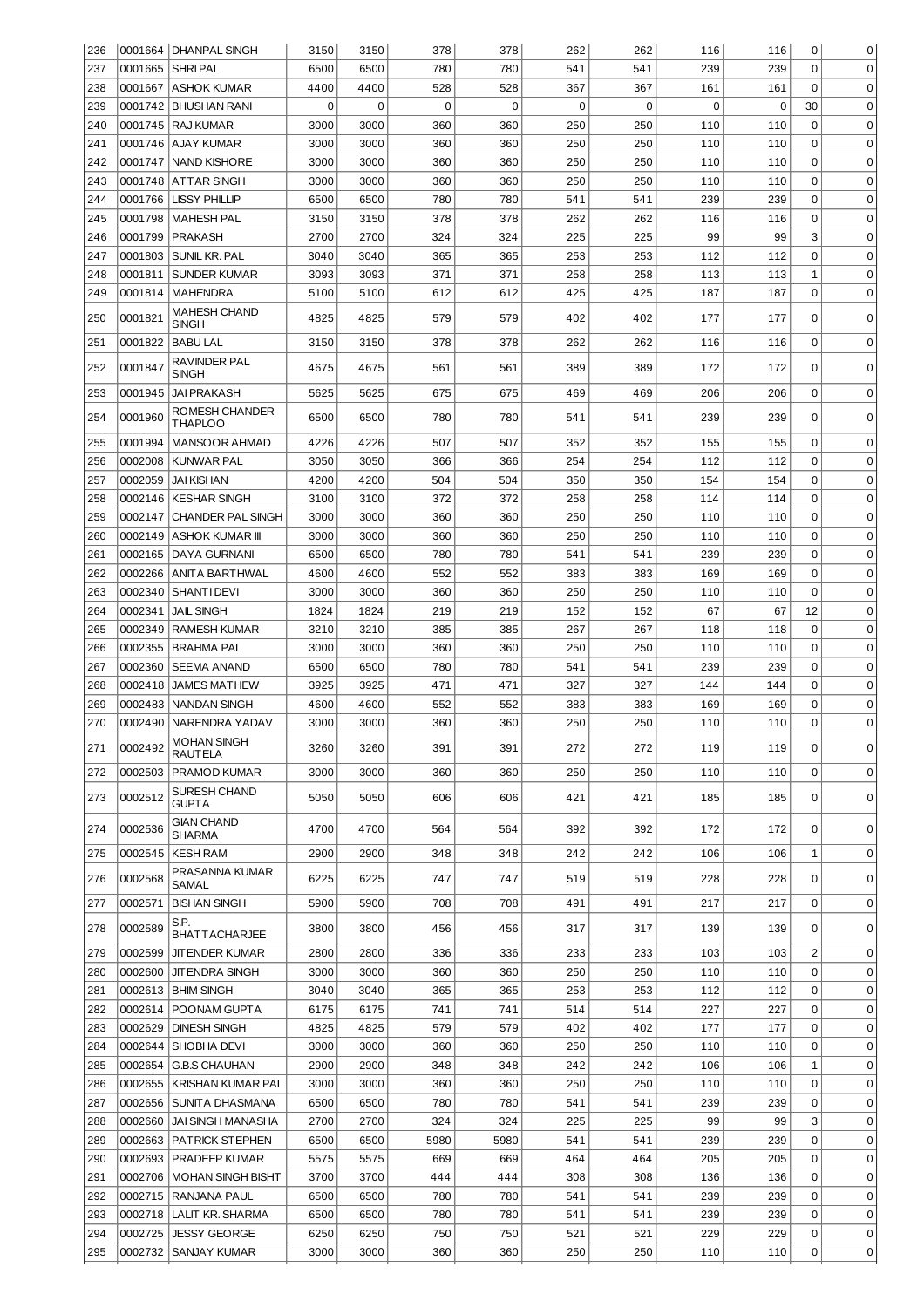| 236 |         | 0001664   DHANPAL SINGH            | 3150        | 3150 | 378         | 378         | 262         | 262 | 116         | 116         | 0            | 0           |
|-----|---------|------------------------------------|-------------|------|-------------|-------------|-------------|-----|-------------|-------------|--------------|-------------|
| 237 | 0001665 | SHRI PAL                           | 6500        | 6500 | 780         | 780         | 541         | 541 | 239         | 239         | $\mathbf 0$  | $\mathbf 0$ |
| 238 |         | 0001667 ASHOK KUMAR                | 4400        | 4400 | 528         | 528         | 367         | 367 | 161         | 161         | $\mathbf 0$  | $\mathbf 0$ |
| 239 |         | 0001742 BHUSHAN RANI               | $\mathbf 0$ | 0    | $\mathbf 0$ | $\mathbf 0$ | $\mathbf 0$ | 0   | $\mathbf 0$ | $\mathbf 0$ | 30           | 0           |
| 240 |         | 0001745   RAJ KUMAR                | 3000        | 3000 | 360         | 360         | 250         | 250 | 110         | 110         | 0            | $\mathbf 0$ |
| 241 |         | 0001746   AJAY KUMAR               | 3000        | 3000 | 360         | 360         | 250         | 250 | 110         | 110         | $\mathbf 0$  | $\mathbf 0$ |
| 242 | 0001747 | NAND KISHORE                       | 3000        | 3000 | 360         | 360         | 250         | 250 | 110         | 110         | $\mathbf 0$  | $\mathbf 0$ |
| 243 | 0001748 | ATTAR SINGH                        | 3000        | 3000 | 360         | 360         | 250         | 250 | 110         | 110         | $\mathbf 0$  | $\mathbf 0$ |
| 244 | 0001766 | <b>LISSY PHILLIP</b>               | 6500        | 6500 | 780         | 780         | 541         | 541 | 239         | 239         | $\mathbf 0$  | $\mathbf 0$ |
| 245 | 0001798 | <b>MAHESH PAL</b>                  | 3150        | 3150 | 378         | 378         | 262         | 262 | 116         | 116         | $\mathbf 0$  | $\mathbf 0$ |
| 246 | 0001799 | <b>PRAKASH</b>                     | 2700        | 2700 | 324         | 324         | 225         | 225 | 99          | 99          | 3            | $\mathbf 0$ |
| 247 | 0001803 | SUNIL KR. PAL                      | 3040        | 3040 | 365         | 365         | 253         | 253 | 112         | 112         | $\mathbf 0$  | $\mathbf 0$ |
| 248 | 0001811 | <b>SUNDER KUMAR</b>                | 3093        | 3093 | 371         | 371         | 258         | 258 | 113         | 113         | $\mathbf{1}$ | $\mathbf 0$ |
| 249 | 0001814 | <b>MAHENDRA</b>                    | 5100        | 5100 | 612         | 612         | 425         | 425 | 187         | 187         | $\mathbf 0$  | 0           |
| 250 | 0001821 | MAHESH CHAND<br>SINGH              | 4825        | 4825 | 579         | 579         | 402         | 402 | 177         | 177         | 0            | 0           |
| 251 | 0001822 | <b>BABU LAL</b>                    | 3150        | 3150 | 378         | 378         | 262         | 262 | 116         | 116         | 0            | 0           |
| 252 | 0001847 | RAVINDER PAL<br><b>SINGH</b>       | 4675        | 4675 | 561         | 561         | 389         | 389 | 172         | 172         | 0            | 0           |
| 253 | 0001945 | <b>JAI PRAKASH</b>                 | 5625        | 5625 | 675         | 675         | 469         | 469 | 206         | 206         | $\mathbf 0$  | 0           |
| 254 | 0001960 | ROMESH CHANDER<br><b>THAPLOO</b>   | 6500        | 6500 | 780         | 780         | 541         | 541 | 239         | 239         | 0            | 0           |
| 255 | 0001994 | <b>MANSOOR AHMAD</b>               | 4226        | 4226 | 507         | 507         | 352         | 352 | 155         | 155         | 0            | 0           |
| 256 | 0002008 | <b>KUNWAR PAL</b>                  | 3050        | 3050 | 366         | 366         | 254         | 254 | 112         | 112         | 0            | 0           |
| 257 | 0002059 | JAI KISHAN                         | 4200        | 4200 | 504         | 504         | 350         | 350 | 154         | 154         | 0            | 0           |
| 258 | 0002146 | KESHAR SINGH                       | 3100        | 3100 | 372         | 372         | 258         | 258 | 114         | 114         | 0            | 0           |
| 259 | 0002147 | <b>CHANDER PAL SINGH</b>           | 3000        | 3000 | 360         | 360         | 250         | 250 | 110         | 110         | 0            | 0           |
| 260 | 0002149 | ∣ASHOK KUMAR III                   | 3000        | 3000 | 360         | 360         | 250         | 250 | 110         | 110         | 0            | 0           |
| 261 | 0002165 | DAYA GURNANI                       | 6500        | 6500 | 780         | 780         | 541         | 541 | 239         | 239         | 0            | 0           |
| 262 | 0002266 | ANITA BARTHWAL                     | 4600        | 4600 | 552         | 552         | 383         | 383 | 169         | 169         | 0            | 0           |
| 263 | 0002340 | <b>SHANTIDEVI</b>                  | 3000        | 3000 | 360         | 360         | 250         | 250 | 110         | 110         | $\Omega$     | 0           |
| 264 | 0002341 | <b>JAIL SINGH</b>                  | 1824        | 1824 | 219         | 219         | 152         | 152 | 67          | 67          | 12           | 0           |
| 265 | 0002349 | <b>RAMESH KUMAR</b>                | 3210        | 3210 | 385         | 385         | 267         | 267 | 118         | 118         | $\mathbf 0$  | 0           |
| 266 | 0002355 | <b>BRAHMA PAL</b>                  | 3000        | 3000 | 360         | 360         | 250         | 250 | 110         | 110         | $\Omega$     | 0           |
| 267 | 0002360 | <b>SEEMA ANAND</b>                 | 6500        | 6500 | 780         | 780         | 541         | 541 | 239         | 239         | $\Omega$     | 0           |
| 268 | 0002418 | <b>JAMES MATHEW</b>                | 3925        | 3925 | 471         | 471         | 327         | 327 | 144         | 144         | $\Omega$     | 0           |
| 269 | 0002483 | <b>NANDAN SINGH</b>                | 4600        | 4600 | 552         | 552         | 383         | 383 | 169         | 169         | $\mathbf 0$  | 0           |
| 270 | 0002490 | NARENDRA YADAV                     | 3000        | 3000 | 360         | 360         | 250         | 250 | 110         | 110         | 0            | 0           |
| 271 | 0002492 | MOHAN SINGH<br>RAUTELA             | 3260        | 3260 | 391         | 391         | 272         | 272 | 119         | 119         | 0            | 0           |
| 272 |         | 0002503 PRAMOD KUMAR               | 3000        | 3000 | 360         | 360         | 250         | 250 | 110         | 110         | 0            | $\mathbf 0$ |
| 273 | 0002512 | SURESH CHAND<br>GUPTA              | 5050        | 5050 | 606         | 606         | 421         | 421 | 185         | 185         | 0            | $\mathbf 0$ |
| 274 | 0002536 | <b>GIAN CHAND</b><br><b>SHARMA</b> | 4700        | 4700 | 564         | 564         | 392         | 392 | 172         | 172         | 0            | 0           |
| 275 | 0002545 | KESH RAM                           | 2900        | 2900 | 348         | 348         | 242         | 242 | 106         | 106         | 1            | $\mathbf 0$ |
| 276 | 0002568 | PRASANNA KUMAR<br>SAMAL            | 6225        | 6225 | 747         | 747         | 519         | 519 | 228         | 228         | 0            | 0           |
| 277 | 0002571 | <b>BISHAN SINGH</b>                | 5900        | 5900 | 708         | 708         | 491         | 491 | 217         | 217         | 0            | 0           |
| 278 | 0002589 | S.P.<br><b>BHATTACHARJEE</b>       | 3800        | 3800 | 456         | 456         | 317         | 317 | 139         | 139         | 0            | $\mathbf 0$ |
| 279 | 0002599 | <b>JITENDER KUMAR</b>              | 2800        | 2800 | 336         | 336         | 233         | 233 | 103         | 103         | 2            | 0           |
| 280 | 0002600 | <b>JITENDRA SINGH</b>              | 3000        | 3000 | 360         | 360         | 250         | 250 | 110         | 110         | 0            | 0           |
| 281 |         | 0002613   BHIM SINGH               | 3040        | 3040 | 365         | 365         | 253         | 253 | 112         | 112         | 0            | 0           |
| 282 | 0002614 | POONAM GUPTA                       | 6175        | 6175 | 741         | 741         | 514         | 514 | 227         | 227         | 0            | 0           |
| 283 | 0002629 | <b>DINESH SINGH</b>                | 4825        | 4825 | 579         | 579         | 402         | 402 | 177         | 177         | 0            | 0           |
| 284 |         | 0002644 SHOBHA DEVI                | 3000        | 3000 | 360         | 360         | 250         | 250 | 110         | 110         | 0            | 0           |
| 285 | 0002654 | <b>G.B.S CHAUHAN</b>               | 2900        | 2900 | 348         | 348         | 242         | 242 | 106         | 106         | 1            | 0           |
| 286 |         | 0002655   KRISHAN KUMAR PAL        | 3000        | 3000 | 360         | 360         | 250         | 250 | 110         | 110         | 0            | 0           |
| 287 | 0002656 | SUNITA DHASMANA                    | 6500        | 6500 | 780         | 780         | 541         | 541 | 239         | 239         | 0            | 0           |
| 288 |         | 0002660 JAI SINGH MANASHA          | 2700        | 2700 | 324         | 324         | 225         | 225 | 99          | 99          | 3            | $\mathbf 0$ |
| 289 |         | 0002663   PATRICK STEPHEN          | 6500        | 6500 | 5980        | 5980        | 541         | 541 | 239         | 239         | 0            | $\mathbf 0$ |
| 290 |         | 0002693   PRADEEP KUMAR            | 5575        | 5575 | 669         | 669         | 464         | 464 | 205         | 205         | 0            | $\mathbf 0$ |
| 291 |         | 0002706   MOHAN SINGH BISHT        | 3700        | 3700 | 444         | 444         | 308         | 308 | 136         | 136         | 0            | $\mathbf 0$ |
| 292 |         | 0002715 RANJANA PAUL               | 6500        | 6500 | 780         | 780         | 541         | 541 | 239         | 239         | 0            | $\mathbf 0$ |
| 293 |         | 0002718   LALIT KR. SHARMA         | 6500        | 6500 | 780         | 780         | 541         | 541 | 239         | 239         | 0            | $\mathbf 0$ |
| 294 | 0002725 | <b>JESSY GEORGE</b>                | 6250        | 6250 | 750         | 750         | 521         | 521 | 229         | 229         | 0            | 0           |
| 295 | 0002732 | SANJAY KUMAR                       | 3000        | 3000 | 360         | 360         | 250         | 250 | 110         | 110         | 0            | 0           |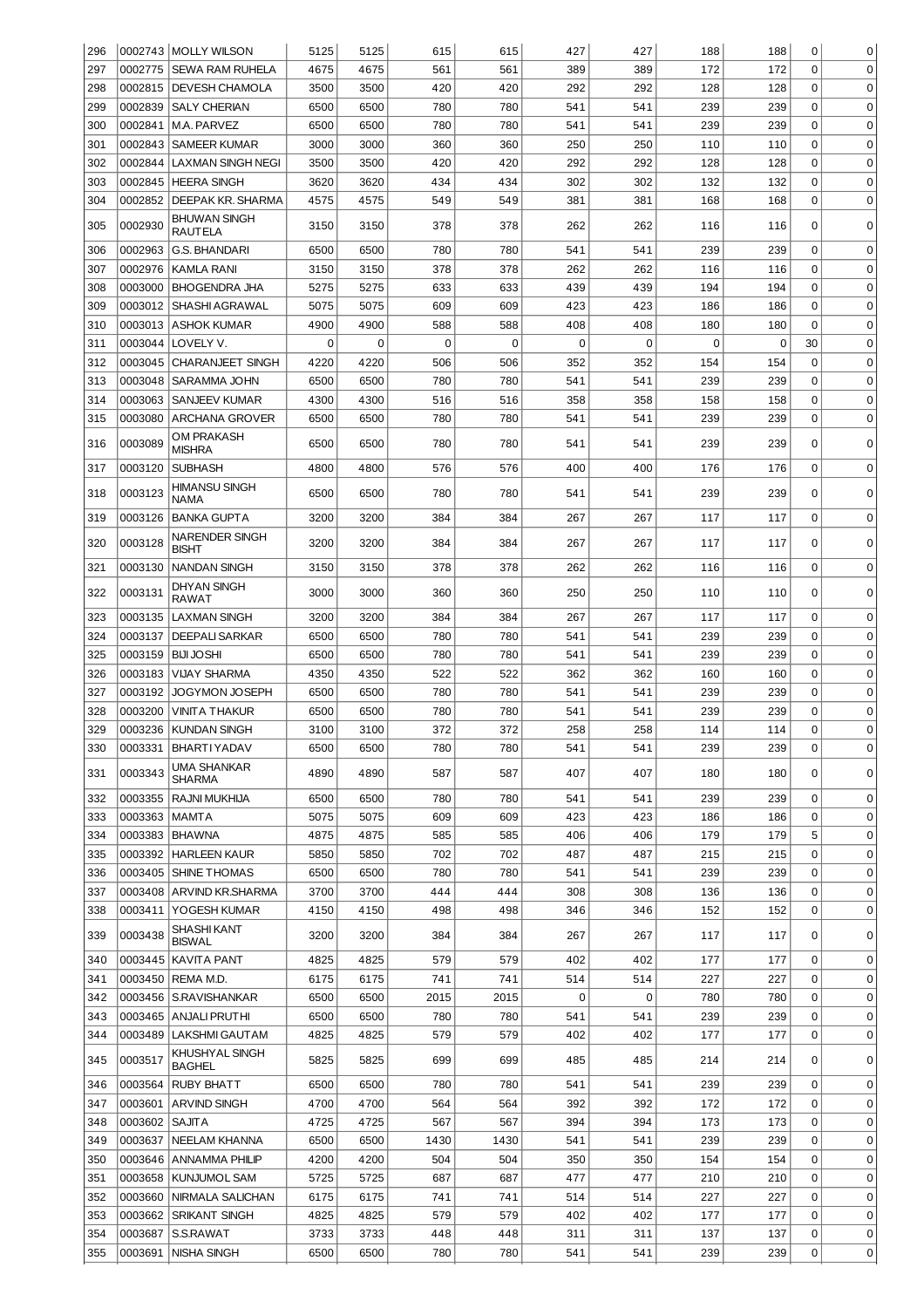| 296 |                | 0002743 MOLLY WILSON                | 5125 | 5125        | 615  | 615  | 427      | 427         | 188 | 188         | 0           | 0           |
|-----|----------------|-------------------------------------|------|-------------|------|------|----------|-------------|-----|-------------|-------------|-------------|
| 297 |                | 0002775   SEWA RAM RUHELA           | 4675 | 4675        | 561  | 561  | 389      | 389         | 172 | 172         | $\Omega$    | $\mathbf 0$ |
| 298 |                | 0002815   DEVESH CHAMOLA            | 3500 | 3500        | 420  | 420  | 292      | 292         | 128 | 128         | 0           | 0           |
| 299 | 0002839        | <b>SALY CHERIAN</b>                 | 6500 | 6500        | 780  | 780  | 541      | 541         | 239 | 239         | 0           | 0           |
| 300 | 0002841        | M.A. PARVEZ                         | 6500 | 6500        | 780  | 780  | 541      | 541         | 239 | 239         | 0           | 0           |
| 301 |                | 0002843   SAMEER KUMAR              | 3000 | 3000        | 360  | 360  | 250      | 250         | 110 | 110         | 0           | 0           |
| 302 | 0002844        | LAXMAN SINGH NEGI                   | 3500 | 3500        | 420  | 420  | 292      | 292         | 128 | 128         | 0           | 0           |
| 303 |                | 0002845   HEERA SINGH               | 3620 | 3620        | 434  | 434  | 302      | 302         | 132 | 132         | 0           | 0           |
| 304 | 0002852        | DEEPAK KR. SHARMA                   | 4575 | 4575        | 549  | 549  | 381      | 381         | 168 | 168         | 0           | 0           |
|     |                | <b>BHUWAN SINGH</b>                 |      |             |      |      |          |             |     |             |             |             |
| 305 | 0002930        | <b>RAUTELA</b>                      | 3150 | 3150        | 378  | 378  | 262      | 262         | 116 | 116         | 0           | 0           |
| 306 | 0002963        | <b>G.S. BHANDARI</b>                | 6500 | 6500        | 780  | 780  | 541      | 541         | 239 | 239         | 0           | $\mathbf 0$ |
| 307 | 0002976        | <b>KAMLA RANI</b>                   | 3150 | 3150        | 378  | 378  | 262      | 262         | 116 | 116         | 0           | $\mathbf 0$ |
| 308 | 0003000        | <b>BHOGENDRA JHA</b>                | 5275 | 5275        | 633  | 633  | 439      | 439         | 194 | 194         | 0           | $\mathbf 0$ |
| 309 | 0003012        | SHASHI AGRAWAL                      | 5075 | 5075        | 609  | 609  | 423      | 423         | 186 | 186         | $\mathbf 0$ | $\mathbf 0$ |
| 310 | 0003013        | <b>ASHOK KUMAR</b>                  | 4900 | 4900        | 588  | 588  | 408      | 408         | 180 | 180         | 0           | $\mathbf 0$ |
| 311 | 0003044        | LOVELY V.                           | 0    | $\mathbf 0$ | 0    | 0    | 0        | $\mathbf 0$ | 0   | $\mathbf 0$ | 30          | $\mathbf 0$ |
| 312 | 0003045        | <b>CHARANJEET SINGH</b>             | 4220 | 4220        | 506  | 506  | 352      | 352         | 154 | 154         | 0           | $\mathbf 0$ |
| 313 | 0003048        | SARAMMA JOHN                        | 6500 | 6500        | 780  | 780  | 541      | 541         | 239 | 239         | 0           | $\mathbf 0$ |
| 314 | 0003063        | <b>SANJEEV KUMAR</b>                | 4300 | 4300        | 516  | 516  | 358      | 358         | 158 | 158         | 0           | $\mathbf 0$ |
| 315 | 0003080        | <b>ARCHANA GROVER</b>               | 6500 | 6500        | 780  | 780  | 541      | 541         | 239 | 239         | 0           | $\mathbf 0$ |
| 316 | 0003089        | <b>OM PRAKASH</b><br><b>MISHRA</b>  | 6500 | 6500        | 780  | 780  | 541      | 541         | 239 | 239         | 0           | 0           |
| 317 | 0003120        | <b>SUBHASH</b>                      | 4800 | 4800        | 576  | 576  | 400      | 400         | 176 | 176         | 0           | $\mathbf 0$ |
| 318 | 0003123        | <b>HIMANSU SINGH</b>                | 6500 | 6500        | 780  | 780  | 541      | 541         | 239 | 239         | 0           | 0           |
| 319 | 0003126        | NAMA<br><b>BANKA GUPTA</b>          | 3200 | 3200        | 384  | 384  | 267      | 267         | 117 | 117         | $\mathbf 0$ | 0           |
| 320 | 0003128        | <b>NARENDER SINGH</b>               | 3200 | 3200        | 384  | 384  | 267      | 267         | 117 | 117         | 0           | $\mathbf 0$ |
| 321 | 0003130        | <b>BISHT</b><br><b>NANDAN SINGH</b> | 3150 | 3150        | 378  | 378  | 262      | 262         | 116 | 116         | $\mathbf 0$ | 0           |
|     |                | <b>DHYAN SINGH</b>                  |      |             |      |      |          |             |     |             |             |             |
| 322 | 0003131        | <b>RAWAT</b>                        | 3000 | 3000        | 360  | 360  | 250      | 250         | 110 | 110         | 0           | 0           |
| 323 | 0003135        | <b>LAXMAN SINGH</b>                 | 3200 | 3200        | 384  | 384  | 267      | 267         | 117 | 117         | $\mathbf 0$ | $\mathbf 0$ |
| 324 | 0003137        | <b>DEEPALI SARKAR</b>               | 6500 | 6500        | 780  | 780  | 541      | 541         | 239 | 239         | $\mathbf 0$ | $\mathbf 0$ |
| 325 | 0003159        | <b>BIJI JOSHI</b>                   | 6500 | 6500        | 780  | 780  | 541      | 541         | 239 | 239         | $\mathbf 0$ | 0           |
| 326 | 0003183        | <b>VIJAY SHARMA</b>                 | 4350 | 4350        | 522  | 522  | 362      | 362         | 160 | 160         | $\mathbf 0$ | $\mathbf 0$ |
| 327 | 0003192        | JOGYMON JOSEPH                      | 6500 | 6500        | 780  | 780  | 541      | 541         | 239 | 239         | 0           | $\mathbf 0$ |
| 328 | 0003200        | <b>VINITA THAKUR</b>                | 6500 | 6500        | 780  | 780  | 541      | 541         | 239 | 239         | 0           | 0           |
| 329 | 0003236        | <b>KUNDAN SINGH</b>                 | 3100 | 3100        | 372  | 372  | 258      | 258         | 114 | 114         | $\Omega$    | $\mathbf 0$ |
| 330 |                | 0003331   BHARTI YADAV              | 6500 | 6500        | 780  | 780  | 541      | 541         | 239 | 239         | 0           | 0           |
| 331 | 0003343        | UMA SHANKAR<br><b>SHARMA</b>        | 4890 | 4890        | 587  | 587  | 407      | 407         | 180 | 180         | 0           | $\mathbf 0$ |
| 332 | 0003355        | <b>RAJNI MUKHIJA</b>                | 6500 | 6500        | 780  | 780  | 541      | 541         | 239 | 239         | $\mathbf 0$ | $\mathbf 0$ |
| 333 | 0003363        | <b>MAMTA</b>                        | 5075 | 5075        | 609  | 609  | 423      | 423         | 186 | 186         | $\mathbf 0$ | $\mathbf 0$ |
| 334 | 0003383        | <b>BHAWNA</b>                       | 4875 | 4875        | 585  | 585  | 406      | 406         | 179 | 179         | 5           | $\mathbf 0$ |
| 335 | 0003392        | <b>HARLEEN KAUR</b>                 | 5850 | 5850        | 702  | 702  | 487      | 487         | 215 | 215         | $\mathbf 0$ | $\mathbf 0$ |
| 336 | 0003405        | SHINE THOMAS                        | 6500 | 6500        | 780  | 780  | 541      | 541         | 239 | 239         | $\mathbf 0$ | $\mathbf 0$ |
| 337 | 0003408        | <b>ARVIND KR.SHARMA</b>             | 3700 | 3700        | 444  | 444  | 308      | 308         | 136 | 136         | 0           | $\mathbf 0$ |
| 338 | 0003411        | YOGESH KUMAR                        | 4150 | 4150        | 498  | 498  | 346      | 346         | 152 | 152         | 0           | $\mathbf 0$ |
| 339 | 0003438        | <b>SHASHI KANT</b><br><b>BISWAL</b> | 3200 | 3200        | 384  | 384  | 267      | 267         | 117 | 117         | 0           | 0           |
| 340 | 0003445        | <b>KAVITA PANT</b>                  | 4825 | 4825        | 579  | 579  | 402      | 402         | 177 | 177         | 0           | 0           |
| 341 | 0003450        | REMA M.D.                           | 6175 | 6175        | 741  | 741  | 514      | 514         | 227 | 227         | 0           | 0           |
| 342 | 0003456        | S.RAVISHANKAR                       | 6500 | 6500        | 2015 | 2015 | $\Omega$ | $\mathbf 0$ | 780 | 780         | 0           | 0           |
| 343 | 0003465        | ANJALI PRUTHI                       | 6500 | 6500        | 780  | 780  | 541      | 541         | 239 | 239         | 0           | 0           |
| 344 | 0003489        | LAKSHMI GAUTAM                      | 4825 | 4825        | 579  | 579  | 402      | 402         | 177 | 177         | 0           | 0           |
| 345 | 0003517        | KHUSHYAL SINGH<br><b>BAGHEL</b>     | 5825 | 5825        | 699  | 699  | 485      | 485         | 214 | 214         | 0           | $\mathbf 0$ |
| 346 | 0003564        | <b>RUBY BHATT</b>                   | 6500 | 6500        | 780  | 780  | 541      | 541         | 239 | 239         | $\mathbf 0$ | 0           |
| 347 |                | 0003601 ARVIND SINGH                | 4700 | 4700        | 564  | 564  | 392      | 392         | 172 | 172         | $\mathbf 0$ | 0           |
| 348 | 0003602 SAJITA |                                     | 4725 | 4725        | 567  | 567  | 394      | 394         | 173 | 173         | 0           | 0           |
| 349 |                | 0003637 NEELAM KHANNA               | 6500 | 6500        | 1430 | 1430 | 541      | 541         | 239 | 239         | 0           | 0           |
| 350 |                | 0003646 ANNAMMA PHILIP              | 4200 | 4200        | 504  | 504  | 350      | 350         | 154 | 154         | 0           | 0           |
| 351 |                | 0003658 KUNJUMOL SAM                | 5725 | 5725        | 687  | 687  | 477      | 477         | 210 | 210         | 0           | 0           |
| 352 |                | 0003660 NIRMALA SALICHAN            | 6175 | 6175        | 741  | 741  | 514      | 514         | 227 | 227         | 0           | 0           |
| 353 |                | 0003662 SRIKANT SINGH               | 4825 | 4825        | 579  | 579  | 402      | 402         | 177 | 177         | 0           | $\mathbf 0$ |
| 354 | 0003687        | S.S.RAWAT                           | 3733 | 3733        | 448  | 448  | 311      | 311         | 137 | 137         | 0           | 0           |
| 355 | 0003691        | NISHA SINGH                         | 6500 | 6500        | 780  | 780  | 541      | 541         | 239 | 239         | 0           | 0           |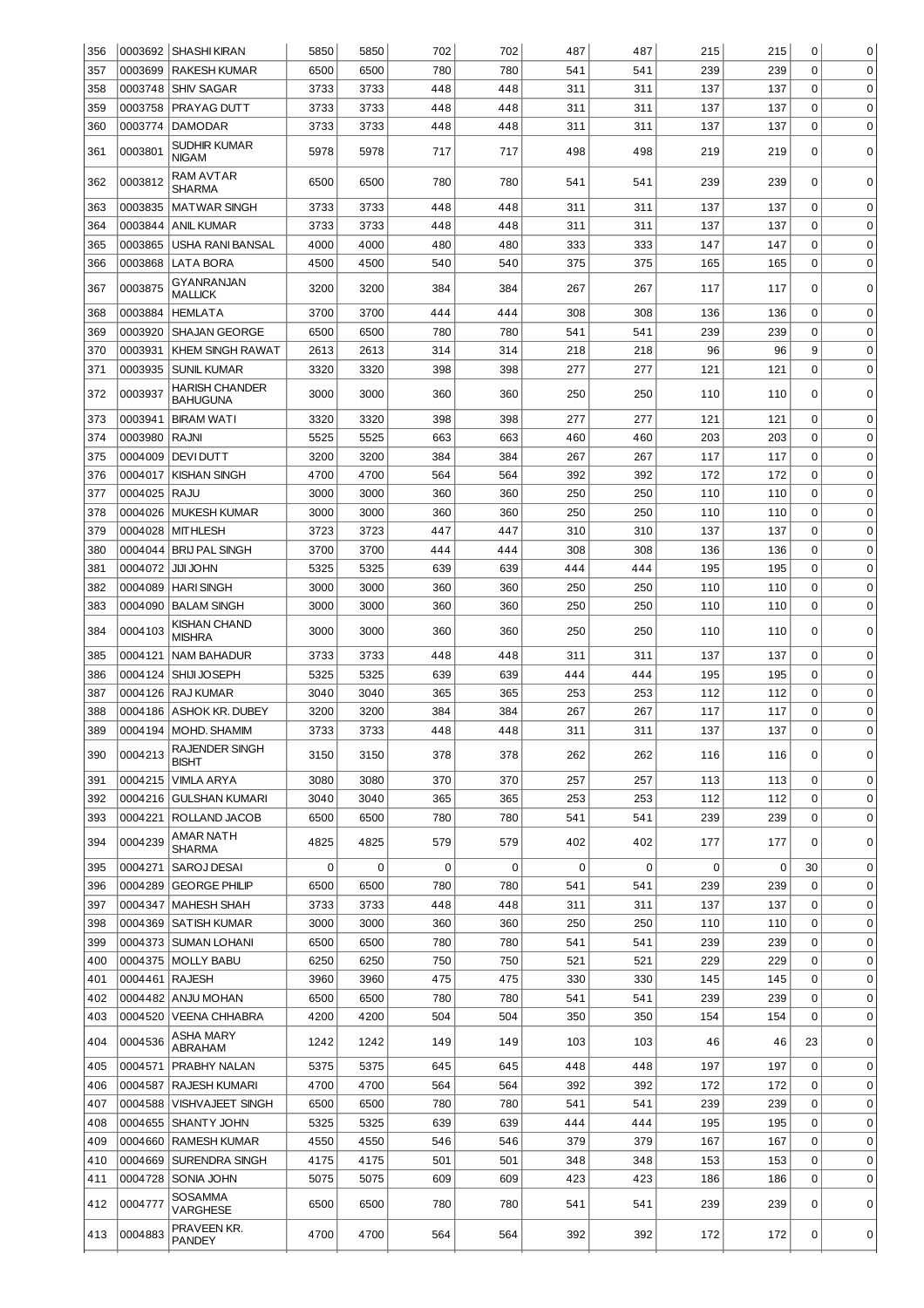| 356        |                    | 0003692 SHASHI KIRAN                     | 5850         | 5850         | 702        | 702         | 487        | 487        | 215        | 215        | 0                          | 0                          |
|------------|--------------------|------------------------------------------|--------------|--------------|------------|-------------|------------|------------|------------|------------|----------------------------|----------------------------|
| 357        | 0003699            | <b>RAKESH KUMAR</b>                      | 6500         | 6500         | 780        | 780         | 541        | 541        | 239        | 239        | $\Omega$                   | $\mathbf 0$                |
| 358        | 0003748            | <b>SHIV SAGAR</b>                        | 3733         | 3733         | 448        | 448         | 311        | 311        | 137        | 137        | 0                          | 0                          |
| 359        | 0003758            | PRAYAG DUTT                              | 3733         | 3733         | 448        | 448         | 311        | 311        | 137        | 137        | 0                          | $\mathbf 0$                |
| 360        | 0003774            | <b>DAMODAR</b>                           | 3733         | 3733         | 448        | 448         | 311        | 311        | 137        | 137        | 0                          | $\mathbf 0$                |
| 361        | 0003801            | <b>SUDHIR KUMAR</b><br><b>NIGAM</b>      | 5978         | 5978         | 717        | 717         | 498        | 498        | 219        | 219        | 0                          | $\mathbf 0$                |
| 362        | 0003812            | RAM AVTAR<br><b>SHARMA</b>               | 6500         | 6500         | 780        | 780         | 541        | 541        | 239        | 239        | 0                          | $\mathbf 0$                |
| 363        | 0003835            | <b>MATWAR SINGH</b>                      | 3733         | 3733         | 448        | 448         | 311        | 311        | 137        | 137        | $\mathbf 0$                | $\mathbf 0$                |
| 364        | 0003844            | <b>ANIL KUMAR</b>                        | 3733         | 3733         | 448        | 448         | 311        | 311        | 137        | 137        | $\mathbf 0$                | $\mathbf 0$                |
| 365        | 0003865            | <b>USHA RANI BANSAL</b>                  | 4000         | 4000         | 480        | 480         | 333        | 333        | 147        | 147        | $\mathbf 0$                | $\mathbf 0$                |
| 366        | 0003868            | LATA BORA                                | 4500         | 4500         | 540        | 540         | 375        | 375        | 165        | 165        | $\mathbf 0$                | $\mathbf 0$                |
| 367        | 0003875            | GYANRANJAN<br><b>MALLICK</b>             | 3200         | 3200         | 384        | 384         | 267        | 267        | 117        | 117        | 0                          | $\mathbf 0$                |
| 368        | 0003884            | <b>HEMLATA</b>                           | 3700         | 3700         | 444        | 444         | 308        | 308        | 136        | 136        | $\mathbf 0$                | 0                          |
| 369        | 0003920            | <b>SHAJAN GEORGE</b>                     | 6500         | 6500         | 780        | 780         | 541        | 541        | 239        | 239        | $\mathbf 0$                | $\mathbf 0$                |
| 370        | 0003931            | <b>KHEM SINGH RAWAT</b>                  | 2613         | 2613         | 314        | 314         | 218        | 218        | 96         | 96         | 9                          | $\mathbf 0$                |
| 371        | 0003935            | <b>SUNIL KUMAR</b>                       | 3320         | 3320         | 398        | 398         | 277        | 277        | 121        | 121        | $\mathbf 0$                | $\mathbf 0$                |
| 372        | 0003937            | <b>HARISH CHANDER</b><br><b>BAHUGUNA</b> | 3000         | 3000         | 360        | 360         | 250        | 250        | 110        | 110        | 0                          | 0                          |
| 373        | 0003941            | <b>BIRAM WATI</b>                        | 3320         | 3320         | 398        | 398         | 277        | 277        | 121        | 121        | $\mathbf 0$                | $\mathbf 0$                |
| 374        | 0003980            | <b>RAJNI</b>                             | 5525         | 5525         | 663        | 663         | 460        | 460        | 203        | 203        | $\mathbf 0$                | $\mathbf 0$                |
| 375        | 0004009            | <b>DEVIDUTT</b>                          | 3200         | 3200         | 384        | 384         | 267        | 267        | 117        | 117        | $\mathbf 0$                | $\mathbf 0$                |
| 376        | 0004017            | <b>KISHAN SINGH</b>                      | 4700         | 4700         | 564        | 564         | 392        | 392        | 172        | 172        | $\mathbf 0$                | $\mathbf 0$                |
| 377        | 0004025            | <b>RAJU</b>                              | 3000         | 3000         | 360        | 360         | 250        | 250        | 110        | 110        | $\mathbf 0$                | $\mathbf 0$                |
| 378        | 0004026            | <b>MUKESH KUMAR</b>                      | 3000         | 3000         | 360        | 360         | 250        | 250        | 110        | 110        | $\mathbf 0$                | $\mathbf 0$                |
| 379        | 0004028            | <b>MITHLESH</b>                          | 3723         | 3723         | 447        | 447         | 310        | 310        | 137        | 137        | $\mathbf 0$                | $\mathbf 0$                |
| 380        | 0004044            | <b>BRIJ PAL SINGH</b>                    | 3700         | 3700         | 444        | 444         | 308        | 308        | 136        | 136        | $\mathbf 0$                | $\mathbf 0$                |
| 381        | 0004072            | <b>JIJI JOHN</b>                         | 5325         | 5325         | 639        | 639         | 444        | 444        | 195        | 195        | $\mathbf 0$                | $\mathbf 0$                |
| 382        | 0004089            | <b>HARI SINGH</b>                        | 3000         | 3000         | 360        | 360         | 250        | 250        | 110        | 110        | $\mathbf 0$                | $\mathbf 0$                |
| 383        | 0004090            | <b>BALAM SINGH</b>                       | 3000         | 3000         | 360        | 360         | 250        | 250        | 110        | 110        | $\mathbf 0$                | $\mathbf 0$                |
| 384        | 0004103            | KISHAN CHAND<br><b>MISHRA</b>            | 3000         | 3000         | 360        | 360         | 250        | 250        | 110        | 110        | 0                          | 0                          |
| 385        | 0004121            | <b>NAM BAHADUR</b>                       | 3733         | 3733         | 448        | 448         | 311        | 311        | 137        | 137        | $\mathbf 0$                | $\mathbf 0$                |
| 386        | 0004124            | SHIJI JOSEPH                             | 5325         | 5325         | 639        | 639         | 444        | 444        | 195        | 195        | $\mathbf 0$                | 0                          |
| 387        | 0004126            | <b>RAJ KUMAR</b>                         | 3040         | 3040         | 365        | 365         | 253        | 253        | 112        | 112        | 0                          | 0                          |
| 388        | 0004186            | <b>ASHOK KR. DUBEY</b>                   | 3200         | 3200         | 384        | 384         | 267        | 267        | 117        | 117        | 0                          | $\mathbf 0$                |
| 389        |                    | 0004194   MOHD. SHAMIM                   | 3733         | 3733         | 448        | 448         | 311        | 311        | 137        | 137        | $\Omega$                   | 0                          |
|            |                    | RAJENDER SINGH                           |              |              |            |             |            |            |            |            |                            |                            |
| 390        | 0004213            | <b>BISHT</b>                             | 3150         | 3150         | 378        | 378         | 262        | 262        | 116        | 116        | 0                          | 0                          |
| 391        | 0004215            | <b>VIMLA ARYA</b>                        | 3080         | 3080         | 370        | 370         | 257        | 257        | 113        | 113        | $\mathbf 0$                | $\mathbf 0$                |
| 392        |                    | 0004216 GULSHAN KUMARI                   | 3040         | 3040         | 365        | 365         | 253        | 253        | 112        | 112        | $\mathbf 0$                | $\mathbf 0$                |
| 393<br>394 | 0004221<br>0004239 | ROLLAND JACOB<br>AMAR NATH               | 6500<br>4825 | 6500<br>4825 | 780<br>579 | 780<br>579  | 541<br>402 | 541<br>402 | 239<br>177 | 239<br>177 | 0<br>0                     | $\mathbf 0$<br>0           |
|            |                    | <b>SHARMA</b>                            |              | $\Omega$     |            |             |            | $\Omega$   | 0          |            |                            |                            |
| 395        | 0004271            | SAROJ DESAI                              | 0            |              | 0          | $\mathbf 0$ | 0          |            |            | 0          | 30                         | 0                          |
| 396        | 0004289            | <b>GEORGE PHILIP</b>                     | 6500         | 6500         | 780        | 780         | 541        | 541        | 239        | 239        | $\Omega$<br>$\Omega$       | $\mathbf 0$                |
| 397        | 0004347            | <b>MAHESH SHAH</b>                       | 3733         | 3733         | 448        | 448         | 311        | 311        | 137        | 137        |                            | $\mathbf 0$                |
| 398        | 0004369            | <b>SATISH KUMAR</b>                      | 3000         | 3000         | 360        | 360         | 250        | 250        | 110        | 110        | $\mathbf 0$<br>$\mathbf 0$ | $\mathbf 0$                |
| 399        | 0004373            | <b>SUMAN LOHANI</b>                      | 6500         | 6500         | 780        | 780         | 541        | 541        | 239        | 239        | $\mathbf 0$                | $\mathbf 0$                |
| 400<br>401 | 0004375<br>0004461 | <b>MOLLY BABU</b><br><b>RAJESH</b>       | 6250<br>3960 | 6250<br>3960 | 750<br>475 | 750<br>475  | 521<br>330 | 521<br>330 | 229<br>145 | 229<br>145 | $\mathbf 0$                | $\mathbf 0$<br>$\mathbf 0$ |
|            |                    |                                          |              |              |            |             |            |            |            |            | $\mathbf 0$                |                            |
| 402        |                    | 0004482 ANJU MOHAN                       | 6500         | 6500         | 780        | 780         | 541        | 541        | 239        | 239        | 0                          | $\mathbf 0$                |
| 403<br>404 | 0004520<br>0004536 | <b>VEENA CHHABRA</b><br>ASHA MARY        | 4200<br>1242 | 4200<br>1242 | 504<br>149 | 504<br>149  | 350<br>103 | 350<br>103 | 154<br>46  | 154<br>46  | 23                         | 0<br>$\mathbf 0$           |
|            |                    | ABRAHAM                                  |              |              |            |             |            |            |            |            |                            |                            |
| 405        |                    | 0004571 PRABHY NALAN                     | 5375         | 5375         | 645        | 645         | 448        | 448        | 197        | 197        | $\mathbf 0$                | $\mathbf 0$                |
| 406        |                    | 0004587 RAJESH KUMARI                    | 4700         | 4700         | 564        | 564         | 392        | 392        | 172        | 172        | 0                          | $\mathbf 0$                |
| 407        | 0004588            | <b>VISHVAJEET SINGH</b>                  | 6500         | 6500         | 780        | 780         | 541        | 541        | 239        | 239        | $\mathbf 0$                | $\mathbf 0$                |
| 408        |                    | 0004655 SHANTY JOHN                      | 5325         | 5325         | 639        | 639         | 444        | 444        | 195        | 195        | $\mathbf 0$                | $\mathbf 0$                |
| 409        |                    | 0004660 RAMESH KUMAR                     | 4550         | 4550         | 546        | 546         | 379        | 379        | 167        | 167        | $\mathbf 0$                | $\mathbf 0$                |
| 410        | 0004669            | SURENDRA SINGH                           | 4175         | 4175         | 501        | 501<br>609  | 348        | 348        | 153        | 153        | 0<br>$\mathbf 0$           | $\mathbf 0$<br>$\mathbf 0$ |
| 411        | 0004728            | SONIA JOHN                               | 5075         | 5075         | 609        |             | 423        | 423        | 186        | 186        |                            |                            |
| 412        | 0004777            | SOSAMMA<br>VARGHESE                      | 6500         | 6500         | 780        | 780         | 541        | 541        | 239        | 239        | 0                          | 0                          |
| 413        | 0004883            | PRAVEEN KR.<br><b>PANDEY</b>             | 4700         | 4700         | 564        | 564         | 392        | 392        | 172        | 172        | 0                          | 0                          |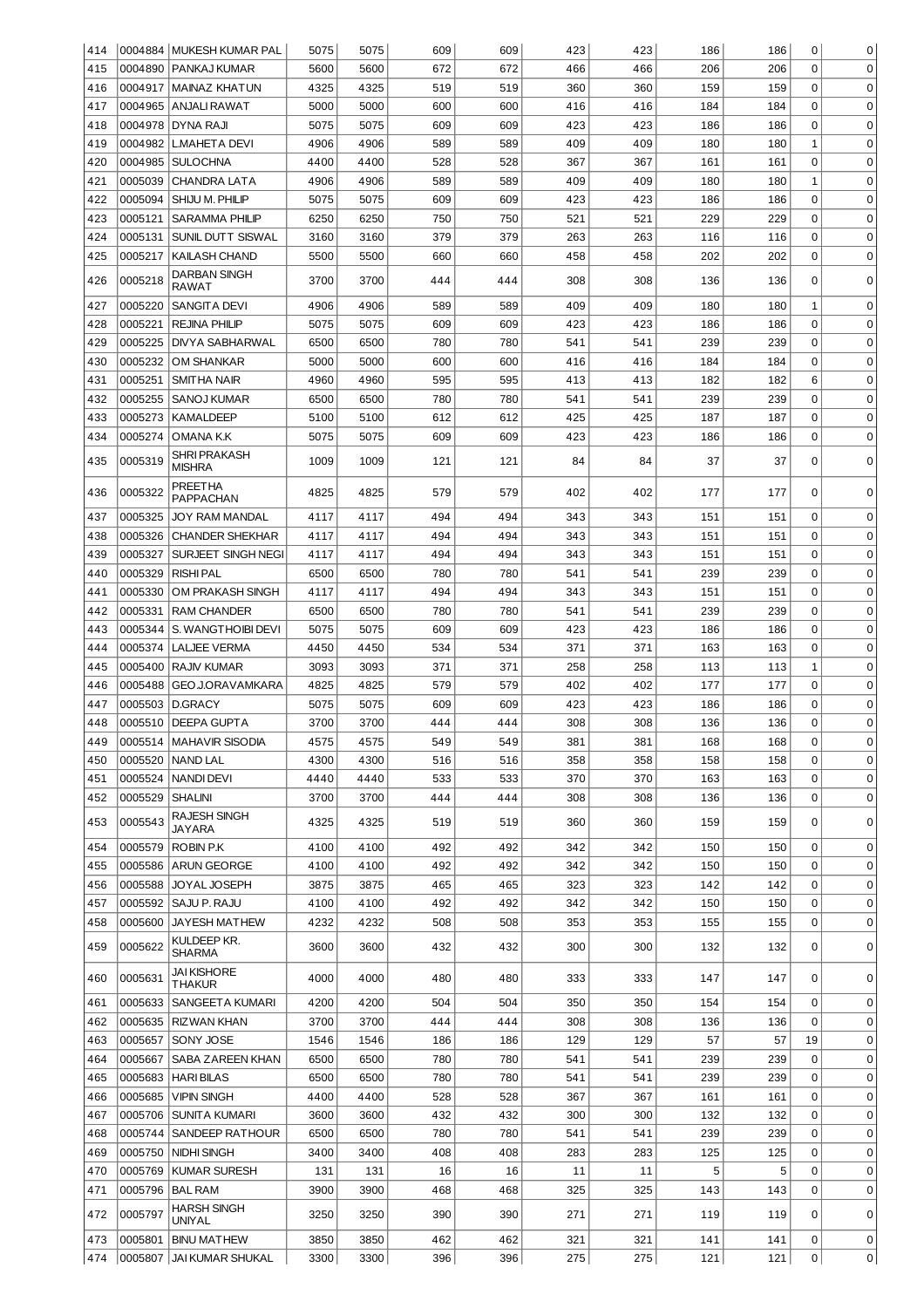| 414 |         | 0004884 MUKESH KUMAR PAL    | 5075 | 5075 | 609 | 609 | 423 | 423 | 186 | 186 | 0            | 0           |
|-----|---------|-----------------------------|------|------|-----|-----|-----|-----|-----|-----|--------------|-------------|
| 415 | 0004890 | <b>PANKAJ KUMAR</b>         | 5600 | 5600 | 672 | 672 | 466 | 466 | 206 | 206 | $\Omega$     | 0           |
| 416 | 0004917 | İMAINAZ KHATUN              | 4325 | 4325 | 519 | 519 | 360 | 360 | 159 | 159 | 0            | 0           |
| 417 |         | 0004965 ANJALI RAWAT        | 5000 | 5000 | 600 | 600 | 416 | 416 | 184 | 184 | $\mathbf 0$  | $\mathbf 0$ |
| 418 | 0004978 | DYNA RAJI                   | 5075 | 5075 | 609 | 609 | 423 | 423 | 186 | 186 | $\mathbf 0$  | $\mathbf 0$ |
| 419 | 0004982 | <b>L.MAHETA DEVI</b>        | 4906 | 4906 | 589 | 589 | 409 | 409 | 180 | 180 | $\mathbf{1}$ | $\mathbf 0$ |
| 420 | 0004985 | SULOCHNA                    | 4400 | 4400 | 528 | 528 | 367 | 367 | 161 | 161 | $\mathbf 0$  | $\mathbf 0$ |
|     |         |                             |      |      |     |     |     |     |     |     |              | $\mathbf 0$ |
| 421 | 0005039 | <b>CHANDRA LATA</b>         | 4906 | 4906 | 589 | 589 | 409 | 409 | 180 | 180 | $\mathbf{1}$ |             |
| 422 | 0005094 | SHIJU M. PHILIP             | 5075 | 5075 | 609 | 609 | 423 | 423 | 186 | 186 | $\mathbf 0$  | 0           |
| 423 | 0005121 | <b>SARAMMA PHILIP</b>       | 6250 | 6250 | 750 | 750 | 521 | 521 | 229 | 229 | $\mathbf 0$  | $\mathbf 0$ |
| 424 | 0005131 | SUNIL DUTT SISWAL           | 3160 | 3160 | 379 | 379 | 263 | 263 | 116 | 116 | $\mathbf 0$  | $\mathbf 0$ |
| 425 | 0005217 | KAILASH CHAND               | 5500 | 5500 | 660 | 660 | 458 | 458 | 202 | 202 | $\mathbf 0$  | $\mathbf 0$ |
| 426 | 0005218 | DARBAN SINGH<br>RAWAT       | 3700 | 3700 | 444 | 444 | 308 | 308 | 136 | 136 | 0            | 0           |
| 427 | 0005220 | SANGITA DEVI                | 4906 | 4906 | 589 | 589 | 409 | 409 | 180 | 180 | 1            | 0           |
| 428 | 0005221 | <b>REJINA PHILIP</b>        | 5075 | 5075 | 609 | 609 | 423 | 423 | 186 | 186 | 0            | $\Omega$    |
| 429 | 0005225 | DIVYA SABHARWAL             | 6500 | 6500 | 780 | 780 | 541 | 541 | 239 | 239 | 0            | 0           |
| 430 | 0005232 | OM SHANKAR                  | 5000 | 5000 | 600 | 600 | 416 | 416 | 184 | 184 | 0            | 0           |
| 431 | 0005251 | SMITHA NAIR                 | 4960 | 4960 | 595 | 595 | 413 | 413 | 182 | 182 | 6            | 0           |
| 432 | 0005255 | SANOJ KUMAR                 | 6500 | 6500 | 780 | 780 | 541 | 541 | 239 | 239 | 0            | $\Omega$    |
| 433 | 0005273 | KAMALDEEP                   | 5100 | 5100 | 612 | 612 | 425 | 425 | 187 | 187 | 0            | 0           |
| 434 | 0005274 | OMANA K.K                   | 5075 | 5075 | 609 | 609 | 423 | 423 | 186 | 186 | 0            | $\Omega$    |
|     |         | SHRI PRAKASH                |      |      |     |     |     |     |     |     |              |             |
| 435 | 0005319 | MISHRA                      | 1009 | 1009 | 121 | 121 | 84  | 84  | 37  | 37  | 0            | 0           |
| 436 | 0005322 | <b>PREETHA</b><br>PAPPACHAN | 4825 | 4825 | 579 | 579 | 402 | 402 | 177 | 177 | $\Omega$     | $\Omega$    |
| 437 | 0005325 | JOY RAM MANDAL              | 4117 | 4117 | 494 | 494 | 343 | 343 | 151 | 151 | 0            | $\mathbf 0$ |
| 438 | 0005326 | <b>CHANDER SHEKHAR</b>      | 4117 | 4117 | 494 | 494 | 343 | 343 | 151 | 151 | $\mathbf 0$  | 0           |
| 439 | 0005327 | SURJEET SINGH NEGI          | 4117 | 4117 | 494 | 494 | 343 | 343 | 151 | 151 | $\mathbf 0$  | 0           |
| 440 | 0005329 | RISHI PAL                   | 6500 | 6500 | 780 | 780 | 541 | 541 | 239 | 239 | $\mathbf 0$  | 0           |
| 441 | 0005330 | <b>OM PRAKASH SINGH</b>     | 4117 | 4117 | 494 | 494 | 343 | 343 | 151 | 151 | 0            | 0           |
| 442 | 0005331 | RAM CHANDER                 | 6500 | 6500 | 780 | 780 | 541 | 541 | 239 | 239 | 0            | 0           |
| 443 | 0005344 | S. WANGTHOIBI DEVI          | 5075 | 5075 | 609 | 609 | 423 | 423 | 186 | 186 | 0            | 0           |
| 444 | 0005374 | <b>LALJEE VERMA</b>         | 4450 | 4450 | 534 | 534 | 371 | 371 | 163 | 163 | 0            | 0           |
| 445 |         | 0005400 RAJN KUMAR          | 3093 | 3093 | 371 | 371 | 258 | 258 | 113 | 113 | 1            | $\mathbf 0$ |
| 446 | 0005488 | GEO J.ORAVAMKARA            | 4825 | 4825 | 579 | 579 | 402 | 402 | 177 | 177 | 0            | 0           |
| 447 | 0005503 | D.GRACY                     | 5075 | 5075 | 609 | 609 | 423 | 423 | 186 | 186 | 0            | 0           |
| 448 |         | 0005510 DEEPA GUPTA         | 3700 | 3700 | 444 | 444 | 308 | 308 | 136 | 136 | 0            | 0           |
| 449 |         | 0005514 MAHAVIR SISODIA     | 4575 | 4575 | 549 | 549 | 381 | 381 | 168 | 168 | 0            | 0           |
| 450 |         | 0005520   NAND LAL          | 4300 | 4300 | 516 | 516 | 358 | 358 | 158 | 158 | 0            | 0           |
|     |         | 0005524 NANDI DEVI          |      |      |     |     |     |     |     |     |              |             |
| 451 |         |                             | 4440 | 4440 | 533 | 533 | 370 | 370 | 163 | 163 | 0            | 0           |
| 452 | 0005529 | <b>SHALINI</b>              | 3700 | 3700 | 444 | 444 | 308 | 308 | 136 | 136 | 0            | 0           |
| 453 | 0005543 | RAJESH SINGH<br>JAYARA      | 4325 | 4325 | 519 | 519 | 360 | 360 | 159 | 159 | 0            | 0           |
| 454 | 0005579 | ROBIN P.K                   | 4100 | 4100 | 492 | 492 | 342 | 342 | 150 | 150 | 0            | $\mathbf 0$ |
| 455 | 0005586 | <b>ARUN GEORGE</b>          | 4100 | 4100 | 492 | 492 | 342 | 342 | 150 | 150 | 0            | 0           |
| 456 | 0005588 | JOYAL JOSEPH                | 3875 | 3875 | 465 | 465 | 323 | 323 | 142 | 142 | 0            | 0           |
| 457 |         | 0005592   SAJU P. RAJU      | 4100 | 4100 | 492 | 492 | 342 | 342 | 150 | 150 | 0            | 0           |
| 458 | 0005600 | <b>JAYESH MATHEW</b>        | 4232 | 4232 | 508 | 508 | 353 | 353 | 155 | 155 | 0            | 0           |
| 459 | 0005622 | KULDEEP KR.<br>SHARMA       | 3600 | 3600 | 432 | 432 | 300 | 300 | 132 | 132 | 0            | $\mathbf 0$ |
| 460 |         |                             |      |      |     |     |     |     |     | 147 | 0            | 0           |
|     | 0005631 | JAI KISHORE<br>THAKUR       | 4000 | 4000 | 480 | 480 | 333 | 333 | 147 |     |              |             |
| 461 | 0005633 | SANGEETA KUMARI             | 4200 | 4200 | 504 | 504 | 350 | 350 | 154 | 154 | 0            | 0           |
|     |         |                             |      |      |     |     |     |     |     |     | $\Omega$     |             |
| 462 | 0005635 | RIZWAN KHAN                 | 3700 | 3700 | 444 | 444 | 308 | 308 | 136 | 136 |              | $\mathbf 0$ |
| 463 | 0005657 | SONY JOSE                   | 1546 | 1546 | 186 | 186 | 129 | 129 | 57  | 57  | 19           | 0           |
| 464 | 0005667 | <b>SABA ZAREEN KHAN</b>     | 6500 | 6500 | 780 | 780 | 541 | 541 | 239 | 239 | 0            | 0           |
| 465 | 0005683 | <b>HARIBILAS</b>            | 6500 | 6500 | 780 | 780 | 541 | 541 | 239 | 239 | 0            | $\mathbf 0$ |
| 466 | 0005685 | <b>VIPIN SINGH</b>          | 4400 | 4400 | 528 | 528 | 367 | 367 | 161 | 161 | 0            | $\mathbf 0$ |
| 467 |         | 0005706 SUNITA KUMARI       | 3600 | 3600 | 432 | 432 | 300 | 300 | 132 | 132 | 0            | $\mathbf 0$ |
| 468 |         | 0005744 SANDEEP RATHOUR     | 6500 | 6500 | 780 | 780 | 541 | 541 | 239 | 239 | $\mathbf 0$  | $\mathbf 0$ |
| 469 | 0005750 | NIDHI SINGH                 | 3400 | 3400 | 408 | 408 | 283 | 283 | 125 | 125 | 0            | $\mathbf 0$ |
| 470 | 0005769 | KUMAR SURESH                | 131  | 131  | 16  | 16  | 11  | 11  | 5   | 5   | $\mathbf 0$  | 0           |
| 471 | 0005796 | <b>BAL RAM</b>              | 3900 | 3900 | 468 | 468 | 325 | 325 | 143 | 143 | $\mathbf 0$  | $\mathbf 0$ |
| 472 | 0005797 | HARSH SINGH<br>UNIYAL       | 3250 | 3250 | 390 | 390 | 271 | 271 | 119 | 119 | 0            | 0           |
| 473 | 0005801 | <b>BINU MATHEW</b>          | 3850 | 3850 | 462 | 462 | 321 | 321 | 141 | 141 | 0            | 0           |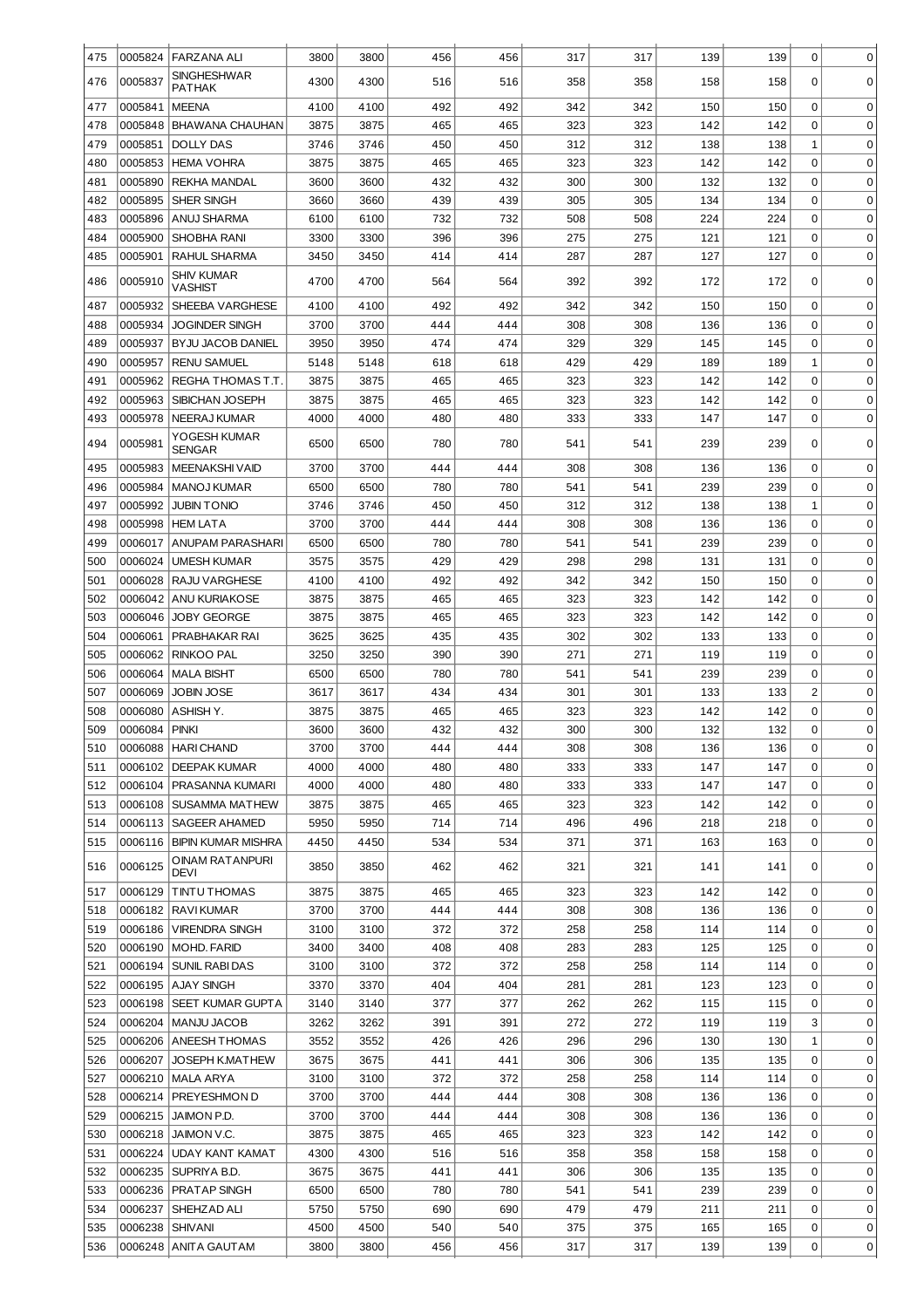| 475        | 0005824            | <b>FARZANA AL</b>                          |              | 3800         | 456        | 456        | 317        | 317        | 139        |            | 0                          |                            |
|------------|--------------------|--------------------------------------------|--------------|--------------|------------|------------|------------|------------|------------|------------|----------------------------|----------------------------|
|            |                    | <b>SINGHESHWAR</b>                         | 3800         |              |            |            |            |            |            | 139        |                            | 0                          |
| 476        | 0005837            | PATHAK                                     | 4300         | 4300         | 516        | 516        | 358        | 358        | 158        | 158        | 0                          | 0                          |
| 477        | 0005841            | <b>MEENA</b>                               | 4100         | 4100         | 492        | 492        | 342        | 342        | 150        | 150        | 0                          | 0                          |
| 478        | 0005848            | <b>BHAWANA CHAUHAN</b>                     | 3875         | 3875         | 465        | 465        | 323        | 323        | 142        | 142        | 0                          | 0                          |
| 479        | 0005851            | DOLLY DAS                                  | 3746         | 3746         | 450        | 450        | 312        | 312        | 138        | 138        | 1                          | 0                          |
| 480        | 0005853            | <b>HEMA VOHRA</b>                          | 3875         | 3875         | 465        | 465        | 323        | 323        | 142        | 142        | 0                          | 0                          |
| 481        | 0005890            | <b>REKHA MANDAL</b>                        | 3600         | 3600         | 432        | 432        | 300        | 300        | 132        | 132        | 0                          | 0                          |
| 482        | 0005895            | SHER SINGH                                 | 3660         | 3660         | 439        | 439        | 305        | 305        | 134        | 134        | 0                          | 0                          |
| 483        | 0005896            | ANUJ SHARMA                                | 6100         | 6100         | 732        | 732        | 508        | 508        | 224        | 224        | 0                          | 0                          |
| 484        | 0005900            | SHOBHA RANI                                | 3300         | 3300         | 396        | 396        | 275        | 275        | 121        | 121        | 0                          | 0<br>$\Omega$              |
| 485        | 0005901            | RAHUL SHARMA<br><b>SHIV KUMAR</b>          | 3450         | 3450         | 414        | 414        | 287        | 287        | 127        | 127        | 0                          |                            |
| 486        | 0005910            | VASHIST                                    | 4700         | 4700         | 564        | 564        | 392        | 392        | 172        | 172        | 0                          | 0                          |
| 487        | 0005932            | SHEEBA VARGHESE                            | 4100         | 4100         | 492        | 492        | 342        | 342        | 150        | 150        | 0                          | $\mathbf 0$                |
| 488        | 0005934            | <b>JOGINDER SINGH</b>                      | 3700         | 3700         | 444        | 444        | 308        | 308        | 136        | 136        | 0                          | $\mathbf 0$                |
| 489        | 0005937            | BYJU JACOB DANIEL                          | 3950         | 3950         | 474        | 474        | 329        | 329        | 145        | 145        | 0                          | $\mathbf 0$                |
| 490        | 0005957            | <b>RENU SAMUEL</b>                         | 5148         | 5148         | 618        | 618        | 429        | 429        | 189        | 189        | 1                          | $\mathbf 0$                |
| 491        | 0005962            | REGHA THOMAS T.T                           | 3875         | 3875         | 465        | 465        | 323        | 323        | 142        | 142        | 0<br>0                     | $\mathbf 0$<br>$\mathbf 0$ |
| 492<br>493 | 0005963<br>0005978 | SIBICHAN JOSEPH<br>NEERAJ KUMAR            | 3875<br>4000 | 3875<br>4000 | 465<br>480 | 465<br>480 | 323<br>333 | 323<br>333 | 142<br>147 | 142<br>147 | 0                          | $\Omega$                   |
|            |                    | YOGESH KUMAR                               |              |              |            |            |            |            |            |            |                            |                            |
| 494        | 0005981            | <b>SENGAR</b>                              | 6500         | 6500         | 780        | 780        | 541        | 541        | 239        | 239        | 0                          | 0                          |
| 495        | 0005983            | <b>MEENAKSHI VAID</b>                      | 3700         | 3700         | 444        | 444        | 308        | 308        | 136        | 136        | 0                          | 0                          |
| 496        | 0005984            | <b>MANOJ KUMAR</b>                         | 6500         | 6500         | 780        | 780        | 541        | 541        | 239        | 239        | 0                          | 0                          |
| 497        | 0005992            | <b>JUBIN TONIO</b>                         | 3746         | 3746         | 450        | 450        | 312        | 312        | 138        | 138        | 1                          | $\mathbf 0$                |
| 498        | 0005998            | <b>HEM LATA</b>                            | 3700         | 3700         | 444        | 444        | 308        | 308        | 136        | 136        | 0                          | $\mathbf 0$                |
| 499<br>500 | 0006017<br>0006024 | <b>ANUPAM PARASHARI</b>                    | 6500         | 6500<br>3575 | 780<br>429 | 780<br>429 | 541<br>298 | 541<br>298 | 239<br>131 | 239<br>131 | $\mathbf 0$<br>$\mathbf 0$ | $\mathbf 0$<br>$\mathbf 0$ |
| 501        | 0006028            | <b>UMESH KUMAR</b><br><b>RAJU VARGHESE</b> | 3575<br>4100 | 4100         | 492        | 492        | 342        | 342        | 150        | 150        | 0                          | $\mathbf 0$                |
| 502        | 0006042            | <b>ANU KURIAKOSE</b>                       | 3875         | 3875         | 465        | 465        | 323        | 323        | 142        | 142        | $\mathbf 0$                | $\mathbf 0$                |
| 503        | 0006046            | <b>JOBY GEORGE</b>                         | 3875         | 3875         | 465        | 465        | 323        | 323        | 142        | 142        | $\mathbf 0$                | $\mathbf 0$                |
| 504        | 0006061            | PRABHAKAR RAI                              | 3625         | 3625         | 435        | 435        | 302        | 302        | 133        | 133        | 0                          | $\mathbf 0$                |
| 505        | 0006062            | <b>RINKOO PAL</b>                          | 3250         | 3250         | 390        | 390        | 271        | 271        | 119        | 119        | $\mathbf 0$                | $\mathbf 0$                |
| 506        | 0006064            | <b>MALA BISHT</b>                          | 6500         | 6500         | 780        | 780        | 541        | 541        | 239        | 239        | $\mathbf 0$                | $\mathbf 0$                |
| 507        | 0006069            | <b>JOBIN JOSE</b>                          | 3617         | 3617         | 434        | 434        | 301        | 301        | 133        | 133        | $\overline{c}$             | 0                          |
| 508        | 0006080            | ASHISH Y.                                  | 3875         | 3875         | 465        | 465        | 323        | 323        | 142        | 142        | 0                          | 0                          |
| 509        | 0006084            | PINKI                                      | 3600         | 3600         | 432        | 432        | 300        | 300        | 132        | 132        | 0                          | 0                          |
| 510        |                    | 0006088   HARI CHAND                       | 3700         | 3700         | 444        | 444        | 308        | 308        | 136        | 136        | $\mathbf 0$                | 0                          |
| 511        | 0006102            | <b>DEEPAK KUMAR</b>                        | 4000         | 4000         | 480        | 480        | 333        | 333        | 147        | 147        | 0                          | 0                          |
| 512        | 0006104            | PRASANNA KUMARI                            | 4000         | 4000         | 480        | 480        | 333        | 333        | 147        | 147        | 0                          | $\mathbf 0$                |
| 513        | 0006108            | <b>SUSAMMA MATHEW</b>                      | 3875         | 3875         | 465        | 465        | 323        | 323        | 142        | 142        | 0                          | $\mathbf 0$                |
| 514        | 0006113            | <b>SAGEER AHAMED</b>                       | 5950         | 5950         | 714        | 714        | 496        | 496        | 218        | 218        | 0                          | $\mathbf 0$                |
| 515        |                    | 0006116   BIPIN KUMAR MISHRA               | 4450         | 4450         | 534        | 534        | 371        | 371        | 163        | 163        | 0                          | $\mathbf 0$                |
| 516        | 0006125            | OINAM RATANPURI<br>DEVI                    | 3850         | 3850         | 462        | 462        | 321        | 321        | 141        | 141        | 0                          | $\mathbf 0$                |
| 517        | 0006129            | <b>TINTU THOMAS</b>                        | 3875         | 3875         | 465        | 465        | 323        | 323        | 142        | 142        | 0                          | 0                          |
| 518        |                    | 0006182   RAVI KUMAR                       | 3700         | 3700         | 444        | 444        | 308        | 308        | 136        | 136        | 0                          | 0                          |
| 519        | 0006186            | <b>VIRENDRA SINGH</b>                      | 3100         | 3100         | 372        | 372        | 258        | 258        | 114        | 114        | 0                          | 0                          |
| 520        | 0006190            | MOHD. FARID                                | 3400         | 3400         | 408        | 408        | 283        | 283        | 125        | 125        | 0                          | 0                          |
| 521        | 0006194            | <b>SUNIL RABI DAS</b>                      | 3100         | 3100         | 372        | 372        | 258        | 258        | 114        | 114        | 0                          | 0                          |
| 522        |                    | 0006195   AJAY SINGH                       | 3370         | 3370         | 404        | 404        | 281        | 281        | 123        | 123        | 0                          | 0                          |
| 523        | 0006198            | SEET KUMAR GUPTA                           | 3140         | 3140         | 377        | 377        | 262        | 262        | 115        | 115        | 0                          | 0                          |
| 524<br>525 | 0006204            | MANJU JACOB<br>0006206   ANEESH THOMAS     | 3262<br>3552 | 3262<br>3552 | 391<br>426 | 391<br>426 | 272<br>296 | 272<br>296 | 119<br>130 | 119<br>130 | 3<br>$\mathbf{1}$          | 0<br>$\mathbf 0$           |
| 526        | 0006207            | JOSEPH K.MATHEW                            | 3675         | 3675         | 441        | 441        | 306        | 306        | 135        | 135        | 0                          | 0                          |
| 527        | 0006210            | <b>MALA ARYA</b>                           | 3100         | 3100         | 372        | 372        | 258        | 258        | 114        | 114        | 0                          | $\mathbf 0$                |
| 528        | 0006214            | PREYESHMON D                               | 3700         | 3700         | 444        | 444        | 308        | 308        | 136        | 136        | 0                          | $\mathbf 0$                |
| 529        | 0006215            | JAIMON P.D.                                | 3700         | 3700         | 444        | 444        | 308        | 308        | 136        | 136        | 0                          | $\mathbf 0$                |
| 530        | 0006218            | JAIMON V.C.                                | 3875         | 3875         | 465        | 465        | 323        | 323        | 142        | 142        | 0                          | $\mathbf 0$                |
| 531        | 0006224            | <b>UDAY KANT KAMAT</b>                     | 4300         | 4300         | 516        | 516        | 358        | 358        | 158        | 158        | 0                          | $\mathbf 0$                |
| 532        | 0006235            | SUPRIYA B.D.                               | 3675         | 3675         | 441        | 441        | 306        | 306        | 135        | 135        | 0                          | $\mathbf 0$                |
| 533        | 0006236            | PRATAP SINGH                               | 6500         | 6500         | 780        | 780        | 541        | 541        | 239        | 239        | 0                          | $\mathbf 0$                |
| 534        | 0006237            | SHEHZAD ALI                                | 5750         | 5750         | 690        | 690        | 479        | 479        | 211        | 211        | 0                          | $\mathbf 0$                |
| 535        | 0006238            | <b>SHIVANI</b>                             | 4500         | 4500         | 540        | 540        | 375        | 375        | 165        | 165        | 0                          | 0                          |
| 536        | 0006248            | <b>ANITA GAUTAM</b>                        | 3800         | 3800         | 456        | 456        | 317        | 317        | 139        | 139        | 0                          | 0                          |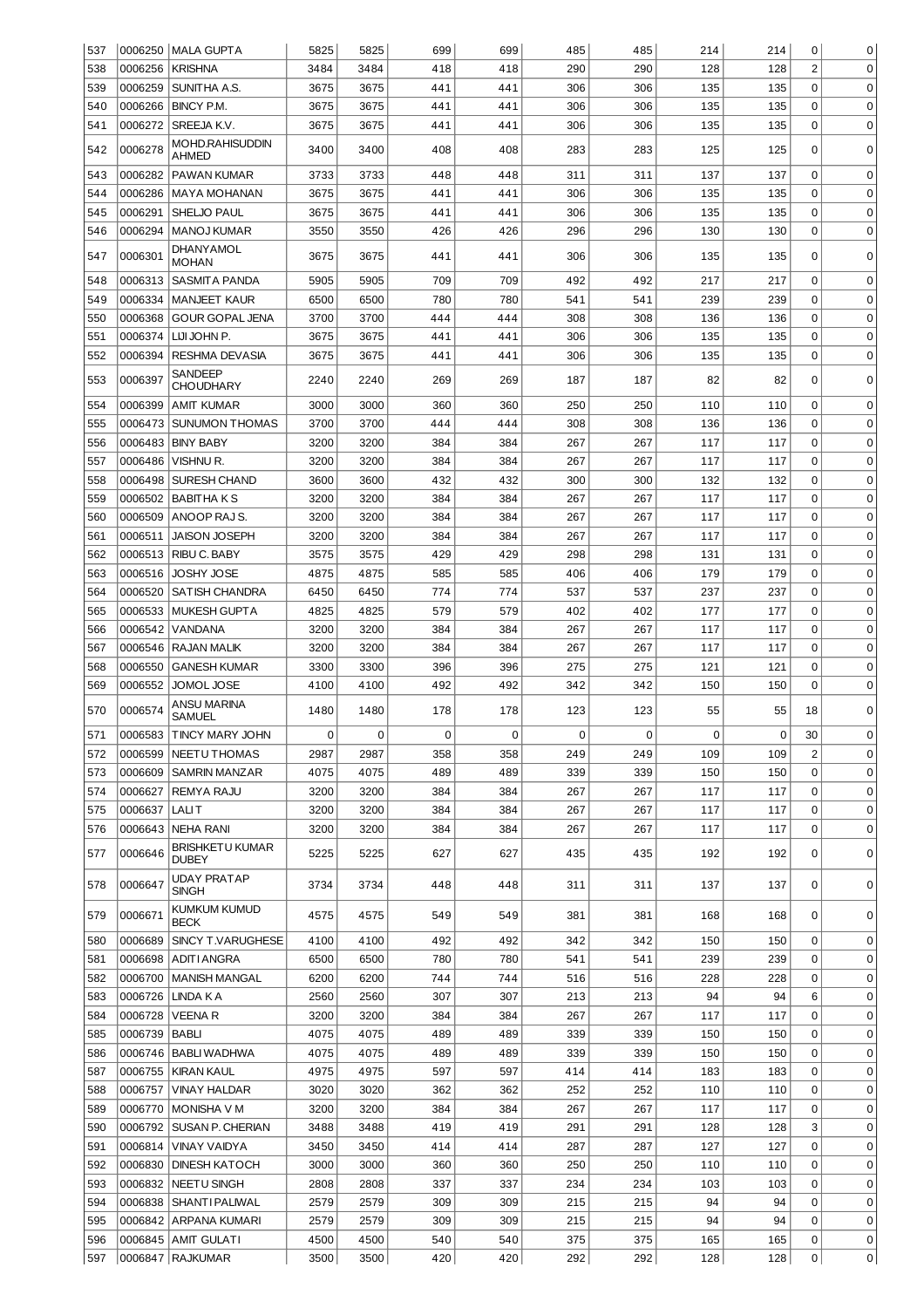| 537 |         | 0006250   MALA GUPTA                   | 5825        | 5825        | 699         | 699         | 485        | 485         | 214 | 214         | 0              | 0           |
|-----|---------|----------------------------------------|-------------|-------------|-------------|-------------|------------|-------------|-----|-------------|----------------|-------------|
| 538 | 0006256 | <b>KRISHNA</b>                         | 3484        | 3484        | 418         | 418         | 290        | 290         | 128 | 128         | $\overline{2}$ | $\mathbf 0$ |
| 539 | 0006259 | SUNITHA A.S.                           | 3675        | 3675        | 441         | 441         | 306        | 306         | 135 | 135         | $\mathbf 0$    | $\mathbf 0$ |
| 540 | 0006266 | BINCY P.M.                             | 3675        | 3675        | 441         | 441         | 306        | 306         | 135 | 135         | $\mathbf 0$    | $\mathbf 0$ |
| 541 | 0006272 | SREEJA K.V.                            | 3675        | 3675        | 441         | 441         | 306        | 306         | 135 | 135         | $\mathbf 0$    | $\mathbf 0$ |
| 542 | 0006278 | <b>MOHD.RAHISUDDIN</b><br>AHMED        | 3400        | 3400        | 408         | 408         | 283        | 283         | 125 | 125         | 0              | $\Omega$    |
| 543 | 0006282 | PAWAN KUMAR                            | 3733        | 3733        | 448         | 448         | 311        | 311         | 137 | 137         | 0              | 0           |
| 544 | 0006286 | <b>MAYA MOHANAN</b>                    | 3675        | 3675        | 441         | 441         | 306        | 306         | 135 | 135         | 0              | 0           |
| 545 | 0006291 | SHELJO PAUL                            | 3675        | 3675        | 441         | 441         | 306        | 306         | 135 | 135         | 0              | 0           |
| 546 | 0006294 | <b>MANOJ KUMAR</b>                     | 3550        | 3550        | 426         | 426         | 296        | 296         | 130 | 130         | 0              | $\mathbf 0$ |
|     |         | DHANYAMOL                              |             |             |             |             |            |             |     |             |                |             |
| 547 | 0006301 | <b>MOHAN</b>                           | 3675        | 3675        | 441<br>709  | 441         | 306<br>492 | 306         | 135 | 135         | 0<br>0         | 0<br>0      |
| 548 | 0006313 | SASMITA PANDA                          | 5905        | 5905        |             | 709         |            | 492         | 217 | 217         |                |             |
| 549 | 0006334 | <b>MANJEET KAUR</b>                    | 6500        | 6500        | 780         | 780         | 541        | 541         | 239 | 239         | 0              | 0           |
| 550 | 0006368 | <b>GOUR GOPAL JENA</b>                 | 3700        | 3700        | 444         | 444         | 308        | 308         | 136 | 136         | 0              | 0           |
| 551 | 0006374 | LIJI JOHN P.                           | 3675        | 3675        | 441         | 441         | 306        | 306         | 135 | 135         | 0              | 0           |
| 552 | 0006394 | RESHMA DEVASIA                         | 3675        | 3675        | 441         | 441         | 306        | 306         | 135 | 135         | 0              | 0           |
| 553 | 0006397 | <b>SANDEEP</b><br><b>CHOUDHARY</b>     | 2240        | 2240        | 269         | 269         | 187        | 187         | 82  | 82          | $\Omega$       | $\Omega$    |
| 554 | 0006399 | AMIT KUMAR                             | 3000        | 3000        | 360         | 360         | 250        | 250         | 110 | 110         | 0              | $\mathbf 0$ |
| 555 | 0006473 | <b>SUNUMON THOMAS</b>                  | 3700        | 3700        | 444         | 444         | 308        | 308         | 136 | 136         | 0              | 0           |
| 556 | 0006483 | <b>BINY BABY</b>                       | 3200        | 3200        | 384         | 384         | 267        | 267         | 117 | 117         | 0              | 0           |
| 557 | 0006486 | VISHNU R.                              | 3200        | 3200        | 384         | 384         | 267        | 267         | 117 | 117         | 0              | 0           |
| 558 | 0006498 | <b>SURESH CHAND</b>                    | 3600        | 3600        | 432         | 432         | 300        | 300         | 132 | 132         | 0              | 0           |
| 559 | 0006502 | <b>BABITHAKS</b>                       | 3200        | 3200        | 384         | 384         | 267        | 267         | 117 | 117         | 0              | 0           |
| 560 | 0006509 | ANOOP RAJS.                            | 3200        | 3200        | 384         | 384         | 267        | 267         | 117 | 117         | 0              | 0           |
| 561 | 0006511 | JAISON JOSEPH                          | 3200        | 3200        | 384         | 384         | 267        | 267         | 117 | 117         | 0              | 0           |
| 562 | 0006513 | RIBU C. BABY                           | 3575        | 3575        | 429         | 429         | 298        | 298         | 131 | 131         | 0              | 0           |
| 563 | 0006516 | JOSHY JOSE                             | 4875        | 4875        | 585         | 585         | 406        | 406         | 179 | 179         | 0              | 0           |
| 564 | 0006520 | <b>SATISH CHANDRA</b>                  | 6450        | 6450        | 774         | 774         | 537        | 537         | 237 | 237         | $\mathbf 0$    | 0           |
| 565 | 0006533 | <b>MUKESH GUPTA</b>                    | 4825        | 4825        | 579         | 579         | 402        | 402         | 177 | 177         | $\Omega$       | 0           |
| 566 | 0006542 | VANDANA                                | 3200        | 3200        | 384         | 384         | 267        | 267         | 117 | 117         | $\Omega$       | 0           |
| 567 | 0006546 | <b>RAJAN MALIK</b>                     | 3200        | 3200        | 384         | 384         | 267        | 267         | 117 | 117         | $\Omega$       | 0           |
| 568 | 0006550 | <b>GANESH KUMAR</b>                    | 3300        | 3300        | 396         | 396         | 275        | 275         | 121 | 121         | $\mathbf 0$    | 0           |
| 569 | 0006552 | JOMOL JOSE                             | 4100        | 4100        | 492         | 492         | 342        | 342         | 150 | 150         | $\Omega$       | 0           |
| 570 | 0006574 | ANSU MARINA<br><b>SAMUEL</b>           | 1480        | 1480        | 178         | 178         | 123        | 123         | 55  | 55          | 18             | 0           |
| 571 |         | 0006583 TINCY MARY JOHN                | $\mathbf 0$ | $\mathbf 0$ | $\mathbf 0$ | $\mathbf 0$ | 0          | $\mathbf 0$ | 0   | $\mathbf 0$ | 30             | $\Omega$    |
| 572 | 0006599 | INEETU THOMAS                          | 2987        | 2987        | 358         | 358         | 249        | 249         | 109 | 109         | $\overline{2}$ | 0           |
| 573 | 0006609 | SAMRIN MANZAR                          | 4075        | 4075        | 489         | 489         | 339        | 339         | 150 | 150         | 0              | 0           |
| 574 | 0006627 | REMYA RAJU                             | 3200        | 3200        | 384         | 384         | 267        | 267         | 117 | 117         | $\mathbf 0$    | 0           |
| 575 | 0006637 | <b>LALIT</b>                           | 3200        | 3200        | 384         | 384         | 267        | 267         | 117 | 117         | 0              | $\mathbf 0$ |
| 576 | 0006643 | <b>NEHA RANI</b>                       | 3200        | 3200        | 384         | 384         | 267        | 267         | 117 | 117         | 0              | 0           |
| 577 | 0006646 | <b>BRISHKETU KUMAR</b><br><b>DUBEY</b> | 5225        | 5225        | 627         | 627         | 435        | 435         | 192 | 192         | 0              | $\mathbf 0$ |
| 578 | 0006647 | <b>UDAY PRATAP</b>                     | 3734        | 3734        | 448         | 448         | 311        | 311         | 137 | 137         | 0              | 0           |
| 579 | 0006671 | SINGH<br>KUMKUM KUMUD                  | 4575        | 4575        | 549         | 549         | 381        | 381         | 168 | 168         | 0              | 0           |
|     |         | <b>BECK</b>                            |             |             |             |             |            |             |     |             |                |             |
| 580 | 0006689 | SINCY T.VARUGHESE                      | 4100        | 4100        | 492         | 492         | 342        | 342         | 150 | 150         | 0              | $\mathbf 0$ |
| 581 | 0006698 | <b>ADITI ANGRA</b>                     | 6500        | 6500        | 780         | 780         | 541        | 541         | 239 | 239         | $\mathbf 0$    | 0           |
| 582 | 0006700 | <b>MANISH MANGAL</b>                   | 6200        | 6200        | 744         | 744         | 516        | 516         | 228 | 228         | 0              | 0           |
| 583 | 0006726 | LINDA K A                              | 2560        | 2560        | 307         | 307         | 213        | 213         | 94  | 94          | 6              | 0           |
| 584 | 0006728 | VEENA R                                | 3200        | 3200        | 384         | 384         | 267        | 267         | 117 | 117         | 0              | 0           |
| 585 | 0006739 | BABLI                                  | 4075        | 4075        | 489         | 489         | 339        | 339         | 150 | 150         | 0              | 0           |
| 586 | 0006746 | <b>BABLI WADHWA</b>                    | 4075        | 4075        | 489         | 489         | 339        | 339         | 150 | 150         | 0              | 0           |
| 587 | 0006755 | <b>KIRAN KAUL</b>                      | 4975        | 4975        | 597         | 597         | 414        | 414         | 183 | 183         | 0              | 0           |
| 588 | 0006757 | VINAY HALDAR                           | 3020        | 3020        | 362         | 362         | 252        | 252         | 110 | 110         | 0              | 0           |
| 589 | 0006770 | MONISHA V M                            | 3200        | 3200        | 384         | 384         | 267        | 267         | 117 | 117         | 0              | 0           |
| 590 | 0006792 | SUSAN P. CHERIAN                       | 3488        | 3488        | 419         | 419         | 291        | 291         | 128 | 128         | 3              | 0           |
| 591 | 0006814 | VINAY VAIDYA                           | 3450        | 3450        | 414         | 414         | 287        | 287         | 127 | 127         | 0              | 0           |
| 592 | 0006830 | DINESH KATOCH                          | 3000        | 3000        | 360         | 360         | 250        | 250         | 110 | 110         | 0              | 0           |
| 593 | 0006832 | <b>NEETU SINGH</b>                     | 2808        | 2808        | 337         | 337         | 234        | 234         | 103 | 103         | 0              | 0           |
| 594 | 0006838 | <b>SHANTI PALIWAL</b>                  | 2579        | 2579        | 309         | 309         | 215        | 215         | 94  | 94          | 0              | 0           |
| 595 | 0006842 | ARPANA KUMARI                          | 2579        | 2579        | 309         | 309         | 215        | 215         | 94  | 94          | 0              | 0           |
| 596 | 0006845 | AMIT GULATI                            | 4500        | 4500        | 540         | 540         | 375        | 375         | 165 | 165         | 0              | 0           |
| 597 |         | 0006847 RAJKUMAR                       | 3500        | 3500        | 420         | 420         | 292        | 292         | 128 | 128         | 0              | 0           |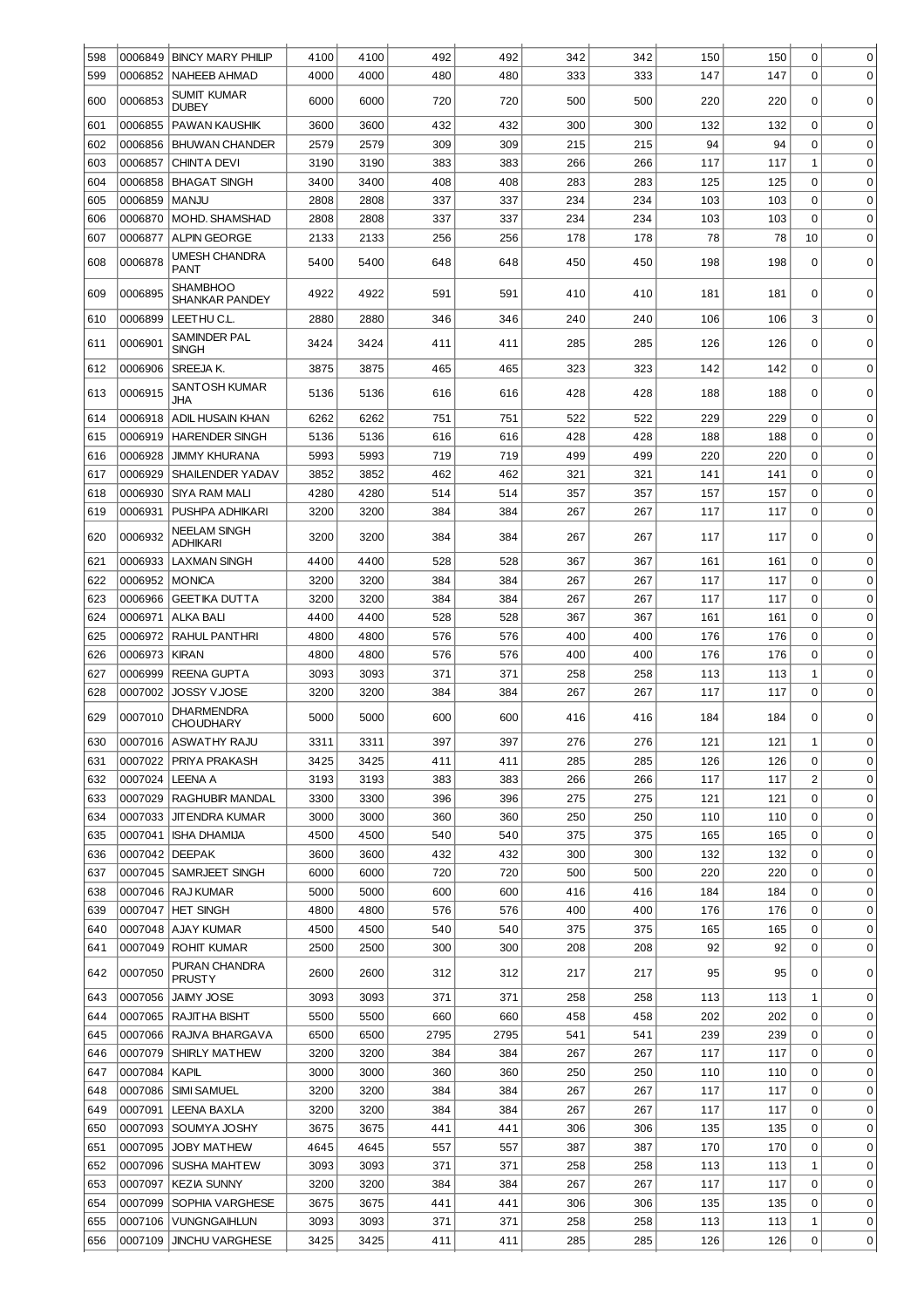| 598        | 0006849            | <b>BINCY MARY PHILIP</b>                 | 4100         | 4100         | 492         | 492         | 342        | 342        | 150        | 150        | 0                | $\mathbf 0$      |
|------------|--------------------|------------------------------------------|--------------|--------------|-------------|-------------|------------|------------|------------|------------|------------------|------------------|
| 599        | 0006852            | <b>NAHEEB AHMAD</b>                      | 4000         | 4000         | 480         | 480         | 333        | 333        | 147        | 147        | 0                | 0                |
| 600        | 0006853            | SUMIT KUMAR<br><b>DUBEY</b>              | 6000         | 6000         | 720         | 720         | 500        | 500        | 220        | 220        | 0                | $\mathbf 0$      |
| 601        | 0006855            | <b>PAWAN KAUSHIK</b>                     | 3600         | 3600         | 432         | 432         | 300        | 300        | 132        | 132        | 0                | $\mathbf 0$      |
| 602        | 0006856            | <b>BHUWAN CHANDER</b>                    | 2579         | 2579         | 309         | 309         | 215        | 215        | 94         | 94         | 0                | 0                |
| 603        | 0006857            | <b>CHINTA DEVI</b>                       | 3190         | 3190         | 383         | 383         | 266        | 266        | 117        | 117        | 1                | 0                |
| 604        | 0006858            | <b>BHAGAT SINGH</b>                      | 3400         | 3400         | 408         | 408         | 283        | 283        | 125        | 125        | 0                | 0                |
| 605        | 0006859            | <b>MANJU</b>                             | 2808         | 2808         | 337         | 337         | 234        | 234        | 103        | 103        | 0                | 0                |
| 606        | 0006870            | MOHD. SHAMSHAD                           | 2808         | 2808         | 337         | 337         | 234        | 234        | 103        | 103        | 0                | 0                |
| 607        | 0006877            | <b>ALPIN GEORGE</b>                      | 2133         | 2133         | 256         | 256         | 178        | 178        | 78         | 78         | 10               | 0                |
| 608        | 0006878            | UMESH CHANDRA<br><b>PANT</b>             | 5400         | 5400         | 648         | 648         | 450        | 450        | 198        | 198        | 0                | 0                |
| 609        | 0006895            | <b>SHAMBHOO</b><br><b>SHANKAR PANDEY</b> | 4922         | 4922         | 591         | 591         | 410        | 410        | 181        | 181        | 0                | $\mathbf 0$      |
| 610        | 0006899            | LEETHU C.L.                              | 2880         | 2880         | 346         | 346         | 240        | 240        | 106        | 106        | 3                | 0                |
| 611        | 0006901            | SAMINDER PAL                             | 3424         | 3424         | 411         | 411         | 285        | 285        | 126        | 126        | 0                | $\Omega$         |
|            |                    | <b>SINGH</b>                             |              |              |             |             |            |            |            |            |                  |                  |
| 612        | 0006906            | SREEJA K.                                | 3875         | 3875         | 465         | 465         | 323        | 323        | 142        | 142        | $\mathbf 0$      | $\mathbf 0$      |
| 613        | 0006915            | <b>SANTOSH KUMAR</b><br><b>JHA</b>       | 5136         | 5136         | 616         | 616         | 428        | 428        | 188        | 188        | 0                | 0                |
| 614        | 0006918            | ADIL HUSAIN KHAN                         | 6262         | 6262         | 751         | 751         | 522        | 522        | 229        | 229        | 0                | $\mathbf 0$      |
| 615        | 0006919            | <b>HARENDER SINGH</b>                    | 5136         | 5136         | 616         | 616         | 428        | 428        | 188        | 188        | 0                | $\mathbf 0$      |
| 616        | 0006928            | <b>JIMMY KHURANA</b>                     | 5993         | 5993         | 719         | 719         | 499        | 499        | 220        | 220        | $\mathbf 0$      | $\mathbf 0$      |
| 617        | 0006929            | <b>SHAILENDER YADAV</b>                  | 3852         | 3852         | 462         | 462         | 321        | 321        | 141        | 141        | 0                | $\mathbf 0$      |
| 618        | 0006930            | SIYA RAM MALI                            | 4280         | 4280         | 514         | 514         | 357        | 357        | 157        | 157        | 0                | $\mathbf 0$      |
| 619        | 0006931            | PUSHPA ADHIKARI                          | 3200         | 3200         | 384         | 384         | 267        | 267        | 117        | 117        | 0                | $\mathbf 0$      |
| 620        | 0006932            | NEELAM SINGH<br><b>ADHIKARI</b>          | 3200         | 3200         | 384         | 384         | 267        | 267        | 117        | 117        | 0                | $\mathbf 0$      |
| 621        | 0006933            | <b>LAXMAN SINGH</b>                      | 4400         | 4400         | 528         | 528         | 367        | 367        | 161        | 161        | 0                | $\mathbf 0$      |
| 622        | 0006952            | <b>MONICA</b>                            | 3200         | 3200         | 384         | 384         | 267        | 267        | 117        | 117        | 0                | $\mathbf 0$      |
| 623        | 0006966            | <b>GEETIKA DUTTA</b>                     | 3200         | 3200         | 384         | 384         | 267        | 267        | 117        | 117        | $\mathbf 0$      | $\mathbf 0$      |
| 624        | 0006971            | ALKA BALI                                | 4400         | 4400         | 528         | 528         | 367        | 367        | 161        | 161        | $\mathbf 0$      | $\mathbf 0$      |
| 625        | 0006972            | <b>RAHUL PANTHRI</b>                     | 4800         | 4800         | 576         | 576         | 400        | 400        | 176        | 176        | $\mathbf 0$      | $\mathbf 0$      |
| 626        | 0006973            | <b>KIRAN</b>                             | 4800         | 4800         | 576         | 576         | 400        | 400        | 176        | 176        | 0                | $\mathbf 0$      |
|            |                    |                                          |              |              |             |             |            |            |            |            |                  |                  |
| 627        | 0006999            | <b>REENA GUPTA</b>                       | 3093         | 3093         | 371         | 371         | 258        | 258        | 113        | 113        | 1                | $\mathbf 0$      |
| 628        | 0007002            | JOSSY VJOSE                              | 3200         | 3200         | 384         | 384         | 267        | 267        | 117        | 117        | 0                | $\mathbf 0$      |
| 629        | 0007010            | <b>DHARMENDRA</b><br><b>CHOUDHARY</b>    | 5000         | 5000         | 600         | 600         | 416        | 416        | 184        | 184        | 0                | 0                |
| 630        |                    | 0007016 ASWATHY RAJU                     | 3311         | 3311         | 397         | 397         | 276        | 276        | 121        | 121        | 1                | 0                |
| 631        | 0007022            | PRIYA PRAKASH                            | 3425         | 3425         | 411         | 411         | 285        | 285        | 126        | 126        | 0                | 0                |
| 632        | 0007024            | <b>LEENA A</b>                           | 3193         | 3193         | 383         | 383         | 266        | 266        | 117        | 117        | $\overline{c}$   | $\mathbf 0$      |
| 633        | 0007029            | RAGHUBIR MANDAL                          | 3300         | 3300         | 396         | 396         | 275        | 275        | 121        | 121        | $\mathbf 0$      | $\mathbf 0$      |
| 634        | 0007033            | <b>JITENDRA KUMAR</b>                    | 3000         | 3000         | 360         | 360         | 250        | 250        | 110        | 110        | $\mathbf 0$      | $\mathbf 0$      |
| 635        | 0007041            | <b>ISHA DHAMIJA</b>                      | 4500         | 4500         | 540         | 540         | 375        | 375        | 165        | 165        | $\mathbf 0$      | $\mathbf 0$      |
| 636        | 0007042            | <b>DEEPAK</b>                            | 3600         | 3600         | 432         | 432         | 300        | 300        | 132        | 132        | $\mathbf 0$      | $\mathbf 0$      |
| 637        | 0007045            | SAMRJEET SINGH                           | 6000         | 6000         | 720         | 720         | 500        | 500        | 220        | 220        | $\mathbf 0$      | $\mathbf 0$      |
| 638        | 0007046            | <b>RAJ KUMAR</b>                         | 5000         | 5000         | 600         | 600         | 416        | 416        | 184        | 184        | $\mathbf 0$      | $\mathbf 0$      |
| 639        | 0007047            | <b>HET SINGH</b>                         | 4800         | 4800         | 576         | 576         | 400        | 400        | 176        | 176        | $\mathbf 0$      | $\mathbf 0$      |
| 640        | 0007048            | <b>AJAY KUMAR</b>                        | 4500         | 4500         | 540         | 540         | 375        | 375        | 165        | 165        | $\mathbf 0$      | $\mathbf 0$      |
| 641<br>642 | 0007049<br>0007050 | <b>ROHIT KUMAR</b><br>PURAN CHANDRA      | 2500<br>2600 | 2500<br>2600 | 300<br>312  | 300<br>312  | 208<br>217 | 208<br>217 | 92<br>95   | 92<br>95   | $\mathbf 0$<br>0 | $\mathbf 0$<br>0 |
|            |                    | <b>PRUSTY</b>                            |              |              |             |             |            |            |            |            |                  |                  |
| 643<br>644 | 0007056<br>0007065 | <b>JAIMY JOSE</b><br>RAJITHA BISHT       | 3093<br>5500 | 3093<br>5500 | 371<br>660  | 371<br>660  | 258<br>458 | 258<br>458 | 113<br>202 | 113<br>202 | 1<br>$\mathbf 0$ | 0<br>0           |
|            |                    |                                          |              |              |             |             |            |            |            |            |                  |                  |
| 645<br>646 | 0007066<br>0007079 | RAJIVA BHARGAVA<br>SHIRLY MATHEW         | 6500<br>3200 | 6500<br>3200 | 2795<br>384 | 2795<br>384 | 541<br>267 | 541<br>267 | 239<br>117 | 239<br>117 | 0<br>0           | 0<br>0           |
| 647        | 0007084            | <b>KAPIL</b>                             | 3000         | 3000         | 360         | 360         | 250        | 250        | 110        | 110        | 0                | 0                |
| 648        | 0007086            | <b>SIMI SAMUEL</b>                       | 3200         | 3200         | 384         | 384         | 267        | 267        | 117        | 117        | 0                | 0                |
| 649        | 0007091            | <b>LEENA BAXLA</b>                       | 3200         | 3200         | 384         | 384         | 267        | 267        | 117        | 117        | 0                | 0                |
| 650        | 0007093            | SOUMYA JOSHY                             | 3675         | 3675         | 441         | 441         | 306        | 306        | 135        | 135        | 0                | 0                |
| 651        | 0007095            | <b>JOBY MATHEW</b>                       | 4645         | 4645         | 557         | 557         | 387        | 387        | 170        | 170        | 0                | 0                |
| 652        | 0007096            | SUSHA MAHTEW                             | 3093         | 3093         | 371         | 371         | 258        | 258        | 113        | 113        | 1                | 0                |
| 653        | 0007097            | <b>KEZIA SUNNY</b>                       | 3200         | 3200         | 384         | 384         | 267        | 267        | 117        | 117        | 0                | 0                |
| 654        | 0007099            | SOPHIA VARGHESE                          | 3675         | 3675         | 441         | 441         | 306        | 306        | 135        | 135        | 0                | 0                |
| 655        | 0007106            | <b>VUNGNGAIHLUN</b>                      | 3093         | 3093         | 371         | 371         | 258        | 258        | 113        | 113        | 1                | 0                |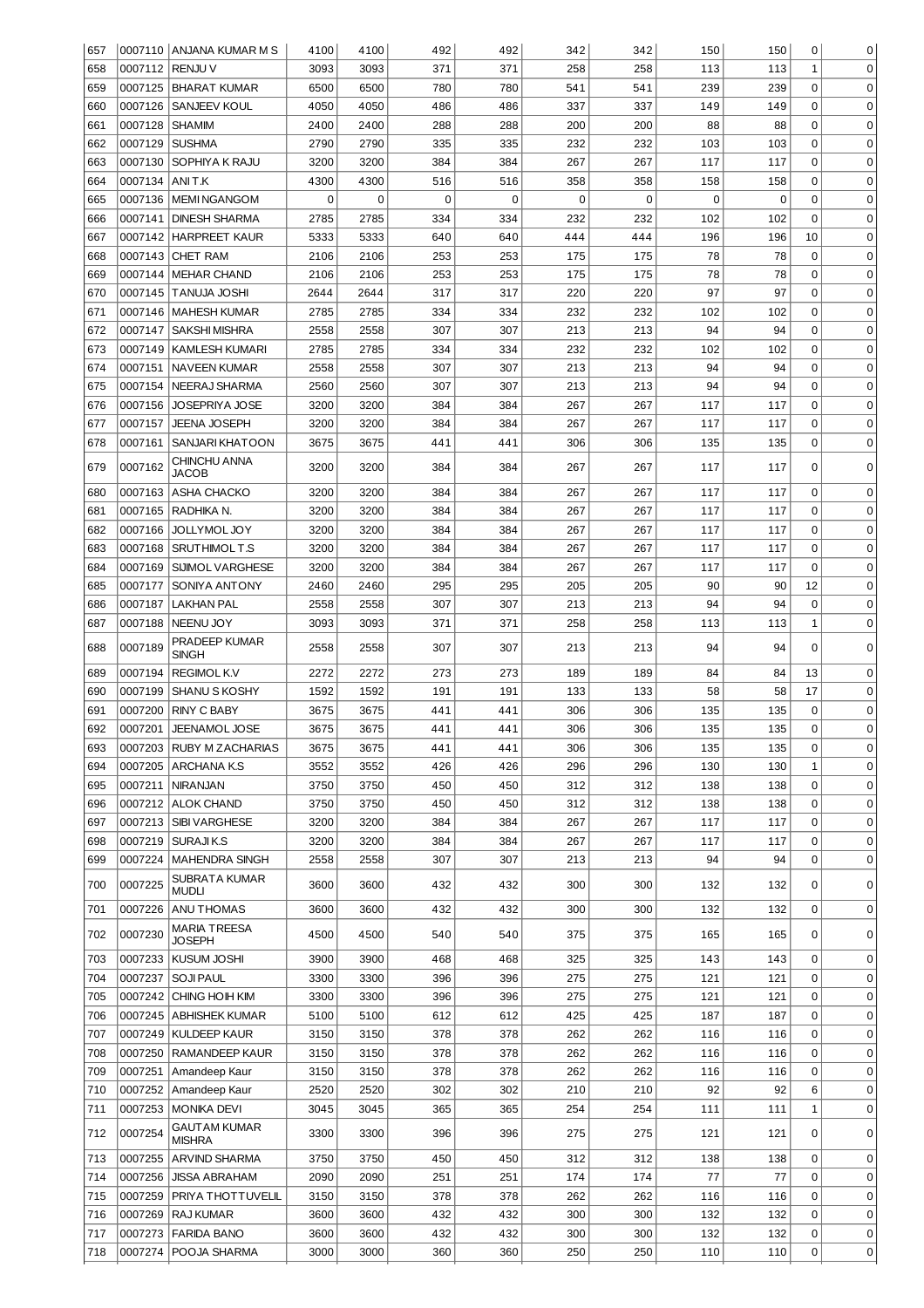| 657 |                | 0007110 ANJANA KUMAR M S      | 4100 | 4100 | 492         | 492         | 342         | 342 | 150 | 150 | 0            | 0           |
|-----|----------------|-------------------------------|------|------|-------------|-------------|-------------|-----|-----|-----|--------------|-------------|
| 658 | 0007112        | <b>RENJU V</b>                | 3093 | 3093 | 371         | 371         | 258         | 258 | 113 | 113 | $\mathbf{1}$ | 0           |
| 659 |                | 0007125 BHARAT KUMAR          | 6500 | 6500 | 780         | 780         | 541         | 541 | 239 | 239 | 0            | $\mathbf 0$ |
| 660 | 0007126        | <b>SANJEEV KOUL</b>           | 4050 | 4050 | 486         | 486         | 337         | 337 | 149 | 149 | 0            | 0           |
| 661 | 0007128        | SHAMIM                        | 2400 | 2400 | 288         | 288         | 200         | 200 | 88  | 88  | 0            | 0           |
| 662 | 0007129        | SUSHMA                        | 2790 | 2790 | 335         | 335         | 232         | 232 | 103 | 103 | 0            | 0           |
| 663 | 0007130        |                               | 3200 | 3200 | 384         | 384         | 267         | 267 | 117 | 117 | 0            | $\mathbf 0$ |
|     |                | SOPHIYA K RAJU                |      |      |             |             |             |     |     |     |              |             |
| 664 | 0007134 ANIT.K |                               | 4300 | 4300 | 516         | 516         | 358         | 358 | 158 | 158 | 0            | $\mathbf 0$ |
| 665 | 0007136        | <b>IMEMINGANGOM</b>           | 0    | 0    | $\mathbf 0$ | $\mathbf 0$ | $\mathbf 0$ | 0   | 0   | 0   | 0            | $\mathbf 0$ |
| 666 |                | 0007141   DINESH SHARMA       | 2785 | 2785 | 334         | 334         | 232         | 232 | 102 | 102 | 0            | $\mathbf 0$ |
| 667 |                | 0007142 HARPREET KAUR         | 5333 | 5333 | 640         | 640         | 444         | 444 | 196 | 196 | 10           | $\mathbf 0$ |
| 668 |                | 0007143 CHET RAM              | 2106 | 2106 | 253         | 253         | 175         | 175 | 78  | 78  | 0            | $\mathbf 0$ |
| 669 |                | 0007144   MEHAR CHAND         | 2106 | 2106 | 253         | 253         | 175         | 175 | 78  | 78  | 0            | $\mathbf 0$ |
| 670 |                | 0007145   TANUJA JOSHI        | 2644 | 2644 | 317         | 317         | 220         | 220 | 97  | 97  | 0            | $\mathbf 0$ |
| 671 |                | 0007146   MAHESH KUMAR        | 2785 | 2785 | 334         | 334         | 232         | 232 | 102 | 102 | 0            | $\mathbf 0$ |
| 672 |                | 0007147   SAKSHI MISHRA       | 2558 | 2558 | 307         | 307         | 213         | 213 | 94  | 94  | $\mathbf 0$  | $\mathbf 0$ |
| 673 |                | 0007149   KAMLESH KUMARI      | 2785 | 2785 | 334         | 334         | 232         | 232 | 102 | 102 | $\mathbf 0$  | $\mathbf 0$ |
| 674 |                | 0007151   NAVEEN KUMAR        | 2558 | 2558 | 307         | 307         | 213         | 213 | 94  | 94  | $\mathbf 0$  | $\mathbf 0$ |
| 675 |                | 0007154   NEERAJ SHARMA       | 2560 | 2560 | 307         | 307         | 213         | 213 | 94  | 94  | $\mathbf 0$  | $\mathbf 0$ |
| 676 |                | 0007156 JOSEPRIYA JOSE        | 3200 | 3200 | 384         | 384         | 267         | 267 | 117 | 117 | 0            | $\mathbf 0$ |
| 677 | 0007157        | <b>JEENA JOSEPH</b>           | 3200 | 3200 | 384         | 384         | 267         | 267 | 117 | 117 | 0            | $\mathbf 0$ |
| 678 | 0007161        | SANJARI KHATOON               | 3675 | 3675 | 441         | 441         | 306         | 306 | 135 | 135 | 0            | $\Omega$    |
|     |                | CHINCHU ANNA                  |      |      |             |             |             |     |     |     |              |             |
| 679 | 0007162        | JACOB                         | 3200 | 3200 | 384         | 384         | 267         | 267 | 117 | 117 | 0            | 0           |
| 680 | 0007163        | <b>ASHA CHACKO</b>            | 3200 | 3200 | 384         | 384         | 267         | 267 | 117 | 117 | 0            | 0           |
| 681 | 0007165        | RADHIKA N.                    | 3200 | 3200 | 384         | 384         | 267         | 267 | 117 | 117 | 0            | 0           |
| 682 | 0007166        | JOLLYMOL JOY                  | 3200 | 3200 | 384         | 384         | 267         | 267 | 117 | 117 | 0            | 0           |
| 683 | 0007168        | SRUTHIMOLT.S                  | 3200 | 3200 | 384         | 384         | 267         | 267 | 117 | 117 | 0            | 0           |
| 684 | 0007169        | SIJIMOL VARGHESE              | 3200 | 3200 | 384         | 384         | 267         | 267 | 117 | 117 | $\mathbf 0$  | 0           |
| 685 | 0007177        | SONIYA ANTONY                 | 2460 | 2460 | 295         | 295         | 205         | 205 | 90  | 90  | 12           | 0           |
| 686 | 0007187        | LAKHAN PAL                    | 2558 | 2558 | 307         | 307         | 213         | 213 | 94  | 94  | 0            | 0           |
| 687 | 0007188        | <b>NEENU JOY</b>              | 3093 | 3093 | 371         | 371         | 258         | 258 | 113 | 113 | 1            | $\mathbf 0$ |
| 688 | 0007189        | PRADEEP KUMAR<br>SINGH        | 2558 | 2558 | 307         | 307         | 213         | 213 | 94  | 94  | $\Omega$     | 0           |
| 689 | 0007194        | <b>REGIMOL K.V</b>            | 2272 | 2272 | 273         | 273         | 189         | 189 | 84  | 84  | 13           | 0           |
| 690 | 0007199        | <b>SHANU S KOSHY</b>          | 1592 | 1592 | 191         | 191         | 133         | 133 | 58  | 58  | 17           | 0           |
|     |                |                               |      |      |             |             | 306         | 306 |     |     | 0            |             |
| 691 | 0007200        | <b>RINY C BABY</b>            | 3675 | 3675 | 441         | 441         |             |     | 135 | 135 |              | 0           |
| 692 | 0007201        | <b>JEENAMOL JOSE</b>          | 3675 | 3675 | 441         | 441         | 306         | 306 | 135 | 135 | $\Omega$     | $\mathbf 0$ |
| 693 |                | 0007203 RUBY M ZACHARIAS      | 3675 | 3675 | 441         | 441         | 306         | 306 | 135 | 135 | 0            | 0           |
| 694 | 0007205        | <b>ARCHANAK.S</b>             | 3552 | 3552 | 426         | 426         | 296         | 296 | 130 | 130 | $\mathbf{1}$ | $\mathbf 0$ |
| 695 | 0007211        | <b>NIRANJAN</b>               | 3750 | 3750 | 450         | 450         | 312         | 312 | 138 | 138 | $\mathbf 0$  | $\mathbf 0$ |
| 696 |                | 0007212 ALOK CHAND            | 3750 | 3750 | 450         | 450         | 312         | 312 | 138 | 138 | $\mathbf 0$  | $\mathbf 0$ |
| 697 | 0007213        | <b>SIBI VARGHESE</b>          | 3200 | 3200 | 384         | 384         | 267         | 267 | 117 | 117 | $\mathbf 0$  | $\mathbf 0$ |
| 698 | 0007219        | SURAJIK.S                     | 3200 | 3200 | 384         | 384         | 267         | 267 | 117 | 117 | $\mathbf 0$  | $\mathbf 0$ |
| 699 | 0007224        | MAHENDRA SINGH                | 2558 | 2558 | 307         | 307         | 213         | 213 | 94  | 94  | $\mathbf 0$  | $\mathbf 0$ |
| 700 | 0007225        | SUBRATA KUMAR<br><b>MUDLI</b> | 3600 | 3600 | 432         | 432         | 300         | 300 | 132 | 132 | 0            | 0           |
| 701 |                | 0007226 ANU THOMAS            | 3600 | 3600 | 432         | 432         | 300         | 300 | 132 | 132 | $\mathbf 0$  | $\mathbf 0$ |
| 702 | 0007230        | <b>MARIA TREESA</b>           | 4500 | 4500 | 540         | 540         | 375         | 375 | 165 | 165 | 0            | 0           |
| 703 |                | JOSEPH<br>0007233 KUSUM JOSHI | 3900 | 3900 | 468         | 468         | 325         | 325 | 143 | 143 | 0            | $\mathbf 0$ |
| 704 | 0007237        | <b>SOJI PAUL</b>              | 3300 | 3300 | 396         | 396         | 275         | 275 | 121 | 121 | $\mathbf 0$  | 0           |
|     |                |                               |      |      |             |             |             |     |     |     |              |             |
| 705 | 0007242        | CHING HOIH KIM                | 3300 | 3300 | 396         | 396         | 275         | 275 | 121 | 121 | 0            | $\mathbf 0$ |
| 706 |                | 0007245   ABHISHEK KUMAR      | 5100 | 5100 | 612         | 612         | 425         | 425 | 187 | 187 | 0            | $\mathbf 0$ |
| 707 |                | 0007249   KULDEEP KAUR        | 3150 | 3150 | 378         | 378         | 262         | 262 | 116 | 116 | 0            | $\mathbf 0$ |
| 708 |                | 0007250 RAMANDEEP KAUR        | 3150 | 3150 | 378         | 378         | 262         | 262 | 116 | 116 | 0            | $\mathbf 0$ |
| 709 | 0007251        | Amandeep Kaur                 | 3150 | 3150 | 378         | 378         | 262         | 262 | 116 | 116 | 0            | $\mathbf 0$ |
| 710 |                | 0007252   Amandeep Kaur       | 2520 | 2520 | 302         | 302         | 210         | 210 | 92  | 92  | 6            | $\mathbf 0$ |
| 711 |                | 0007253   MONIKA DEVI         | 3045 | 3045 | 365         | 365         | 254         | 254 | 111 | 111 | 1            | 0           |
| 712 | 0007254        | GAUTAM KUMAR<br>MISHRA        | 3300 | 3300 | 396         | 396         | 275         | 275 | 121 | 121 | 0            | $\mathbf 0$ |
| 713 |                | 0007255 ARVIND SHARMA         | 3750 | 3750 | 450         | 450         | 312         | 312 | 138 | 138 | 0            | 0           |
| 714 | 0007256        | <b>JISSA ABRAHAM</b>          | 2090 | 2090 | 251         | 251         | 174         | 174 | 77  | 77  | 0            | 0           |
| 715 | 0007259        | PRIYA THOTTUVELIL             | 3150 | 3150 | 378         | 378         | 262         | 262 | 116 | 116 | 0            | 0           |
| 716 | 0007269        | RAJ KUMAR                     | 3600 | 3600 | 432         | 432         | 300         | 300 | 132 | 132 | 0            | 0           |
| 717 | 0007273        | FARIDA BANO                   | 3600 | 3600 | 432         | 432         | 300         | 300 | 132 | 132 | 0            | 0           |
| 718 | 0007274        | POOJA SHARMA                  | 3000 | 3000 | 360         | 360         | 250         | 250 | 110 | 110 | 0            | $\mathbf 0$ |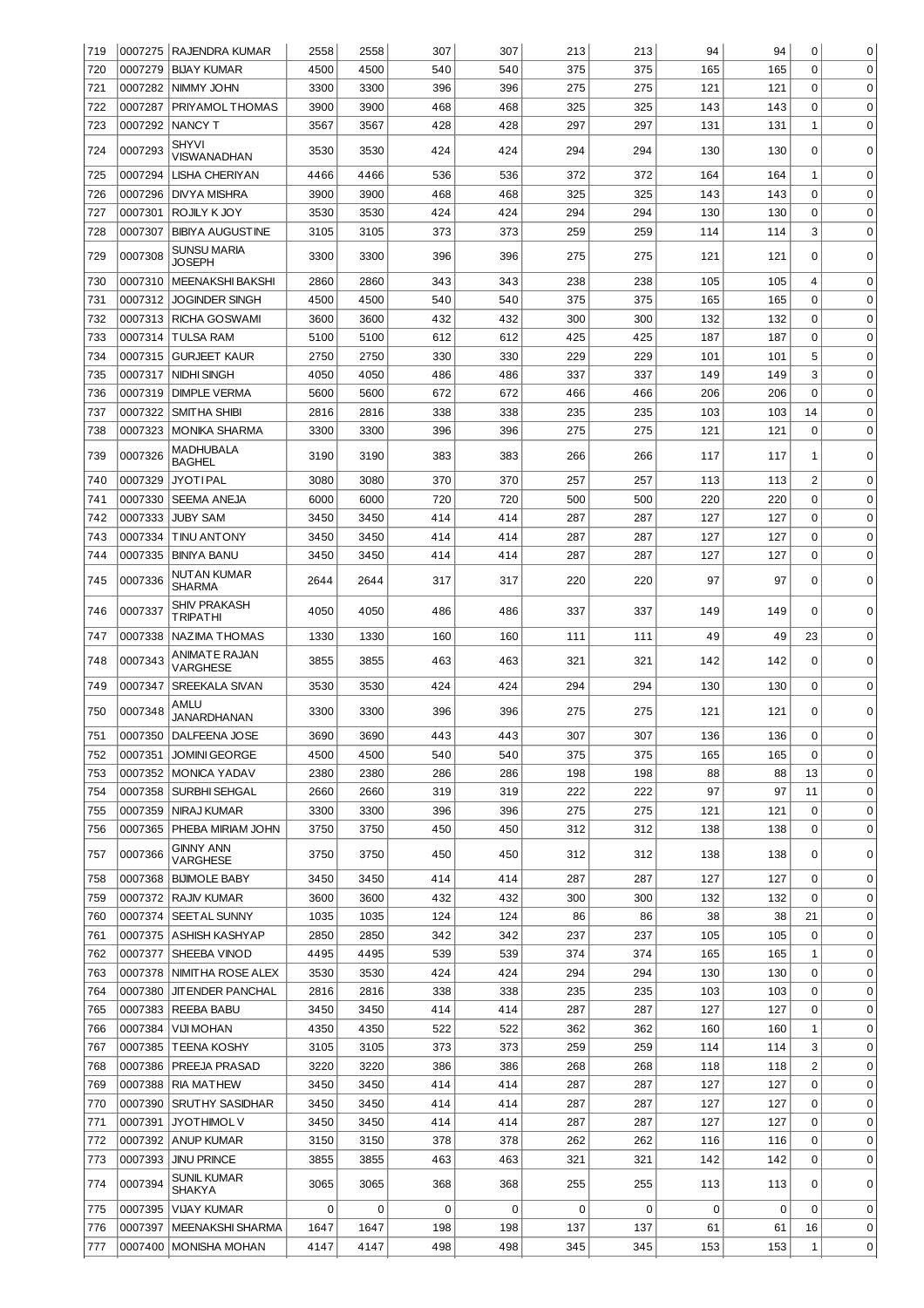| 719 |         | 0007275   RAJENDRA KUMAR        | 2558 | 2558 | 307 | 307 | 213 | 213 | 94          | 94  | 0            | 0           |
|-----|---------|---------------------------------|------|------|-----|-----|-----|-----|-------------|-----|--------------|-------------|
| 720 | 0007279 | <b>BIJAY KUMAR</b>              | 4500 | 4500 | 540 | 540 | 375 | 375 | 165         | 165 | $\mathbf 0$  | $\mathbf 0$ |
| 721 | 0007282 | NIMMY JOHN                      | 3300 | 3300 | 396 | 396 | 275 | 275 | 121         | 121 | 0            | $\mathbf 0$ |
| 722 | 0007287 | PRIYAMOL THOMAS                 | 3900 | 3900 | 468 | 468 | 325 | 325 | 143         | 143 | 0            | $\mathbf 0$ |
| 723 | 0007292 | <b>NANCY T</b>                  | 3567 | 3567 | 428 | 428 | 297 | 297 | 131         | 131 | $\mathbf{1}$ | $\mathbf 0$ |
| 724 | 0007293 | <b>SHYVI</b><br>VISWANADHAN     | 3530 | 3530 | 424 | 424 | 294 | 294 | 130         | 130 | 0            | 0           |
| 725 | 0007294 | LISHA CHERIYAN                  | 4466 | 4466 | 536 | 536 | 372 | 372 | 164         | 164 | 1            | 0           |
| 726 | 0007296 | DIVYA MISHRA                    | 3900 | 3900 | 468 | 468 | 325 | 325 | 143         | 143 | 0            | $\mathbf 0$ |
| 727 | 0007301 | ROJILY KJOY                     | 3530 | 3530 | 424 | 424 | 294 | 294 | 130         | 130 | 0            | $\mathbf 0$ |
| 728 | 0007307 | <b>BIBIYA AUGUSTINE</b>         | 3105 | 3105 | 373 | 373 | 259 | 259 | 114         | 114 | 3            | $\mathbf 0$ |
| 729 | 0007308 | SUNSU MARIA<br><b>JOSEPH</b>    | 3300 | 3300 | 396 | 396 | 275 | 275 | 121         | 121 | 0            | $\mathbf 0$ |
| 730 | 0007310 | <b>MEENAKSHI BAKSHI</b>         | 2860 | 2860 | 343 | 343 | 238 | 238 | 105         | 105 | 4            | 0           |
| 731 | 0007312 | <b>JOGINDER SINGH</b>           | 4500 | 4500 | 540 | 540 | 375 | 375 | 165         | 165 | 0            | 0           |
| 732 | 0007313 | RICHA GOSWAMI                   | 3600 | 3600 | 432 | 432 | 300 | 300 | 132         | 132 | 0            | 0           |
| 733 | 0007314 | <b>TULSA RAM</b>                | 5100 | 5100 | 612 | 612 | 425 | 425 | 187         | 187 | 0            | $\mathbf 0$ |
| 734 | 0007315 | <b>GURJEET KAUR</b>             | 2750 | 2750 | 330 | 330 | 229 | 229 | 101         | 101 | 5            | $\mathbf 0$ |
| 735 | 0007317 | <b>NIDHI SINGH</b>              | 4050 | 4050 | 486 | 486 | 337 | 337 | 149         | 149 | 3            | $\mathbf 0$ |
| 736 | 0007319 | <b>DIMPLE VERMA</b>             | 5600 | 5600 | 672 | 672 | 466 | 466 | 206         | 206 | 0            | $\mathbf 0$ |
| 737 | 0007322 | <b>SMITHA SHIBI</b>             | 2816 | 2816 | 338 | 338 | 235 | 235 | 103         | 103 | 14           | $\mathbf 0$ |
| 738 | 0007323 | <b>MONIKA SHARMA</b>            | 3300 | 3300 | 396 | 396 | 275 | 275 | 121         | 121 | $\mathbf 0$  | 0           |
| 739 | 0007326 | MADHUBALA<br><b>BAGHEL</b>      | 3190 | 3190 | 383 | 383 | 266 | 266 | 117         | 117 | 1            | 0           |
| 740 | 0007329 | JYOTIPAL                        | 3080 | 3080 | 370 | 370 | 257 | 257 | 113         | 113 | 2            | 0           |
| 741 | 0007330 | SEEMA ANEJA                     | 6000 | 6000 | 720 | 720 | 500 | 500 | 220         | 220 | 0            | 0           |
| 742 | 0007333 | <b>JUBY SAM</b>                 | 3450 | 3450 | 414 | 414 | 287 | 287 | 127         | 127 | 0            | 0           |
| 743 | 0007334 | <b>TINU ANTONY</b>              | 3450 | 3450 | 414 | 414 | 287 | 287 | 127         | 127 | 0            | $\mathbf 0$ |
| 744 | 0007335 | <b>BINIYA BANU</b>              | 3450 | 3450 | 414 | 414 | 287 | 287 | 127         | 127 | $\Omega$     | $\mathbf 0$ |
| 745 | 0007336 | NUTAN KUMAR<br><b>SHARMA</b>    | 2644 | 2644 | 317 | 317 | 220 | 220 | 97          | 97  | 0            | $\mathbf 0$ |
| 746 | 0007337 | <b>SHIV PRAKASH</b><br>TRIPATHI | 4050 | 4050 | 486 | 486 | 337 | 337 | 149         | 149 | $\Omega$     | 0           |
| 747 | 0007338 | <b>NAZIMA THOMAS</b>            | 1330 | 1330 | 160 | 160 | 111 | 111 | 49          | 49  | 23           | 0           |
| 748 | 0007343 | ANIMATE RAJAN<br>VARGHESE       | 3855 | 3855 | 463 | 463 | 321 | 321 | 142         | 142 | 0            | $\Omega$    |
| 749 | 0007347 | <b>SREEKALA SIVAN</b>           | 3530 | 3530 | 424 | 424 | 294 | 294 | 130         | 130 | $\mathbf 0$  | 0           |
| 750 | 0007348 | AMLU<br><b>JANARDHANAN</b>      | 3300 | 3300 | 396 | 396 | 275 | 275 | 121         | 121 | 0            | 0           |
| 751 |         | 0007350 DALFEENA JOSE           | 3690 | 3690 | 443 | 443 | 307 | 307 | 136         | 136 | $\Omega$     | $\Omega$    |
| 752 | 0007351 | <b>JOMINI GEORGE</b>            | 4500 | 4500 | 540 | 540 | 375 | 375 | 165         | 165 | 0            | 0           |
| 753 | 0007352 | <b>MONICA YADAV</b>             | 2380 | 2380 | 286 | 286 | 198 | 198 | 88          | 88  | 13           | 0           |
| 754 | 0007358 | <b>SURBHI SEHGAL</b>            | 2660 | 2660 | 319 | 319 | 222 | 222 | 97          | 97  | 11           | 0           |
| 755 | 0007359 | NIRAJ KUMAR                     | 3300 | 3300 | 396 | 396 | 275 | 275 | 121         | 121 | 0            | 0           |
| 756 | 0007365 | PHEBA MIRIAM JOHN               | 3750 | 3750 | 450 | 450 | 312 | 312 | 138         | 138 | 0            | 0           |
| 757 | 0007366 | <b>GINNY ANN</b><br>VARGHESE    | 3750 | 3750 | 450 | 450 | 312 | 312 | 138         | 138 | 0            | $\mathbf 0$ |
| 758 | 0007368 | <b>BIJIMOLE BABY</b>            | 3450 | 3450 | 414 | 414 | 287 | 287 | 127         | 127 | 0            | 0           |
| 759 | 0007372 | <b>RAJIV KUMAR</b>              | 3600 | 3600 | 432 | 432 | 300 | 300 | 132         | 132 | 0            | 0           |
| 760 | 0007374 | SEET AL SUNNY                   | 1035 | 1035 | 124 | 124 | 86  | 86  | 38          | 38  | 21           | 0           |
| 761 |         | 0007375 ASHISH KASHYAP          | 2850 | 2850 | 342 | 342 | 237 | 237 | 105         | 105 | 0            | 0           |
| 762 | 0007377 | SHEEBA VINOD                    | 4495 | 4495 | 539 | 539 | 374 | 374 | 165         | 165 | 1            | 0           |
| 763 | 0007378 | NIMITHA ROSE ALEX               | 3530 | 3530 | 424 | 424 | 294 | 294 | 130         | 130 | 0            | 0           |
| 764 | 0007380 | JIT ENDER PANCHAL               | 2816 | 2816 | 338 | 338 | 235 | 235 | 103         | 103 | 0            | 0           |
| 765 | 0007383 | REEBA BABU                      | 3450 | 3450 | 414 | 414 | 287 | 287 | 127         | 127 | 0            | 0           |
| 766 | 0007384 | VIJI MOHAN                      | 4350 | 4350 | 522 | 522 | 362 | 362 | 160         | 160 | 1            | 0           |
| 767 | 0007385 | <b>TEENA KOSHY</b>              | 3105 | 3105 | 373 | 373 | 259 | 259 | 114         | 114 | 3            | 0           |
| 768 | 0007386 | PREEJA PRASAD                   | 3220 | 3220 | 386 | 386 | 268 | 268 | 118         | 118 | 2            | 0           |
| 769 | 0007388 | <b>RIA MATHEW</b>               | 3450 | 3450 | 414 | 414 | 287 | 287 | 127         | 127 | 0            | $\mathbf 0$ |
| 770 |         | 0007390 SRUTHY SASIDHAR         | 3450 | 3450 | 414 | 414 | 287 | 287 | 127         | 127 | 0            | $\mathbf 0$ |
| 771 | 0007391 | <b>JYOTHIMOL V</b>              | 3450 | 3450 | 414 | 414 | 287 | 287 | 127         | 127 | 0            | $\mathbf 0$ |
| 772 | 0007392 | ANUP KUMAR                      | 3150 | 3150 | 378 | 378 | 262 | 262 | 116         | 116 | 0            | 0           |
| 773 | 0007393 | <b>JINU PRINCE</b>              | 3855 | 3855 | 463 | 463 | 321 | 321 | 142         | 142 | 0            | 0           |
| 774 | 0007394 | SUNIL KUMAR<br><b>SHAKYA</b>    | 3065 | 3065 | 368 | 368 | 255 | 255 | 113         | 113 | 0            | 0           |
| 775 | 0007395 | VIJAY KUMAR                     | 0    | 0    | 0   | 0   | 0   | 0   | $\mathbf 0$ | 0   | $\mathbf 0$  | $\mathbf 0$ |
| 776 | 0007397 | MEENAKSHI SHARMA                | 1647 | 1647 | 198 | 198 | 137 | 137 | 61          | 61  | 16           | $\mathbf 0$ |
|     | 0007400 | <b>MONISHA MOHAN</b>            | 4147 | 4147 | 498 | 498 | 345 | 345 | 153         | 153 | 1            | 0           |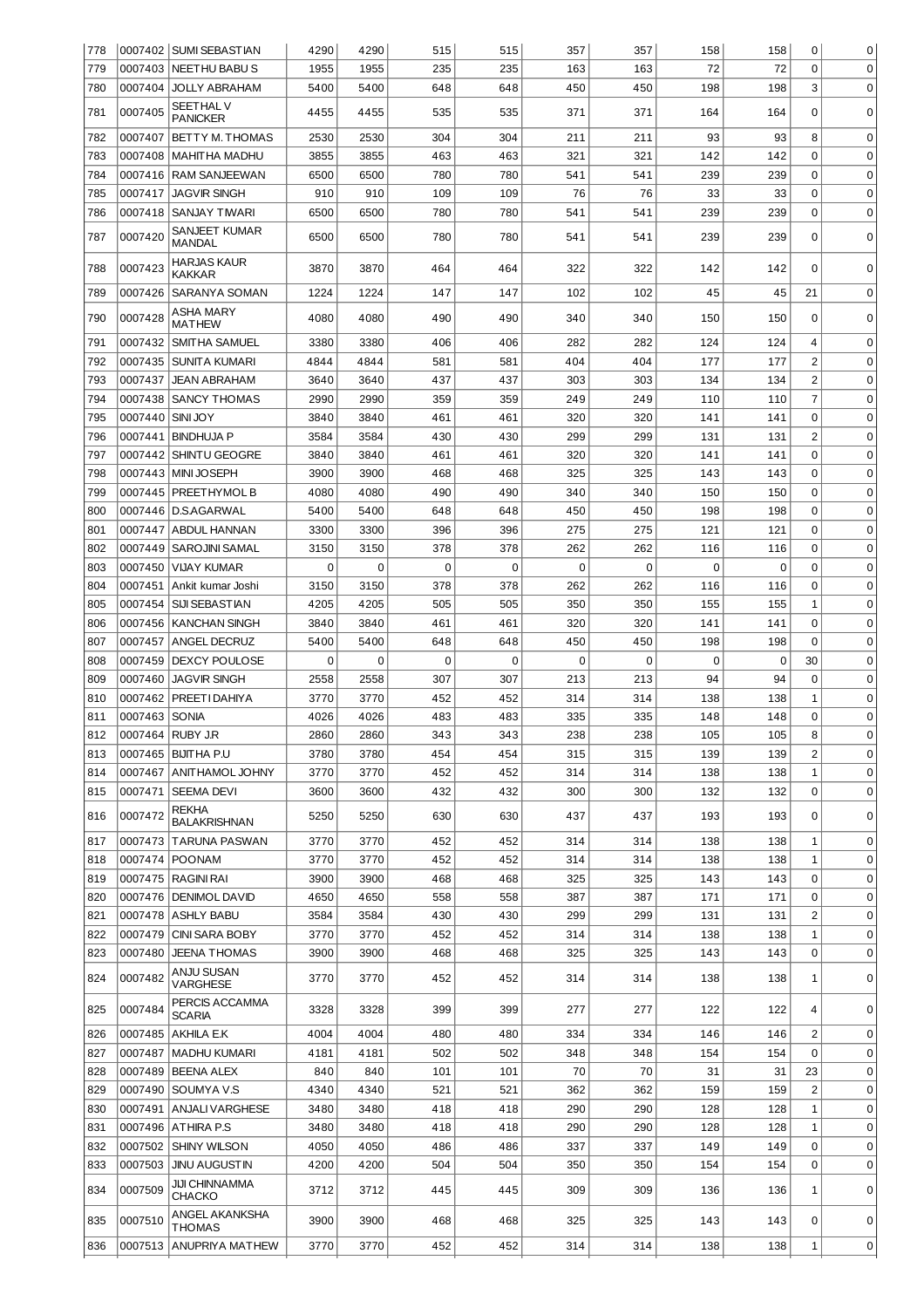| 778 |                  | 0007402   SUMI SEBASTIAN               | 4290 | 4290        | 515 | 515 | 357       | 357         | 158 | 158         | 0                       | 0           |
|-----|------------------|----------------------------------------|------|-------------|-----|-----|-----------|-------------|-----|-------------|-------------------------|-------------|
| 779 |                  | 0007403 NEETHU BABU S                  | 1955 | 1955        | 235 | 235 | 163       | 163         | 72  | 72          | 0                       | $\mathbf 0$ |
| 780 | 0007404          | <b>JOLLY ABRAHAM</b>                   | 5400 | 5400        | 648 | 648 | 450       | 450         | 198 | 198         | 3                       | $\mathbf 0$ |
| 781 | 0007405          | <b>SEETHAL V</b><br><b>PANICKER</b>    | 4455 | 4455        | 535 | 535 | 371       | 371         | 164 | 164         | 0                       | $\Omega$    |
| 782 | 0007407          | BETTY M. THOMAS                        | 2530 | 2530        | 304 | 304 | 211       | 211         | 93  | 93          | 8                       | 0           |
| 783 | 0007408          | <b>MAHITHA MADHU</b>                   | 3855 | 3855        | 463 | 463 | 321       | 321         | 142 | 142         | 0                       | 0           |
| 784 | 0007416          | <b>RAM SANJEEWAN</b>                   | 6500 | 6500        | 780 | 780 |           | 541         | 239 | 239         | 0                       | 0           |
| 785 | 0007417          | <b>JAGVIR SINGH</b>                    | 910  | 910         | 109 | 109 | 541<br>76 | 76          | 33  | 33          | 0                       | 0           |
| 786 | 0007418          | SANJAY TIWARI                          | 6500 | 6500        | 780 | 780 | 541       | 541         | 239 | 239         | 0                       | $\mathbf 0$ |
|     |                  |                                        |      |             |     |     |           |             |     |             |                         |             |
| 787 | 0007420          | SANJEET KUMAR<br>MANDAL                | 6500 | 6500        | 780 | 780 | 541       | 541         | 239 | 239         | 0                       | 0           |
| 788 | 0007423          | <b>HARJAS KAUR</b>                     | 3870 | 3870        | 464 | 464 | 322       | 322         | 142 | 142         | $\Omega$                | $\Omega$    |
|     |                  | KAKKAR                                 |      |             |     |     |           |             |     |             |                         |             |
| 789 | 0007426          | SARANYA SOMAN                          | 1224 | 1224        | 147 | 147 | 102       | 102         | 45  | 45          | 21                      | $\Omega$    |
| 790 | 0007428          | ASHA MARY<br><b>MATHEW</b>             | 4080 | 4080        | 490 | 490 | 340       | 340         | 150 | 150         | 0                       | 0           |
| 791 | 0007432          | SMITHA SAMUEL                          | 3380 | 3380        | 406 | 406 | 282       | 282         | 124 | 124         | 4                       | $\mathbf 0$ |
| 792 | 0007435          | SUNITA KUMARI                          | 4844 | 4844        | 581 | 581 | 404       | 404         | 177 | 177         | $\overline{c}$          | $\Omega$    |
| 793 | 0007437          | <b>JEAN ABRAHAM</b>                    | 3640 | 3640        | 437 | 437 | 303       | 303         | 134 | 134         | $\overline{\mathbf{c}}$ | $\mathbf 0$ |
| 794 | 0007438          | <b>SANCY THOMAS</b>                    | 2990 | 2990        | 359 | 359 | 249       | 249         | 110 | 110         | 7                       | $\mathbf 0$ |
| 795 | 0007440          | <b>SINI JOY</b>                        | 3840 | 3840        | 461 | 461 | 320       | 320         | 141 | 141         | 0                       | $\mathbf 0$ |
| 796 | 0007441          | <b>BINDHUJA P</b>                      | 3584 | 3584        | 430 | 430 | 299       | 299         | 131 | 131         | $\overline{2}$          | $\mathbf 0$ |
| 797 |                  | 0007442 SHINTU GEOGRE                  | 3840 | 3840        | 461 | 461 | 320       | 320         | 141 | 141         | 0                       | $\mathbf 0$ |
| 798 |                  | 0007443   MINI JOSEPH                  | 3900 | 3900        | 468 | 468 | 325       | 325         | 143 | 143         | 0                       | $\mathbf 0$ |
| 799 |                  | 0007445   PREETHYMOL B                 | 4080 | 4080        | 490 | 490 | 340       | 340         | 150 | 150         | 0                       | $\mathbf 0$ |
| 800 |                  | 0007446   D.S.AGARWAL                  | 5400 | 5400        | 648 | 648 | 450       | 450         | 198 | 198         | $\mathbf 0$             | $\mathbf 0$ |
| 801 |                  | 0007447 ABDUL HANNAN                   | 3300 | 3300        | 396 | 396 | 275       | 275         | 121 | 121         | 0                       | $\mathbf 0$ |
| 802 |                  | 0007449   SAROJINI SAMAL               | 3150 | 3150        | 378 | 378 | 262       | 262         | 116 | 116         | 0                       | $\mathbf 0$ |
| 803 | 0007450          | <b>VIJAY KUMAR</b>                     | 0    | $\mathbf 0$ | 0   | 0   | 0         | $\mathbf 0$ | 0   | $\mathbf 0$ | 0                       | $\mathbf 0$ |
| 804 | 0007451          | Ankit kumar Joshi                      | 3150 | 3150        | 378 | 378 | 262       | 262         | 116 | 116         | 0                       | $\mathbf 0$ |
| 805 | 0007454          | <b>SIJI SEBASTIAN</b>                  | 4205 | 4205        | 505 | 505 | 350       | 350         | 155 | 155         | 1                       | $\mathbf 0$ |
| 806 | 0007456          | <b>KANCHAN SINGH</b>                   | 3840 | 3840        | 461 | 461 | 320       | 320         | 141 | 141         | $\mathbf 0$             | $\mathbf 0$ |
| 807 | 0007457          | <b>ANGEL DECRUZ</b>                    | 5400 | 5400        | 648 | 648 | 450       | 450         | 198 | 198         | 0                       | $\mathbf 0$ |
| 808 | 0007459          | DEXCY POULOSE                          | 0    | $\mathbf 0$ | 0   | 0   | 0         | $\mathbf 0$ | 0   | 0           | 30                      | $\mathbf 0$ |
| 809 | 0007460          | <b>JAGVIR SINGH</b>                    | 2558 | 2558        | 307 | 307 | 213       | 213         | 94  | 94          | 0                       | $\mathbf 0$ |
| 810 | 0007462          | PREETI DAHIYA                          | 3770 | 3770        | 452 | 452 | 314       | 314         | 138 | 138         | 1                       | 0           |
| 811 | 0007463          | <b>SONIA</b>                           | 4026 | 4026        | 483 | 483 | 335       | 335         | 148 | 148         | 0                       | 0           |
| 812 | 0007464 RUBY J.R |                                        | 2860 | 2860        | 343 | 343 | 238       | 238         | 105 | 105         | 8                       | $\Omega$    |
| 813 |                  | 0007465   BIJIT HA P.U                 | 3780 | 3780        | 454 | 454 | 315       | 315         | 139 | 139         | 2                       | 0           |
| 814 | 0007467          | ANITHAMOL JOHNY                        | 3770 | 3770        | 452 | 452 | 314       | 314         | 138 | 138         | 1                       | 0           |
| 815 |                  | 0007471   SEEMA DEVI                   | 3600 | 3600        | 432 | 432 | 300       | 300         | 132 | 132         | $\mathbf 0$             | $\mathbf 0$ |
| 816 | 0007472          | <b>REKHA</b><br><b>BALAKRISHNAN</b>    | 5250 | 5250        | 630 | 630 | 437       | 437         | 193 | 193         | 0                       | $\mathbf 0$ |
| 817 |                  | 0007473   TARUNA PASWAN                | 3770 | 3770        | 452 | 452 | 314       | 314         | 138 | 138         | 1                       | 0           |
| 818 |                  | 0007474 POONAM                         | 3770 | 3770        | 452 | 452 | 314       | 314         | 138 | 138         | 1                       | 0           |
| 819 |                  | 0007475 RAGINI RAI                     | 3900 | 3900        | 468 | 468 | 325       | 325         | 143 | 143         | 0                       | 0           |
| 820 |                  | 0007476 DENIMOL DAVID                  | 4650 | 4650        | 558 | 558 | 387       | 387         | 171 | 171         | 0                       | 0           |
| 821 |                  | 0007478 ASHLY BABU                     | 3584 | 3584        | 430 | 430 | 299       | 299         | 131 | 131         | 2                       | $\mathbf 0$ |
| 822 |                  | 0007479 CINI SARA BOBY                 | 3770 | 3770        | 452 | 452 | 314       | 314         | 138 | 138         | 1                       | $\mathbf 0$ |
| 823 | 0007480          | <b>JEENA THOMAS</b>                    | 3900 | 3900        | 468 | 468 | 325       | 325         | 143 | 143         | 0                       | $\mathbf 0$ |
| 824 | 0007482          | ANJU SUSAN<br><b>VARGHESE</b>          | 3770 | 3770        | 452 | 452 | 314       | 314         | 138 | 138         | 1                       | $\mathbf 0$ |
| 825 | 0007484          | PERCIS ACCAMMA<br><b>SCARIA</b>        | 3328 | 3328        | 399 | 399 | 277       | 277         | 122 | 122         | 4                       | 0           |
| 826 |                  | 0007485 AKHILA E.K                     | 4004 | 4004        | 480 | 480 | 334       | 334         | 146 | 146         | 2                       | 0           |
| 827 | 0007487          | <b>MADHU KUMARI</b>                    | 4181 | 4181        | 502 | 502 | 348       | 348         | 154 | 154         | 0                       | 0           |
| 828 | 0007489          | <b>BEENA ALEX</b>                      | 840  | 840         | 101 | 101 | 70        | 70          | 31  | 31          | 23                      | 0           |
| 829 |                  | 0007490 SOUMYA V.S                     | 4340 | 4340        | 521 | 521 | 362       | 362         | 159 | 159         | $\overline{2}$          | 0           |
| 830 |                  | 0007491 ANJALI VARGHESE                | 3480 | 3480        | 418 | 418 | 290       | 290         | 128 | 128         | 1                       | 0           |
| 831 |                  | 0007496 ATHIRA P.S                     | 3480 | 3480        | 418 | 418 | 290       | 290         | 128 | 128         | 1                       | 0           |
| 832 |                  | 0007502 SHINY WILSON                   | 4050 | 4050        | 486 | 486 | 337       | 337         | 149 | 149         | 0                       | 0           |
| 833 | 0007503          | <b>JINU AUGUSTIN</b>                   | 4200 | 4200        | 504 | 504 | 350       | 350         | 154 | 154         | 0                       | 0           |
| 834 | 0007509          | <b>JIJI CHINNAMMA</b><br><b>CHACKO</b> | 3712 | 3712        | 445 | 445 | 309       | 309         | 136 | 136         | 1                       | $\mathbf 0$ |
| 835 | 0007510          | ANGEL AKANKSHA<br>THOMAS               | 3900 | 3900        | 468 | 468 | 325       | 325         | 143 | 143         | 0                       | 0           |
| 836 | 0007513          | ANUPRIYA MATHEW                        | 3770 | 3770        | 452 | 452 | 314       | 314         | 138 | 138         | 1                       | 0           |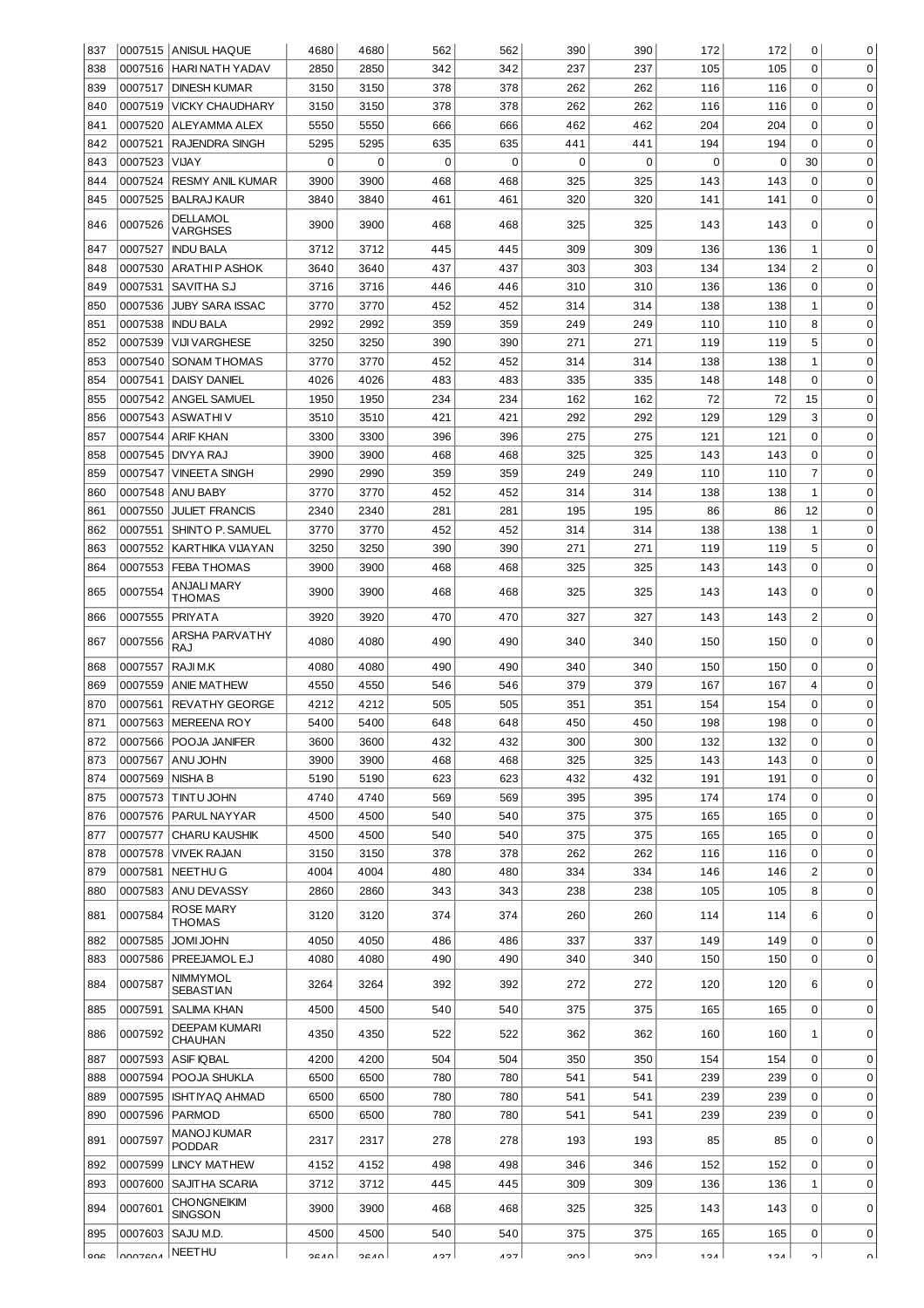| 837 |         | 0007515 ANISUL HAQUE                | 4680      | 4680        | 562         | 562         | 390 | 390         | 172 | 172         | 0              | 0           |
|-----|---------|-------------------------------------|-----------|-------------|-------------|-------------|-----|-------------|-----|-------------|----------------|-------------|
| 838 | 0007516 | HARI NATH YADAV                     | 2850      | 2850        | 342         | 342         | 237 | 237         | 105 | 105         | $\Omega$       | 0           |
| 839 |         | 0007517 DINESH KUMAR                | 3150      | 3150        | 378         | 378         | 262 | 262         | 116 | 116         | 0              | $\mathbf 0$ |
| 840 | 0007519 | <b>VICKY CHAUDHARY</b>              | 3150      | 3150        | 378         | 378         | 262 | 262         | 116 | 116         | $\mathbf 0$    | $\mathbf 0$ |
| 841 | 0007520 | ALEYAMMA ALEX                       | 5550      | 5550        | 666         | 666         | 462 | 462         | 204 | 204         | $\mathbf 0$    | $\mathbf 0$ |
| 842 | 0007521 | RAJENDRA SINGH                      | 5295      | 5295        | 635         | 635         | 441 | 441         | 194 | 194         | $\mathbf 0$    | $\mathbf 0$ |
| 843 | 0007523 | <b>VIJAY</b>                        | $\pmb{0}$ | $\mathbf 0$ | $\mathbf 0$ | $\mathbf 0$ | 0   | $\mathbf 0$ | 0   | $\mathbf 0$ | 30             | $\mathbf 0$ |
| 844 | 0007524 | <b>RESMY ANIL KUMAR</b>             | 3900      | 3900        | 468         | 468         | 325 | 325         | 143 | 143         | 0              | $\mathbf 0$ |
|     | 0007525 |                                     |           |             |             |             | 320 | 320         |     |             | $\mathbf 0$    | $\mathbf 0$ |
| 845 |         | <b>BALRAJ KAUR</b>                  | 3840      | 3840        | 461         | 461         |     |             | 141 | 141         |                |             |
| 846 | 0007526 | <b>DELLAMOL</b><br><b>VARGHSES</b>  | 3900      | 3900        | 468         | 468         | 325 | 325         | 143 | 143         | 0              | 0           |
| 847 | 0007527 | <b>INDU BALA</b>                    | 3712      | 3712        | 445         | 445         | 309 | 309         | 136 | 136         | 1              | $\mathbf 0$ |
| 848 | 0007530 | <b>ARATHIP ASHOK</b>                | 3640      | 3640        | 437         | 437         | 303 | 303         | 134 | 134         | $\overline{2}$ | $\mathbf 0$ |
| 849 | 0007531 | SAVITHA SJ                          | 3716      | 3716        | 446         | 446         | 310 | 310         | 136 | 136         | 0              | 0           |
| 850 | 0007536 | <b>JUBY SARA ISSAC</b>              | 3770      | 3770        | 452         | 452         | 314 | 314         | 138 | 138         | 1              | 0           |
| 851 | 0007538 | <b>INDU BALA</b>                    | 2992      | 2992        | 359         | 359         | 249 | 249         | 110 | 110         | 8              | 0           |
| 852 |         | <b>VIJI VARGHESE</b>                | 3250      | 3250        | 390         | 390         | 271 |             | 119 |             | 5              | 0           |
|     | 0007539 |                                     |           |             |             |             |     | 271         |     | 119         |                |             |
| 853 | 0007540 | <b>SONAM THOMAS</b>                 | 3770      | 3770        | 452         | 452         | 314 | 314         | 138 | 138         | 1              | 0           |
| 854 | 0007541 | <b>DAISY DANIEL</b>                 | 4026      | 4026        | 483         | 483         | 335 | 335         | 148 | 148         | 0              | 0           |
| 855 | 0007542 | ANGEL SAMUEL                        | 1950      | 1950        | 234         | 234         | 162 | 162         | 72  | 72          | 15             | 0           |
| 856 | 0007543 | ASWATHI V                           | 3510      | 3510        | 421         | 421         | 292 | 292         | 129 | 129         | 3              | 0           |
| 857 | 0007544 | <b>ARIF KHAN</b>                    | 3300      | 3300        | 396         | 396         | 275 | 275         | 121 | 121         | 0              | 0           |
| 858 | 0007545 | DNYA RAJ                            | 3900      | 3900        | 468         | 468         | 325 | 325         | 143 | 143         | 0              | 0           |
| 859 | 0007547 | <b>VINEETA SINGH</b>                | 2990      | 2990        | 359         | 359         | 249 | 249         | 110 | 110         | $\overline{7}$ | 0           |
| 860 | 0007548 | ANU BABY                            | 3770      | 3770        | 452         | 452         | 314 | 314         | 138 | 138         | 1              | 0           |
| 861 | 0007550 | <b>JULIET FRANCIS</b>               | 2340      | 2340        | 281         | 281         | 195 | 195         | 86  | 86          | 12             | $\mathbf 0$ |
| 862 | 0007551 | SHINTO P. SAMUEL                    | 3770      | 3770        | 452         | 452         | 314 | 314         | 138 | 138         | 1              | $\mathbf 0$ |
| 863 | 0007552 | KARTHIKA VIJAYAN                    | 3250      | 3250        | 390         | 390         | 271 | 271         | 119 | 119         | 5              | $\mathbf 0$ |
| 864 | 0007553 | <b>FEBA THOMAS</b>                  | 3900      | 3900        | 468         | 468         | 325 | 325         | 143 | 143         | $\mathbf 0$    | $\Omega$    |
| 865 | 0007554 | ANJALI MARY<br>THOMAS               | 3900      | 3900        | 468         | 468         | 325 | 325         | 143 | 143         | 0              | 0           |
| 866 | 0007555 | <b>PRIYATA</b>                      | 3920      | 3920        | 470         | 470         | 327 | 327         | 143 | 143         | $\overline{2}$ | 0           |
| 867 | 0007556 | ARSHA PARVATHY<br>RAJ               | 4080      | 4080        | 490         | 490         | 340 | 340         | 150 | 150         | 0              | $\Omega$    |
| 868 | 0007557 | RAJI M.K                            | 4080      | 4080        | 490         | 490         | 340 | 340         | 150 | 150         | 0              | 0           |
| 869 | 0007559 | <b>ANIE MATHEW</b>                  | 4550      | 4550        | 546         | 546         | 379 | 379         | 167 | 167         | 4              | $\mathbf 0$ |
| 870 | 0007561 | <b>REVATHY GEORGE</b>               | 4212      | 4212        | 505         | 505         | 351 | 351         | 154 | 154         | 0              | 0           |
| 871 |         | 0007563   MEREENA ROY               | 5400      | 5400        | 648         | 648         | 450 | 450         | 198 | 198         | 0              | 0           |
| 872 |         | 0007566 POOJA JANIFER               | 3600      | 3600        | 432         | 432         | 300 | 300         | 132 | 132         | 0              | 0           |
| 873 | 0007567 | ANU JOHN                            |           |             |             |             |     |             |     |             |                |             |
| 874 | 0007569 |                                     | 3900      | 3900        | 468         | 468         | 325 | 325         | 143 | 143         | 0              | 0           |
| 875 |         | <b>NISHA B</b>                      | 5190      | 5190        | 623         | 623         | 432 | 432         | 191 | 191         | 0              | 0           |
| 876 | 0007573 | TINTU JOHN                          | 4740      | 4740        | 569         | 569         | 395 | 395         | 174 | 174         | 0              | 0           |
|     | 0007576 | PARUL NAYYAR                        | 4500      | 4500        | 540         | 540         | 375 | 375         | 165 | 165         | $\Omega$       | $\mathbf 0$ |
| 877 | 0007577 | <b>CHARU KAUSHIK</b>                | 4500      | 4500        | 540         | 540         | 375 | 375         | 165 | 165         | $\Omega$       | $\mathbf 0$ |
| 878 | 0007578 | <b>VIVEK RAJAN</b>                  | 3150      | 3150        | 378         | 378         | 262 | 262         | 116 | 116         | $\Omega$       | $\mathbf 0$ |
| 879 | 0007581 | NEETHU G                            | 4004      | 4004        | 480         | 480         | 334 | 334         | 146 | 146         | $\overline{c}$ | $\mathbf 0$ |
| 880 | 0007583 | ANU DEVASSY                         | 2860      | 2860        | 343         | 343         | 238 | 238         | 105 | 105         | 8              | $\mathbf 0$ |
| 881 |         | <b>ROSE MARY</b>                    | 3120      | 3120        | 374         | 374         | 260 | 260         | 114 | 114         | 6              | 0           |
|     | 0007584 | THOMAS                              |           |             |             |             |     |             |     |             |                |             |
| 882 | 0007585 | <b>UHOL IMOL</b>                    | 4050      | 4050        | 486         | 486         | 337 | 337         | 149 | 149         | 0              | $\mathbf 0$ |
| 883 | 0007586 | PREEJAMOL E.J<br>NIMMYMOL           | 4080      | 4080        | 490         | 490         | 340 | 340         | 150 | 150         | 0              | $\mathbf 0$ |
| 884 | 0007587 | <b>SEBASTIAN</b>                    | 3264      | 3264        | 392         | 392         | 272 | 272         | 120 | 120         | 6              | $\mathbf 0$ |
| 885 | 0007591 | <b>SALIMA KHAN</b>                  | 4500      | 4500        | 540         | 540         | 375 | 375         | 165 | 165         | 0              | $\mathbf 0$ |
| 886 | 0007592 | <b>DEEPAM KUMARI</b><br>CHAUHAN     | 4350      | 4350        | 522         | 522         | 362 | 362         | 160 | 160         | 1              | $\mathbf 0$ |
| 887 | 0007593 | <b>ASIF IQBAL</b>                   | 4200      | 4200        | 504         | 504         | 350 | 350         | 154 | 154         | $\mathbf 0$    | $\mathbf 0$ |
| 888 | 0007594 | POOJA SHUKLA                        | 6500      | 6500        | 780         | 780         | 541 | 541         | 239 | 239         | $\mathbf 0$    | $\mathbf 0$ |
| 889 | 0007595 | <b>ISHTIYAQ AHMAD</b>               | 6500      | 6500        | 780         | 780         | 541 | 541         | 239 | 239         | $\mathbf 0$    | $\mathbf 0$ |
| 890 | 0007596 | <b>PARMOD</b><br><b>MANOJ KUMAR</b> | 6500      | 6500        | 780         | 780         | 541 | 541         | 239 | 239         | $\mathbf 0$    | $\mathbf 0$ |
| 891 | 0007597 | <b>PODDAR</b>                       | 2317      | 2317        | 278         | 278         | 193 | 193         | 85  | 85          | 0              | 0           |
| 892 | 0007599 | <b>LINCY MATHEW</b>                 | 4152      | 4152        | 498         | 498         | 346 | 346         | 152 | 152         | $\mathbf 0$    | $\mathbf 0$ |
| 893 | 0007600 | SAJITHA SCARIA                      | 3712      | 3712        | 445         | 445         | 309 | 309         | 136 | 136         | $1\,$          | $\mathbf 0$ |
| 894 | 0007601 | <b>CHONGNEIKIM</b><br>SINGSON       | 3900      | 3900        | 468         | 468         | 325 | 325         | 143 | 143         | 0              | $\mathbf 0$ |
| 895 | 0007603 | SAJU M.D.<br>NEETHU                 | 4500      | 4500        | 540         | 540         | 375 | 375         | 165 | 165         | 0              | 0           |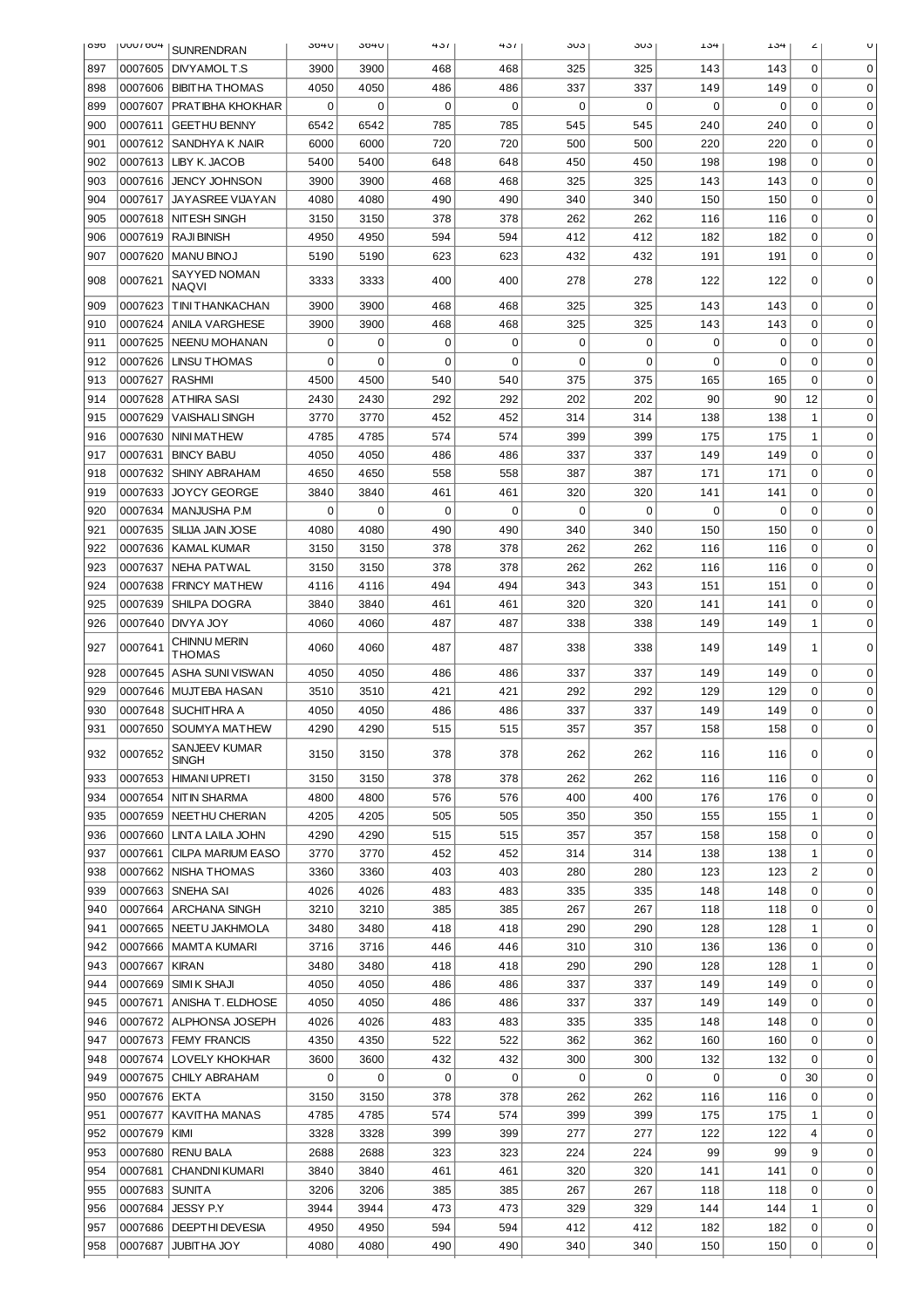| <b>OAO</b> | <b>HUO I UUU</b> | <b>SUNRENDRAN</b>             | 304U | 304U | 431         | 431         | ა∪ა         | კ∪კ         | 134         | 134                | ۷              |             |
|------------|------------------|-------------------------------|------|------|-------------|-------------|-------------|-------------|-------------|--------------------|----------------|-------------|
| 897        | 0007605          | DNYAMOLT.S                    | 3900 | 3900 | 468         | 468         | 325         | 325         | 143         | $\mathbf 0$<br>143 |                | 0           |
| 898        | 0007606          | <b>BIBITHA THOMAS</b>         | 4050 | 4050 | 486         | 486         | 337         | 337         | 149         | 149                | $\Omega$       | 0           |
| 899        | 0007607          | PRATIBHA KHOKHAR              | 0    | 0    | $\mathbf 0$ | $\mathbf 0$ | $\Omega$    | $\mathbf 0$ | $\mathbf 0$ | 0                  | 0              | 0           |
| 900        | 0007611          | <b>GEETHU BENNY</b>           | 6542 | 6542 | 785         | 785         | 545         | 545         | 240         | 240                | 0              | 0           |
| 901        | 0007612          | SANDHYA K NAIR                | 6000 | 6000 | 720         | 720         | 500         | 500         | 220         | 220                | 0              | 0           |
| 902        | 0007613          | LIBY K. JACOB                 | 5400 | 5400 | 648         | 648         | 450         | 450         | 198         | 198                | 0              | $\mathbf 0$ |
| 903        | 0007616          | JENCY JOHNSON                 | 3900 | 3900 | 468         | 468         | 325         | 325         | 143         | 143                | 0              | $\mathbf 0$ |
| 904        | 0007617          | <b>JAYASREE VIJAYAN</b>       | 4080 | 4080 | 490         | 490         | 340         | 340         | 150         | 150                | 0              | $\mathbf 0$ |
| 905        | 0007618          | NIT ESH SINGH                 | 3150 | 3150 | 378         | 378         | 262         | 262         | 116         | 116                | 0              | $\mathbf 0$ |
| 906        | 0007619          | <b>RAJI BINISH</b>            | 4950 | 4950 | 594         | 594         | 412         | 412         | 182         | 182                | 0              | $\mathbf 0$ |
| 907        | 0007620          | <b>MANU BINOJ</b>             | 5190 | 5190 | 623         | 623         | 432         | 432         | 191         | 191                | 0              | $\Omega$    |
|            |                  | SAYYED NOMAN                  |      |      |             |             |             |             |             |                    |                |             |
| 908        | 0007621          | <b>NAOVI</b>                  | 3333 | 3333 | 400         | 400         | 278         | 278         | 122         | 122                | 0              | 0           |
| 909        | 0007623          | T INI THANKACHAN              | 3900 | 3900 | 468         | 468         | 325         | 325         | 143         | 143                | $\mathbf 0$    | $\mathbf 0$ |
| 910        | 0007624          | <b>ANILA VARGHESE</b>         | 3900 | 3900 | 468         | 468         | 325         | 325         | 143         | 143                | $\mathbf 0$    | 0           |
| 911        | 0007625          | <b>NEENU MOHANAN</b>          | 0    | 0    | $\mathbf 0$ | $\mathbf 0$ | 0           | 0           | 0           | $\mathbf 0$        | $\mathbf 0$    | $\mathbf 0$ |
| 912        | 0007626          | <b>LINSU THOMAS</b>           | 0    | 0    | $\mathbf 0$ | 0           | 0           | 0           | 0           | $\mathbf 0$        | $\mathbf 0$    | $\mathbf 0$ |
| 913        | 0007627          | <b>RASHMI</b>                 | 4500 | 4500 | 540         | 540         | 375         | 375         | 165         | 165                | $\mathbf 0$    | $\mathbf 0$ |
| 914        | 0007628          | <b>ATHIRA SASI</b>            | 2430 | 2430 | 292         | 292         | 202         | 202         | 90          | 90                 | 12             | $\mathbf 0$ |
| 915        | 0007629          | <b>VAISHALI SINGH</b>         | 3770 | 3770 | 452         | 452         | 314         | 314         | 138         | 138                | $\mathbf{1}$   | 0           |
| 916        | 0007630          | <b>NINI MATHEW</b>            | 4785 | 4785 | 574         | 574         | 399         | 399         | 175         | 175                | $\mathbf{1}$   | 0           |
| 917        | 0007631          | <b>BINCY BABU</b>             | 4050 | 4050 | 486         | 486         | 337         | 337         | 149         | 149                | 0              | $\mathbf 0$ |
| 918        | 0007632          | <b>SHINY ABRAHAM</b>          | 4650 | 4650 | 558         | 558         | 387         | 387         | 171         | 171                | 0              | $\mathbf 0$ |
| 919        | 0007633          | <b>JOYCY GEORGE</b>           | 3840 | 3840 | 461         | 461         | 320         | 320         | 141         | 141                | 0              | $\mathbf 0$ |
| 920        | 0007634          | <b>MANJUSHA P.M</b>           | 0    | 0    | $\mathbf 0$ | $\mathbf 0$ | $\mathbf 0$ | 0           | 0           | $\mathbf 0$        | 0              | $\mathbf 0$ |
| 921        | 0007635          | SILIJA JAIN JOSE              | 4080 | 4080 | 490         | 490         | 340         | 340         | 150         | 150                | 0              | $\mathbf 0$ |
| 922        | 0007636          | <b>KAMAL KUMAR</b>            | 3150 | 3150 | 378         | 378         | 262         | 262         | 116         | 116                | 0              | $\mathbf 0$ |
| 923        | 0007637          | <b>NEHA PATWAL</b>            | 3150 | 3150 | 378         | 378         | 262         | 262         | 116         | 116                | 0              | $\mathbf 0$ |
| 924        | 0007638          | <b>FRINCY MATHEW</b>          | 4116 | 4116 | 494         | 494         | 343         | 343         | 151         | 151                | 0              | $\mathbf 0$ |
| 925        | 0007639          | SHILPA DOGRA                  | 3840 | 3840 | 461         | 461         | 320         | 320         | 141         | 141                | 0              | $\mathbf 0$ |
| 926        | 0007640          | DNYA JOY                      | 4060 | 4060 | 487         | 487         | 338         | 338         | 149         | 149                | $\mathbf{1}$   | 0           |
|            |                  | CHINNU MERIN                  |      |      |             |             |             |             |             |                    |                |             |
| 927        | 0007641          | THOMAS                        | 4060 | 4060 | 487         | 487         | 338         | 338         | 149         | 149                | 1              | $\Omega$    |
| 928        | 0007645          | <b>ASHA SUNI VISWAN</b>       | 4050 | 4050 | 486         | 486         | 337         | 337         | 149         | 149                | 0              | 0           |
| 929        | 0007646          | <b>MUJTEBA HASAN</b>          | 3510 | 3510 | 421         | 421         | 292         | 292         | 129         | 129                | $\mathbf 0$    | 0           |
| 930        | 0007648          | <b>SUCHIT HRA A</b>           | 4050 | 4050 | 486         | 486         | 337         | 337         | 149         | 149                | $\mathbf 0$    | 0           |
| 931        | 0007650          | <b>SOUMYA MATHEW</b>          | 4290 | 4290 | 515         | 515         | 357         | 357         | 158         | 158                | 0              | 0           |
| 932        | 0007652          | SANJEEV KUMAR                 | 3150 | 3150 | 378         | 378         | 262         | 262         | 116         | 116                | 0              | 0           |
|            |                  | SINGH                         |      |      |             |             |             |             |             |                    |                |             |
| 933        | 0007653          | HIMANI UPRETI                 | 3150 | 3150 | 378         | 378         | 262         | 262         | 116         | 116                | 0              | 0           |
| 934        | 0007654          | NITIN SHARMA                  | 4800 | 4800 | 576         | 576         | 400         | 400         | 176         | 176                | 0              | $\mathbf 0$ |
| 935        |                  | 0007659   NEETHU CHERIAN      | 4205 | 4205 | 505         | 505         | 350         | 350         | 155         | 155                | 1              | 0           |
| 936        |                  | 0007660 LINTA LAILA JOHN      | 4290 | 4290 | 515         | 515         | 357         | 357         | 158         | 158                | 0              | 0           |
| 937        | 0007661          | CILPA MARIUM EASO             | 3770 | 3770 | 452         | 452         | 314         | 314         | 138         | 138                | 1              | 0           |
| 938        |                  | 0007662   NISHA THOMAS        | 3360 | 3360 | 403         | 403         | 280         | 280         | 123         | 123                | $\overline{2}$ | 0           |
| 939        | 0007663          | SNEHA SAI                     | 4026 | 4026 | 483         | 483         | 335         | 335         | 148         | 148                | 0              | 0           |
| 940        |                  | 0007664 ARCHANA SINGH         | 3210 | 3210 | 385         | 385         | 267         | 267         | 118         | 118                | 0              | 0           |
| 941        |                  | 0007665 NEETU JAKHMOLA        | 3480 | 3480 | 418         | 418         | 290         | 290         | 128         | 128                | 1              | 0           |
| 942        |                  | 0007666   MAMTA KUMARI        | 3716 | 3716 | 446         | 446         | 310         | 310         | 136         | 136                | 0              | 0           |
| 943        | 0007667          | KIRAN                         | 3480 | 3480 | 418         | 418         | 290         | 290         | 128         | 128                | 1              | 0           |
| 944        | 0007669          | SIMI K SHAJI                  | 4050 | 4050 | 486         | 486         | 337         | 337         | 149         | 149                | 0              | 0           |
| 945        |                  | 0007671 ANISHA T. ELDHOSE     | 4050 | 4050 | 486         | 486         | 337         | 337         | 149         | 149                | 0              | 0           |
| 946        |                  | 0007672 ALPHONSA JOSEPH       | 4026 | 4026 | 483         | 483         | 335         | 335         | 148         | 148                | 0              | 0           |
| 947        |                  | 0007673   FEMY FRANCIS        | 4350 | 4350 | 522         | 522         | 362         | 362         | 160         | 160                | 0              | 0           |
| 948        |                  | 0007674   LOVELY KHOKHAR      | 3600 | 3600 | 432         | 432         | 300         | 300         | 132         | 132                | $\Omega$       | 0           |
| 949        |                  | 0007675 CHILY ABRAHAM         | 0    | 0    | 0           | 0           | 0           | 0           | 0           | 0                  | 30             | 0           |
| 950        | 0007676 EKTA     |                               | 3150 | 3150 | 378         | 378         | 262         | 262         | 116         | 116                | 0              | 0           |
| 951        | 0007677          | KAVITHA MANAS                 | 4785 | 4785 | 574         | 574         | 399         | 399         | 175         | 175                | 1              | 0           |
| 952        | 0007679 KIMI     |                               | 3328 | 3328 | 399         | 399         | 277         | 277         | 122         | 122                | 4              | 0           |
| 953        |                  | 0007680 RENU BALA             | 2688 | 2688 | 323         | 323         | 224         | 224         | 99          | 99                 | 9              | 0           |
| 954        |                  | 0007681 CHANDNI KUMARI        | 3840 | 3840 | 461         | 461         | 320         | 320         | 141         | 141                | 0              | 0           |
| 955        | 0007683 SUNITA   |                               | 3206 | 3206 | 385         | 385         | 267         | 267         | 118         | 118                | 0              | 0           |
| 956        |                  | 0007684   JESSY P.Y           | 3944 | 3944 | 473         | 473         | 329         | 329         | 144         | 144                | 1              | 0           |
| 957        |                  | 0007686   DEEPTHI DEVESIA     | 4950 | 4950 | 594         | 594         | 412         | 412         | 182         | 182                | 0              | 0           |
|            |                  | 0007687<br><b>JUBITHA JOY</b> | 4080 | 4080 | 490         | 490         | 340         | 340         | 150         | 150                | 0              | 0           |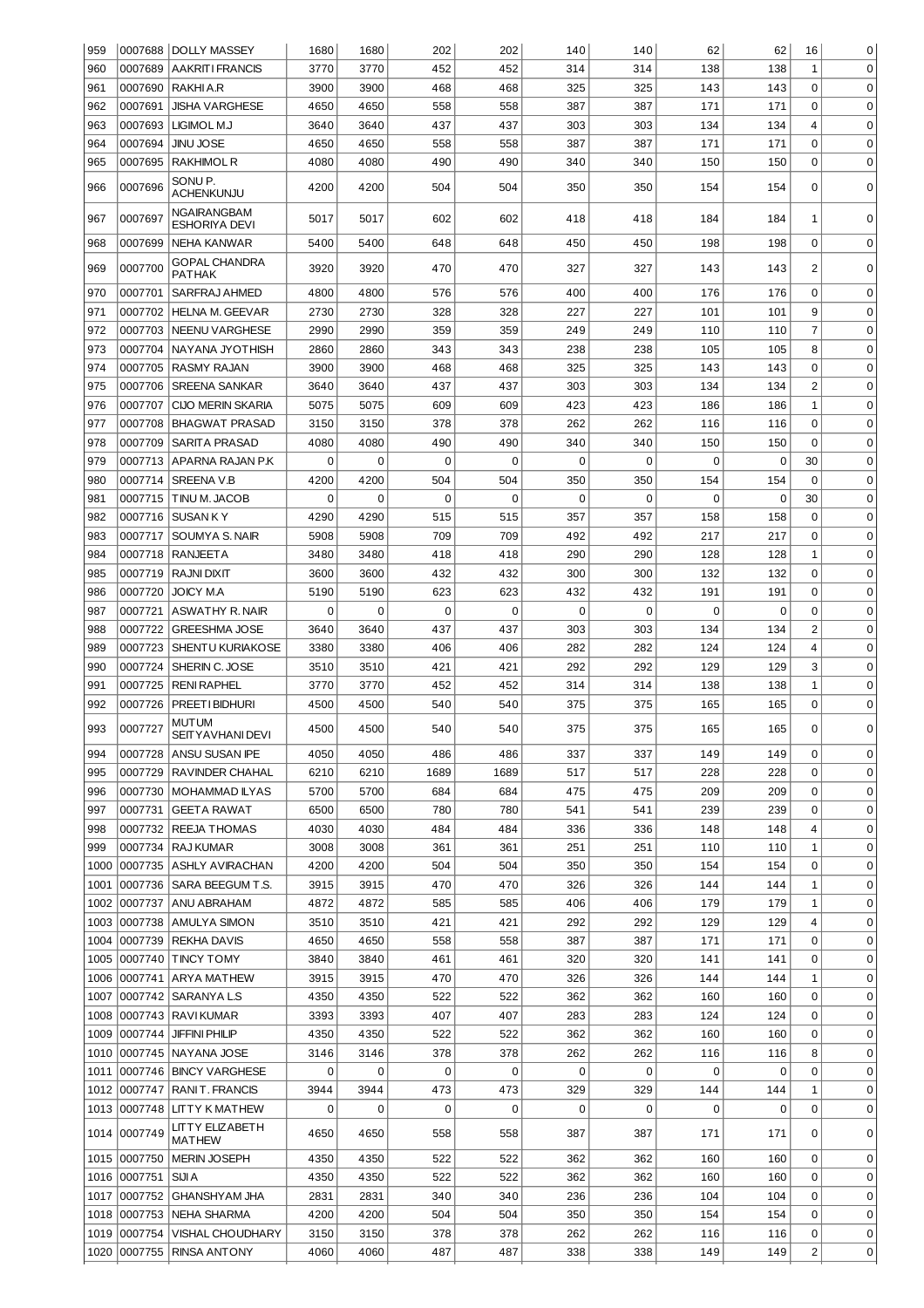| 959  |                     | 0007688  DOLLY MASSEY                    | 1680        | 1680           | 202         | 202  | 140 | 140         | 62          | 62  | 16             | 0           |
|------|---------------------|------------------------------------------|-------------|----------------|-------------|------|-----|-------------|-------------|-----|----------------|-------------|
| 960  |                     | 0007689 AAKRIT I FRANCIS                 | 3770        | 3770           | 452         | 452  | 314 | 314         | 138         | 138 | $\mathbf{1}$   | 0           |
| 961  |                     | 0007690 RAKHI A.R                        | 3900        | 3900           | 468         | 468  | 325 | 325         | 143         | 143 | 0              | 0           |
| 962  | 0007691             | <b>JISHA VARGHESE</b>                    | 4650        | 4650           | 558         | 558  | 387 | 387         | 171         | 171 | $\Omega$       | 0           |
| 963  | 0007693             | LIGIMOL M.J                              | 3640        | 3640           | 437         | 437  | 303 | 303         | 134         | 134 | 4              | 0           |
| 964  | 0007694             | JINU JOSE                                | 4650        | 4650           | 558         | 558  | 387 | 387         | 171         | 171 | $\mathbf 0$    | 0           |
| 965  | 0007695             | <b>RAKHIMOL R</b>                        | 4080        | 4080           | 490         | 490  | 340 | 340         | 150         | 150 | 0              | 0           |
| 966  | 0007696             | SONU P.<br>ACHENKUNJU                    | 4200        | 4200           | 504         | 504  | 350 | 350         | 154         | 154 | $\mathbf 0$    | 0           |
| 967  | 0007697             | NGAIRANGBAM<br><b>ESHORIYA DEVI</b>      | 5017        | 5017           | 602         | 602  | 418 | 418         | 184         | 184 | 1              | 0           |
| 968  | 0007699             | NEHA KANWAR                              | 5400        | 5400           | 648         | 648  | 450 | 450         | 198         | 198 | $\mathbf 0$    | 0           |
| 969  | 0007700             | <b>GOPAL CHANDRA</b><br><b>PATHAK</b>    | 3920        | 3920           | 470         | 470  | 327 | 327         | 143         | 143 | $\overline{c}$ | 0           |
| 970  | 0007701             | SARFRAJ AHMED                            | 4800        | 4800           | 576         | 576  | 400 | 400         | 176         | 176 | $\mathbf 0$    | 0           |
| 971  | 0007702             | <b>HELNA M. GEEVAR</b>                   | 2730        | 2730           | 328         | 328  | 227 | 227         | 101         | 101 | 9              | 0           |
| 972  | 0007703             | <b>NEENU VARGHESE</b>                    | 2990        | 2990           | 359         | 359  | 249 | 249         | 110         | 110 | $\overline{7}$ | 0           |
| 973  | 0007704             | NAYANA JYOTHISH                          | 2860        | 2860           | 343         | 343  | 238 | 238         | 105         | 105 | 8              | 0           |
| 974  | 0007705             | <b>RASMY RAJAN</b>                       | 3900        | 3900           | 468         | 468  | 325 | 325         | 143         | 143 | 0              | 0           |
| 975  | 0007706             | <b>SREENA SANKAR</b>                     | 3640        | 3640           | 437         | 437  | 303 | 303         | 134         | 134 | $\overline{c}$ | 0           |
| 976  | 0007707             | CIJO MERIN SKARIA                        | 5075        | 5075           | 609         | 609  | 423 | 423         | 186         | 186 | $\mathbf 1$    | 0           |
| 977  | 0007708             | <b>BHAGWAT PRASAD</b>                    | 3150        | 3150           | 378         | 378  | 262 | 262         | 116         | 116 | $\mathbf 0$    | 0           |
| 978  | 0007709             | <b>SARITA PRASAD</b>                     | 4080        | 4080           | 490         | 490  | 340 | 340         | 150         | 150 | $\mathbf 0$    | 0           |
| 979  |                     | 0007713 APARNA RAJAN P.K                 | 0           | $\overline{0}$ | 0           | 0    | 0   | 0           | 0           | 0   | 30             | 0           |
| 980  |                     | 0007714   SREENA V.B                     | 4200        | 4200           | 504         | 504  | 350 | 350         | 154         | 154 | $\mathbf 0$    | 0           |
| 981  | 0007715             | TINU M. JACOB                            | $\mathbf 0$ | $\overline{0}$ | $\mathbf 0$ | 0    | 0   | 0           | 0           | 0   | 30             | 0           |
| 982  |                     | 0007716 SUSAN KY                         | 4290        | 4290           | 515         | 515  | 357 | 357         | 158         | 158 | $\mathbf 0$    | 0           |
| 983  |                     | 0007717 SOUMYA S. NAIR                   | 5908        | 5908           | 709         | 709  | 492 | 492         | 217         | 217 | $\mathbf 0$    | 0           |
|      |                     |                                          |             |                |             |      |     |             |             |     |                |             |
| 984  |                     | 0007718 RANJEETA                         | 3480        | 3480           | 418         | 418  | 290 | 290         | 128         | 128 | $\mathbf 1$    | 0           |
| 985  |                     | 0007719 RAJNI DIXIT                      | 3600        | 3600           | 432         | 432  | 300 | 300         | 132         | 132 | 0              | $\mathbf 0$ |
| 986  | 0007720             | <b>JOICY MA</b>                          | 5190        | 5190           | 623         | 623  | 432 | 432         | 191         | 191 | $\mathbf 0$    | $\mathbf 0$ |
| 987  | 0007721             | <b>ASWATHY R. NAIR</b>                   | $\mathbf 0$ | $\mathbf 0$    | $\mathbf 0$ | 0    | 0   | $\mathbf 0$ | $\mathbf 0$ | 0   | $\mathbf 0$    | $\mathbf 0$ |
| 988  | 0007722             | <b>GREESHMA JOSE</b>                     | 3640        | 3640           | 437         | 437  | 303 | 303         | 134         | 134 | $\overline{c}$ | $\mathbf 0$ |
| 989  | 0007723             | SHENTU KURIAKOSE                         | 3380        | 3380           | 406         | 406  | 282 | 282         | 124         | 124 | 4              | $\mathbf 0$ |
| 990  | 0007724             | SHERIN C. JOSE                           | 3510        | 3510           | 421         | 421  | 292 | 292         | 129         | 129 | 3              | $\mathbf 0$ |
| 991  | 0007725             | <b>RENI RAPHEL</b>                       | 3770        | 3770           | 452         | 452  | 314 | 314         | 138         | 138 | $\mathbf 1$    | $\mathbf 0$ |
| 992  | 0007726             | PREETI BIDHURI                           | 4500        | 4500           | 540         | 540  | 375 | 375         | 165         | 165 | $\mathbf 0$    | $\mathsf 0$ |
| 993  | 0007727             | <b>MUTUM</b><br><b>SEITY AVHANI DEVI</b> | 4500        | 4500           | 540         | 540  | 375 | 375         | 165         | 165 | 0              | 0           |
| 994  |                     | 0007728 ANSU SUSAN IPE                   | 4050        | 4050           | 486         | 486  | 337 | 337         | 149         | 149 | 0              | 0           |
| 995  | 0007729             | <b>RAVINDER CHAHAL</b>                   | 6210        | 6210           | 1689        | 1689 | 517 | 517         | 228         | 228 | 0              | 0           |
| 996  | 0007730             | MOHAMMAD ILYAS                           | 5700        | 5700           | 684         | 684  | 475 | 475         | 209         | 209 | 0              | 0           |
| 997  | 0007731             | <b>GEETA RAWAT</b>                       | 6500        | 6500           | 780         | 780  | 541 | 541         | 239         | 239 | 0              | 0           |
| 998  |                     | 0007732   REEJA THOMAS                   | 4030        | 4030           | 484         | 484  | 336 | 336         | 148         | 148 | 4              | 0           |
| 999  |                     | 0007734 RAJ KUMAR                        | 3008        | 3008           | 361         | 361  | 251 | 251         | 110         | 110 | $\mathbf{1}$   | 0           |
| 1000 |                     | 0007735 ASHLY AVIRACHAN                  | 4200        | 4200           | 504         | 504  | 350 | 350         | 154         | 154 | 0              | 0           |
| 1001 | 0007736             | SARA BEEGUM T.S.                         | 3915        | 3915           | 470         | 470  | 326 | 326         | 144         | 144 | 1              | 0           |
| 1002 | 0007737             | <b>ANU ABRAHAM</b>                       | 4872        | 4872           | 585         | 585  | 406 | 406         | 179         | 179 | $\mathbf{1}$   | 0           |
|      |                     |                                          |             | 3510           |             |      | 292 | 292         | 129         |     | 4              | 0           |
|      |                     | 1003 0007738 AMULYA SIMON                | 3510        |                | 421         | 421  |     |             |             | 129 |                |             |
|      | 1004 0007739        | <b>REKHA DAVIS</b>                       | 4650        | 4650           | 558         | 558  | 387 | 387         | 171         | 171 | $\mathbf 0$    | 0           |
|      |                     | 1005 0007740 TINCY TOMY                  | 3840        | 3840           | 461         | 461  | 320 | 320         | 141         | 141 | 0              | 0           |
|      |                     | 1006 0007741 ARYA MATHEW                 | 3915        | 3915           | 470         | 470  | 326 | 326         | 144         | 144 | $1\,$          | 0           |
| 1007 |                     | 0007742   SARANYA L.S                    | 4350        | 4350           | 522         | 522  | 362 | 362         | 160         | 160 | 0              | 0           |
|      |                     | 1008 0007743 RAVI KUMAR                  | 3393        | 3393           | 407         | 407  | 283 | 283         | 124         | 124 | 0              | 0           |
|      |                     | 1009 0007744 JIFFINI PHILIP              | 4350        | 4350           | 522         | 522  | 362 | 362         | 160         | 160 | 0              | 0           |
|      |                     | 1010 0007745 NAYANA JOSE                 | 3146        | 3146           | 378         | 378  | 262 | 262         | 116         | 116 | 8              | 0           |
|      |                     | 1011 0007746 BINCY VARGHESE              | 0           | $\overline{0}$ | 0           | 0    | 0   | 0           | 0           | 0   | 0              | 0           |
|      |                     | 1012 0007747 RANIT. FRANCIS              | 3944        | 3944           | 473         | 473  | 329 | 329         | 144         | 144 | $\mathbf 1$    | 0           |
|      |                     | 1013 0007748 LITTY K MATHEW              | 0           | $\overline{0}$ | 0           | 0    | 0   | 0           | 0           | 0   | 0              | 0           |
|      | 1014 0007749        | LITTY ELIZABETH<br>MATHEW                | 4650        | 4650           | 558         | 558  | 387 | 387         | 171         | 171 | 0              | 0           |
|      |                     | 1015 0007750 MERIN JOSEPH                | 4350        | 4350           | 522         | 522  | 362 | 362         | 160         | 160 | $\mathbf 0$    | 0           |
|      | 1016 0007751 SIJI A |                                          | 4350        | 4350           | 522         | 522  | 362 | 362         | 160         | 160 | 0              | 0           |
|      |                     | 1017   0007752   GHANSHYAM JHA           | 2831        | 2831           | 340         | 340  | 236 | 236         | 104         | 104 | 0              | 0           |
|      |                     | 1018 0007753 NEHA SHARMA                 | 4200        | 4200           | 504         | 504  | 350 | 350         | 154         | 154 | 0              | 0           |
|      |                     |                                          |             |                |             |      |     |             |             |     |                |             |
|      |                     | 1019 0007754 VISHAL CHOUDHARY            | 3150        | 3150           | 378         | 378  | 262 | 262         | 116         | 116 | 0              | 0           |
|      |                     | 1020 0007755 RINSA ANTONY                | 4060        | 4060           | 487         | 487  | 338 | 338         | 149         | 149 | $\overline{c}$ | 0           |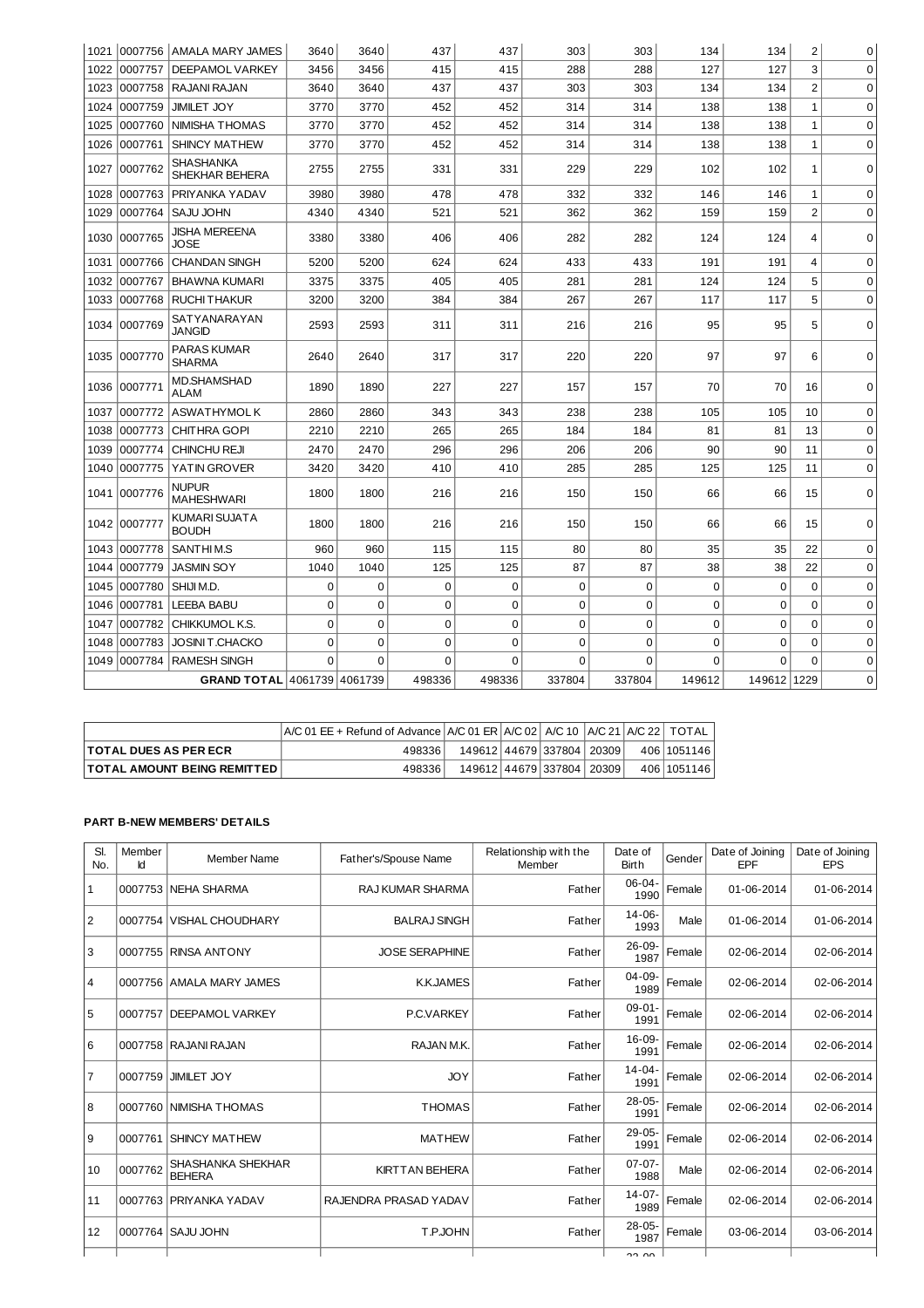| 1021 |          | 0007756 AMALA MARY JAMES           | 3640        | 3640           | 437         | 437         | 303         | 303         | 134            | 134         | 2              | 0           |
|------|----------|------------------------------------|-------------|----------------|-------------|-------------|-------------|-------------|----------------|-------------|----------------|-------------|
| 1022 | 0007757  | DEEPAMOL VARKEY                    | 3456        | 3456           | 415         | 415         | 288         | 288         | 127            | 127         | 3              | $\Omega$    |
| 1023 | 0007758  | RAJANI RAJAN                       | 3640        | 3640           | 437         | 437         | 303         | 303         | 134            | 134         | $\overline{c}$ | 0           |
| 1024 | 0007759  | <b>JIMILET JOY</b>                 | 3770        | 3770           | 452         | 452         | 314         | 314         | 138            | 138         | $\mathbf{1}$   | $\mathbf 0$ |
| 1025 | 0007760  | <b>NIMISHA THOMAS</b>              | 3770        | 3770           | 452         | 452         | 314         | 314         | 138            | 138         | 1              | 0           |
| 1026 | 0007761  | SHINCY MATHEW                      | 3770        | 3770           | 452         | 452         | 314         | 314         | 138            | 138         | $\mathbf 1$    | $\Omega$    |
| 1027 | 0007762  | <b>SHASHANKA</b><br>SHEKHAR BEHERA | 2755        | 2755           | 331         | 331         | 229         | 229         | 102            | 102         | 1              | 0           |
| 1028 | 0007763  | PRIYANKA YADAV                     | 3980        | 3980           | 478         | 478         | 332         | 332         | 146            | 146         | 1              | 0           |
| 1029 | 0007764  | <b>SAJU JOHN</b>                   | 4340        | 4340           | 521         | 521         | 362         | 362         | 159            | 159         | $\overline{2}$ | $\Omega$    |
| 1030 | 0007765  | JISHA MEREENA<br>JOSE              | 3380        | 3380           | 406         | 406         | 282         | 282         | 124            | 124         | 4              | $\Omega$    |
| 1031 | 0007766  | <b>CHANDAN SINGH</b>               | 5200        | 5200           | 624         | 624         | 433         | 433         | 191            | 191         | 4              | $\Omega$    |
| 1032 | 0007767  | <b>BHAWNA KUMARI</b>               | 3375        | 3375           | 405         | 405         | 281         | 281         | 124            | 124         | 5              | $\mathbf 0$ |
| 1033 | 0007768  | <b>RUCHITHAKUR</b>                 | 3200        | 3200           | 384         | 384         | 267         | 267         | 117            | 117         | 5              | $\Omega$    |
| 1034 | 0007769  | SATYANARAYAN<br><b>JANGID</b>      | 2593        | 2593           | 311         | 311         | 216         | 216         | 95             | 95          | 5              | $\Omega$    |
| 1035 | 0007770  | PARAS KUMAR<br><b>SHARMA</b>       | 2640        | 2640           | 317         | 317         | 220         | 220         | 97             | 97          | 6              | $\Omega$    |
| 1036 | 0007771  | <b>MD.SHAMSHAD</b><br><b>ALAM</b>  | 1890        | 1890           | 227         | 227         | 157         | 157         | 70             | 70          | 16             | 0           |
| 1037 | 0007772  | <b>ASWATHYMOLK</b>                 | 2860        | 2860           | 343         | 343         | 238         | 238         | 105            | 105         | 10             | $\mathbf 0$ |
| 1038 | 0007773  | <b>CHITHRA GOPI</b>                | 2210        | 2210           | 265         | 265         | 184         | 184         | 81             | 81          | 13             | $\Omega$    |
| 1039 | 0007774  | <b>CHINCHU REJI</b>                | 2470        | 2470           | 296         | 296         | 206         | 206         | 90             | 90          | 11             | $\mathbf 0$ |
| 1040 | 0007775  | YATIN GROVER                       | 3420        | 3420           | 410         | 410         | 285         | 285         | 125            | 125         | 11             | $\Omega$    |
| 1041 | 0007776  | NUPUR<br><b>MAHESHWARI</b>         | 1800        | 1800           | 216         | 216         | 150         | 150         | 66             | 66          | 15             | $\mathbf 0$ |
| 1042 | 10007777 | KUMARI SUJATA<br><b>BOUDH</b>      | 1800        | 1800           | 216         | 216         | 150         | 150         | 66             | 66          | 15             | $\Omega$    |
| 1043 | 0007778  | SANTHIM.S                          | 960         | 960            | 115         | 115         | 80          | 80          | 35             | 35          | 22             | $\Omega$    |
| 1044 | 0007779  | <b>JASMIN SOY</b>                  | 1040        | 1040           | 125         | 125         | 87          | 87          | 38             | 38          | 22             | 0           |
| 1045 | 0007780  | SHIJI M.D.                         | $\mathbf 0$ | $\Omega$       | $\mathbf 0$ | $\mathbf 0$ | $\mathbf 0$ | $\Omega$    | $\Omega$       | $\mathbf 0$ | $\Omega$       | $\mathbf 0$ |
| 1046 | 0007781  | <b>LEEBA BABU</b>                  | 0           | $\mathbf 0$    | 0           | 0           | 0           | $\mathbf 0$ | 0              | 0           | $\Omega$       | 0           |
| 1047 | 0007782  | CHIKKUMOL K.S.                     | $\mathbf 0$ | $\overline{0}$ | $\mathbf 0$ | $\mathbf 0$ | $\Omega$    | $\Omega$    | $\overline{0}$ | $\Omega$    | $\Omega$       | $\Omega$    |
| 1048 | 0007783  | <b>JOSINI T.CHACKO</b>             | $\mathbf 0$ | $\mathbf 0$    | $\mathbf 0$ | $\mathbf 0$ | $\mathbf 0$ | $\mathbf 0$ | 0              | $\mathbf 0$ | $\Omega$       | $\mathbf 0$ |
| 1049 | 0007784  | <b>RAMESH SINGH</b>                | $\Omega$    | $\Omega$       | $\Omega$    | $\Omega$    | 0           | 0           | $\Omega$       | $\Omega$    | $\Omega$       | $\mathbf 0$ |
|      |          | GRAND TOTAL 4061739 4061739        |             |                | 498336      | 498336      | 337804      | 337804      | 149612         | 149612 1229 |                | $\mathbf 0$ |

|                                      | $A/C 01 EE + Refund of Advance  A/C 01 ER  A/C 02   A/C 10  A/C 21  A/C 22  TOTAL$ |  |                           |  |             |
|--------------------------------------|------------------------------------------------------------------------------------|--|---------------------------|--|-------------|
| <b>ITOTAL DUES AS PER ECR</b>        | 498336                                                                             |  | 149612 44679 337804 20309 |  | 406 1051146 |
| <b>TOTAL AMOUNT BEING REMITTED  </b> | 498336                                                                             |  | 149612 44679 337804 20309 |  | 406 1051146 |

## **PART B-NEW MEMBERS' DETAILS**

| SI.<br>No.     | Member<br>Id | <b>Member Name</b>                 | Father's/Spouse Name    | Relationship with the<br>Member | Date of<br><b>Birth</b> | Gender | Date of Joining<br>EPF | Date of Joining<br><b>EPS</b> |
|----------------|--------------|------------------------------------|-------------------------|---------------------------------|-------------------------|--------|------------------------|-------------------------------|
| $\mathbf{1}$   |              | 0007753 NEHA SHARMA                | <b>RAJ KUMAR SHARMA</b> | Father                          | $06 - 04 -$<br>1990     | Female | 01-06-2014             | 01-06-2014                    |
| $\overline{2}$ |              | 0007754 VISHAL CHOUDHARY           | <b>BALRAJ SINGH</b>     | Father                          | $14 - 06 -$<br>1993     | Male   | 01-06-2014             | 01-06-2014                    |
| 3              |              | 0007755 RINSA ANTONY               | <b>JOSE SERAPHINE</b>   | Father                          | $26 - 09$<br>1987       | Female | 02-06-2014             | 02-06-2014                    |
| 4              |              | 0007756 AMALA MARY JAMES           | <b>K.K.JAMES</b>        | Father                          | $04 - 09$<br>1989       | Female | 02-06-2014             | 02-06-2014                    |
| 5              | 0007757      | <b>IDEEPAMOL VARKEY</b>            | P.C.VARKEY              | Father                          | $09-01-$<br>1991        | Female | 02-06-2014             | 02-06-2014                    |
| 6              |              | 0007758 RAJANI RAJAN               | RAJAN M.K.              | Father                          | 16-09-<br>1991          | Female | 02-06-2014             | 02-06-2014                    |
| $\overline{7}$ |              | 0007759 JIMILET JOY                | <b>JOY</b>              | Father                          | $14 - 04 -$<br>1991     | Female | 02-06-2014             | 02-06-2014                    |
| 8              |              | 0007760 NIMISHA THOMAS             | <b>THOMAS</b>           | Father                          | $28 - 05 -$<br>1991     | Female | 02-06-2014             | 02-06-2014                    |
| 9              |              | 0007761 SHINCY MATHEW              | <b>MATHEW</b>           | Father                          | $29 - 05 -$<br>1991     | Female | 02-06-2014             | 02-06-2014                    |
| 10             | 0007762      | SHASHANKA SHEKHAR<br><b>BEHERA</b> | <b>KIRTTAN BEHERA</b>   | Father                          | $07 - 07 -$<br>1988     | Male   | 02-06-2014             | 02-06-2014                    |
| 11             |              | 0007763 PRIYANKA YADAV             | RAJENDRA PRASAD YADAV   | Father                          | $14 - 07 -$<br>1989     | Female | 02-06-2014             | 02-06-2014                    |
| 12             |              | 0007764 SAJU JOHN                  | T.P.JOHN                | Father                          | $28 - 05 -$<br>1987     | Female | 03-06-2014             | 03-06-2014                    |
|                |              |                                    |                         |                                 | חח רר                   |        |                        |                               |